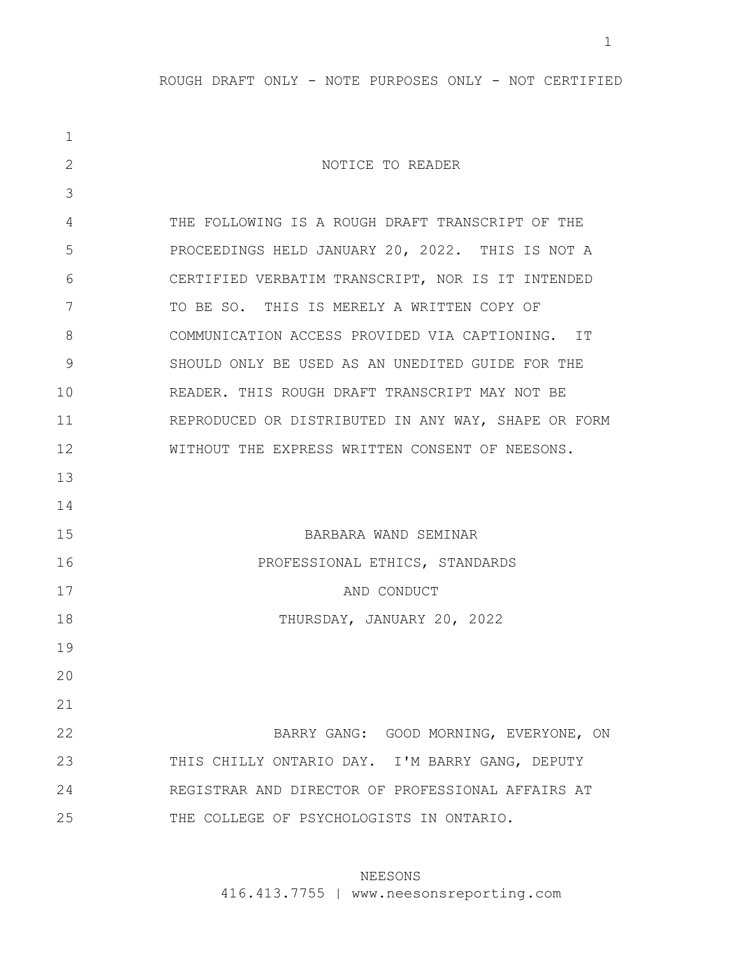| $\mathbf 1$ |                                                     |
|-------------|-----------------------------------------------------|
| 2           | NOTICE TO READER                                    |
| 3           |                                                     |
| 4           | THE FOLLOWING IS A ROUGH DRAFT TRANSCRIPT OF THE    |
| 5           | PROCEEDINGS HELD JANUARY 20, 2022. THIS IS NOT A    |
| 6           | CERTIFIED VERBATIM TRANSCRIPT, NOR IS IT INTENDED   |
| 7           | TO BE SO. THIS IS MERELY A WRITTEN COPY OF          |
| 8           | COMMUNICATION ACCESS PROVIDED VIA CAPTIONING. IT    |
| 9           | SHOULD ONLY BE USED AS AN UNEDITED GUIDE FOR THE    |
| 10          | READER. THIS ROUGH DRAFT TRANSCRIPT MAY NOT BE      |
| 11          | REPRODUCED OR DISTRIBUTED IN ANY WAY, SHAPE OR FORM |
| 12          | WITHOUT THE EXPRESS WRITTEN CONSENT OF NEESONS.     |
| 13          |                                                     |
| 14          |                                                     |
| 15          | BARBARA WAND SEMINAR                                |
| 16          | PROFESSIONAL ETHICS, STANDARDS                      |
| 17          | AND CONDUCT                                         |
| 18          | THURSDAY, JANUARY 20, 2022                          |
| 19          |                                                     |
| 20          |                                                     |
| 21          |                                                     |
| 22          | BARRY GANG: GOOD MORNING, EVERYONE, ON              |
| 23          | THIS CHILLY ONTARIO DAY. I'M BARRY GANG, DEPUTY     |
| 24          | REGISTRAR AND DIRECTOR OF PROFESSIONAL AFFAIRS AT   |
| 25          | THE COLLEGE OF PSYCHOLOGISTS IN ONTARIO.            |

# NEESONS

416.413.7755 | www.neesonsreporting.com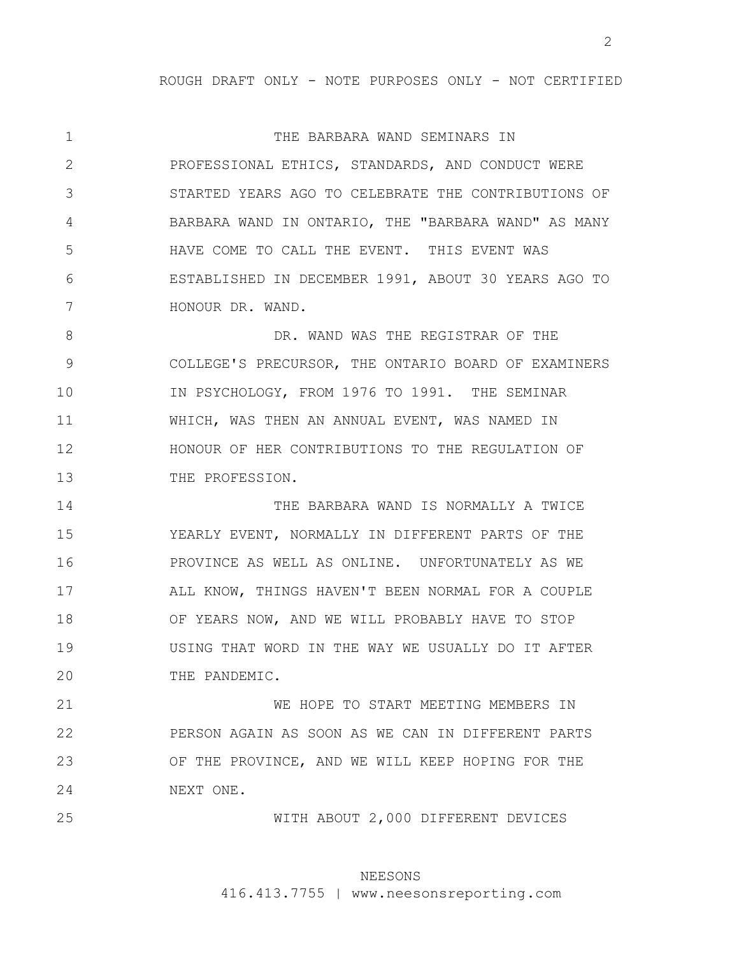1 2 3 4 5 6 7 THE BARBARA WAND SEMINARS IN PROFESSIONAL ETHICS, STANDARDS, AND CONDUCT WERE STARTED YEARS AGO TO CELEBRATE THE CONTRIBUTIONS OF BARBARA WAND IN ONTARIO, THE "BARBARA WAND" AS MANY HAVE COME TO CALL THE EVENT. THIS EVENT WAS ESTABLISHED IN DECEMBER 1991, ABOUT 30 YEARS AGO TO HONOUR DR. WAND.

8 9 10 11 12 13 DR. WAND WAS THE REGISTRAR OF THE COLLEGE'S PRECURSOR, THE ONTARIO BOARD OF EXAMINERS IN PSYCHOLOGY, FROM 1976 TO 1991. THE SEMINAR WHICH, WAS THEN AN ANNUAL EVENT, WAS NAMED IN HONOUR OF HER CONTRIBUTIONS TO THE REGULATION OF THE PROFESSION.

14 15 16 17 18 19 20 THE BARBARA WAND IS NORMALLY A TWICE YEARLY EVENT, NORMALLY IN DIFFERENT PARTS OF THE PROVINCE AS WELL AS ONLINE. UNFORTUNATELY AS WE ALL KNOW, THINGS HAVEN'T BEEN NORMAL FOR A COUPLE OF YEARS NOW, AND WE WILL PROBABLY HAVE TO STOP USING THAT WORD IN THE WAY WE USUALLY DO IT AFTER THE PANDEMIC.

21 22 23 24 WE HOPE TO START MEETING MEMBERS IN PERSON AGAIN AS SOON AS WE CAN IN DIFFERENT PARTS OF THE PROVINCE, AND WE WILL KEEP HOPING FOR THE NEXT ONE.

25

WITH ABOUT 2,000 DIFFERENT DEVICES

# NEESONS

416.413.7755 | www.neesonsreporting.com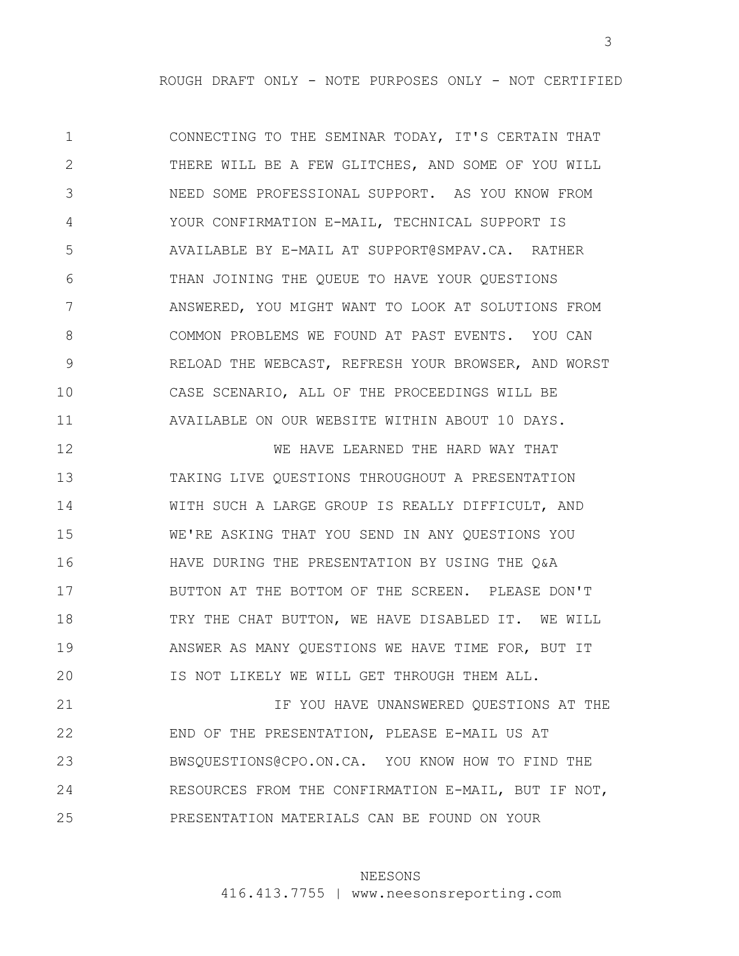1 2 3 4 5 6 7 8 9 10 11 CONNECTING TO THE SEMINAR TODAY, IT'S CERTAIN THAT THERE WILL BE A FEW GLITCHES, AND SOME OF YOU WILL NEED SOME PROFESSIONAL SUPPORT. AS YOU KNOW FROM YOUR CONFIRMATION E-MAIL, TECHNICAL SUPPORT IS AVAILABLE BY E-MAIL AT SUPPORT@SMPAV.CA. RATHER THAN JOINING THE QUEUE TO HAVE YOUR QUESTIONS ANSWERED, YOU MIGHT WANT TO LOOK AT SOLUTIONS FROM COMMON PROBLEMS WE FOUND AT PAST EVENTS. YOU CAN RELOAD THE WEBCAST, REFRESH YOUR BROWSER, AND WORST CASE SCENARIO, ALL OF THE PROCEEDINGS WILL BE AVAILABLE ON OUR WEBSITE WITHIN ABOUT 10 DAYS.

12 13 14 15 16 17 18 19 20 WE HAVE LEARNED THE HARD WAY THAT TAKING LIVE QUESTIONS THROUGHOUT A PRESENTATION WITH SUCH A LARGE GROUP IS REALLY DIFFICULT, AND WE'RE ASKING THAT YOU SEND IN ANY QUESTIONS YOU HAVE DURING THE PRESENTATION BY USING THE Q&A BUTTON AT THE BOTTOM OF THE SCREEN. PLEASE DON'T TRY THE CHAT BUTTON, WE HAVE DISABLED IT. WE WILL ANSWER AS MANY QUESTIONS WE HAVE TIME FOR, BUT IT IS NOT LIKELY WE WILL GET THROUGH THEM ALL.

21 22 23 24 25 IF YOU HAVE UNANSWERED QUESTIONS AT THE END OF THE PRESENTATION, PLEASE E-MAIL US AT BWSQUESTIONS@CPO.ON.CA. YOU KNOW HOW TO FIND THE RESOURCES FROM THE CONFIRMATION E-MAIL, BUT IF NOT, PRESENTATION MATERIALS CAN BE FOUND ON YOUR

### NEESONS

416.413.7755 | www.neesonsreporting.com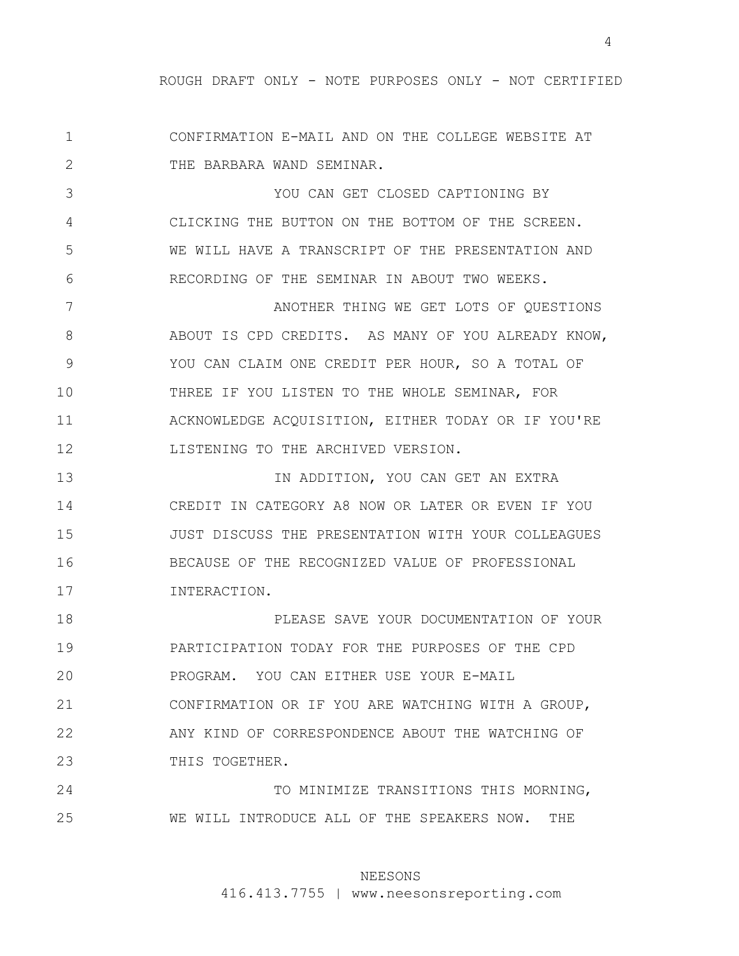1 2 CONFIRMATION E-MAIL AND ON THE COLLEGE WEBSITE AT THE BARBARA WAND SEMINAR.

3 4 5 6 YOU CAN GET CLOSED CAPTIONING BY CLICKING THE BUTTON ON THE BOTTOM OF THE SCREEN. WE WILL HAVE A TRANSCRIPT OF THE PRESENTATION AND RECORDING OF THE SEMINAR IN ABOUT TWO WEEKS.

7 8 9 10 11 12 ANOTHER THING WE GET LOTS OF QUESTIONS ABOUT IS CPD CREDITS. AS MANY OF YOU ALREADY KNOW, YOU CAN CLAIM ONE CREDIT PER HOUR, SO A TOTAL OF THREE IF YOU LISTEN TO THE WHOLE SEMINAR, FOR ACKNOWLEDGE ACQUISITION, EITHER TODAY OR IF YOU'RE LISTENING TO THE ARCHIVED VERSION.

13 14 15 16 17 IN ADDITION, YOU CAN GET AN EXTRA CREDIT IN CATEGORY A8 NOW OR LATER OR EVEN IF YOU JUST DISCUSS THE PRESENTATION WITH YOUR COLLEAGUES BECAUSE OF THE RECOGNIZED VALUE OF PROFESSIONAL INTERACTION.

18 19 20 21 22 23 PLEASE SAVE YOUR DOCUMENTATION OF YOUR PARTICIPATION TODAY FOR THE PURPOSES OF THE CPD PROGRAM. YOU CAN EITHER USE YOUR E-MAIL CONFIRMATION OR IF YOU ARE WATCHING WITH A GROUP, ANY KIND OF CORRESPONDENCE ABOUT THE WATCHING OF THIS TOGETHER.

24 25 TO MINIMIZE TRANSITIONS THIS MORNING, WE WILL INTRODUCE ALL OF THE SPEAKERS NOW. THE

### NEESONS

416.413.7755 | www.neesonsreporting.com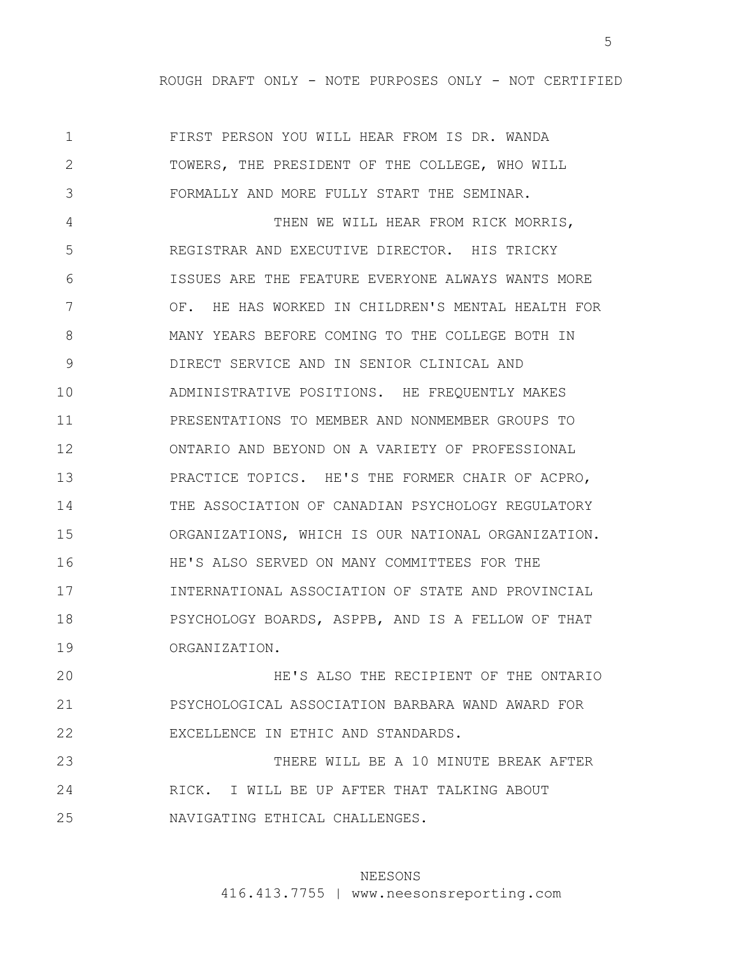1 2 3 4 5 6 7 8 9 10 11 12 13 14 15 16 17 18 19 FIRST PERSON YOU WILL HEAR FROM IS DR. WANDA TOWERS, THE PRESIDENT OF THE COLLEGE, WHO WILL FORMALLY AND MORE FULLY START THE SEMINAR. THEN WE WILL HEAR FROM RICK MORRIS, REGISTRAR AND EXECUTIVE DIRECTOR. HIS TRICKY ISSUES ARE THE FEATURE EVERYONE ALWAYS WANTS MORE OF. HE HAS WORKED IN CHILDREN'S MENTAL HEALTH FOR MANY YEARS BEFORE COMING TO THE COLLEGE BOTH IN DIRECT SERVICE AND IN SENIOR CLINICAL AND ADMINISTRATIVE POSITIONS. HE FREQUENTLY MAKES PRESENTATIONS TO MEMBER AND NONMEMBER GROUPS TO ONTARIO AND BEYOND ON A VARIETY OF PROFESSIONAL PRACTICE TOPICS. HE'S THE FORMER CHAIR OF ACPRO, THE ASSOCIATION OF CANADIAN PSYCHOLOGY REGULATORY ORGANIZATIONS, WHICH IS OUR NATIONAL ORGANIZATION. HE'S ALSO SERVED ON MANY COMMITTEES FOR THE INTERNATIONAL ASSOCIATION OF STATE AND PROVINCIAL PSYCHOLOGY BOARDS, ASPPB, AND IS A FELLOW OF THAT ORGANIZATION.

20 21 22 HE'S ALSO THE RECIPIENT OF THE ONTARIO PSYCHOLOGICAL ASSOCIATION BARBARA WAND AWARD FOR EXCELLENCE IN ETHIC AND STANDARDS.

23 24 25 THERE WILL BE A 10 MINUTE BREAK AFTER RICK. I WILL BE UP AFTER THAT TALKING ABOUT NAVIGATING ETHICAL CHALLENGES.

#### NEESONS

416.413.7755 | www.neesonsreporting.com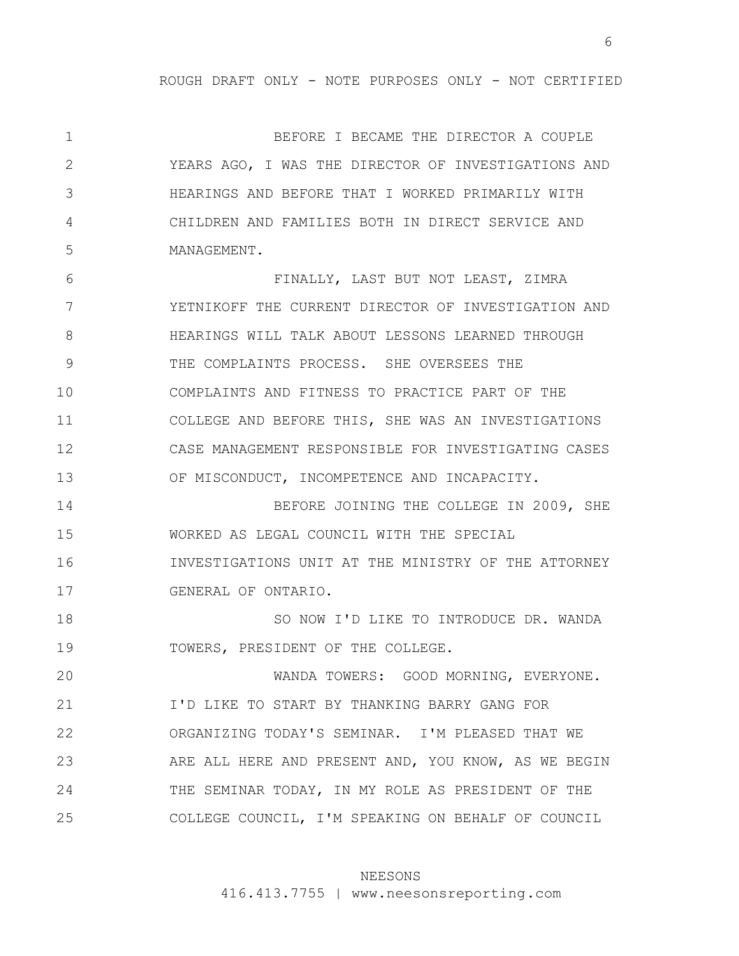1 2 3 4 5 6 7 8 9 10 11 12 13 14 15 16 17 18 19 20 21 22 23 24 BEFORE I BECAME THE DIRECTOR A COUPLE YEARS AGO, I WAS THE DIRECTOR OF INVESTIGATIONS AND HEARINGS AND BEFORE THAT I WORKED PRIMARILY WITH CHILDREN AND FAMILIES BOTH IN DIRECT SERVICE AND MANAGEMENT. FINALLY, LAST BUT NOT LEAST, ZIMRA YETNIKOFF THE CURRENT DIRECTOR OF INVESTIGATION AND HEARINGS WILL TALK ABOUT LESSONS LEARNED THROUGH THE COMPLAINTS PROCESS. SHE OVERSEES THE COMPLAINTS AND FITNESS TO PRACTICE PART OF THE COLLEGE AND BEFORE THIS, SHE WAS AN INVESTIGATIONS CASE MANAGEMENT RESPONSIBLE FOR INVESTIGATING CASES OF MISCONDUCT, INCOMPETENCE AND INCAPACITY. BEFORE JOINING THE COLLEGE IN 2009, SHE WORKED AS LEGAL COUNCIL WITH THE SPECIAL INVESTIGATIONS UNIT AT THE MINISTRY OF THE ATTORNEY GENERAL OF ONTARIO. SO NOW I'D LIKE TO INTRODUCE DR. WANDA TOWERS, PRESIDENT OF THE COLLEGE. WANDA TOWERS: GOOD MORNING, EVERYONE. I'D LIKE TO START BY THANKING BARRY GANG FOR ORGANIZING TODAY'S SEMINAR. I'M PLEASED THAT WE ARE ALL HERE AND PRESENT AND, YOU KNOW, AS WE BEGIN THE SEMINAR TODAY, IN MY ROLE AS PRESIDENT OF THE

25 COLLEGE COUNCIL, I'M SPEAKING ON BEHALF OF COUNCIL

### NEESONS

416.413.7755 | www.neesonsreporting.com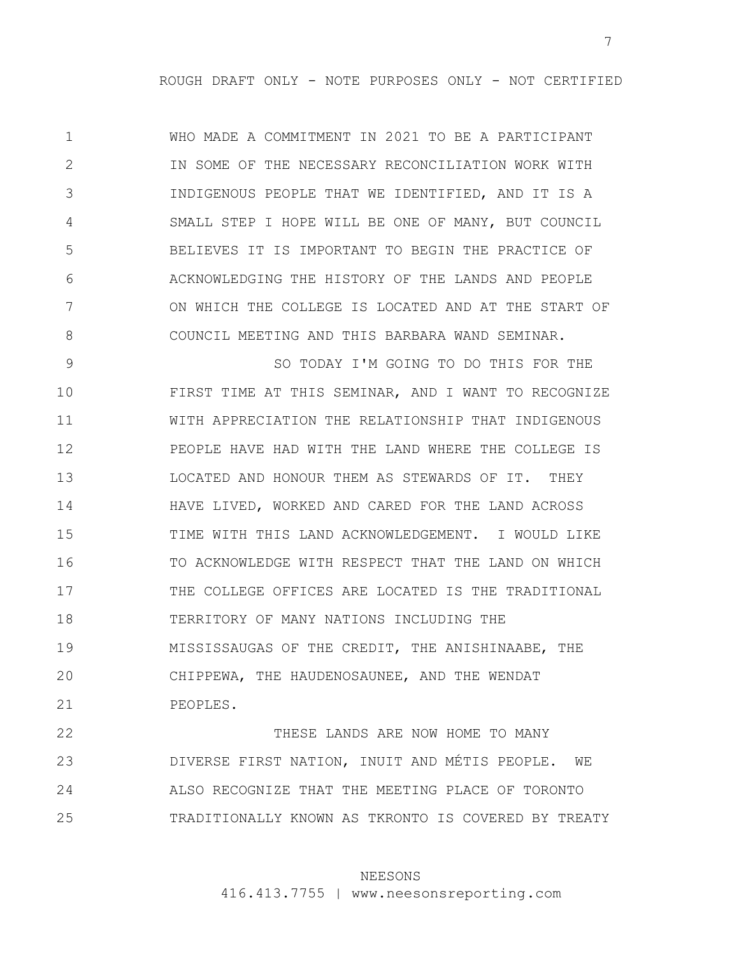1 2 3 4 5 6 7 8 WHO MADE A COMMITMENT IN 2021 TO BE A PARTICIPANT IN SOME OF THE NECESSARY RECONCILIATION WORK WITH INDIGENOUS PEOPLE THAT WE IDENTIFIED, AND IT IS A SMALL STEP I HOPE WILL BE ONE OF MANY, BUT COUNCIL BELIEVES IT IS IMPORTANT TO BEGIN THE PRACTICE OF ACKNOWLEDGING THE HISTORY OF THE LANDS AND PEOPLE ON WHICH THE COLLEGE IS LOCATED AND AT THE START OF COUNCIL MEETING AND THIS BARBARA WAND SEMINAR.

9 10 11 12 13 14 15 16 17 18 19 20 21 SO TODAY I'M GOING TO DO THIS FOR THE FIRST TIME AT THIS SEMINAR, AND I WANT TO RECOGNIZE WITH APPRECIATION THE RELATIONSHIP THAT INDIGENOUS PEOPLE HAVE HAD WITH THE LAND WHERE THE COLLEGE IS LOCATED AND HONOUR THEM AS STEWARDS OF IT. THEY HAVE LIVED, WORKED AND CARED FOR THE LAND ACROSS TIME WITH THIS LAND ACKNOWLEDGEMENT. I WOULD LIKE TO ACKNOWLEDGE WITH RESPECT THAT THE LAND ON WHICH THE COLLEGE OFFICES ARE LOCATED IS THE TRADITIONAL TERRITORY OF MANY NATIONS INCLUDING THE MISSISSAUGAS OF THE CREDIT, THE ANISHINAABE, THE CHIPPEWA, THE HAUDENOSAUNEE, AND THE WENDAT PEOPLES.

22 23 24 25 THESE LANDS ARE NOW HOME TO MANY DIVERSE FIRST NATION, INUIT AND MÉTIS PEOPLE. WE ALSO RECOGNIZE THAT THE MEETING PLACE OF TORONTO TRADITIONALLY KNOWN AS TKRONTO IS COVERED BY TREATY

# NEESONS

416.413.7755 | www.neesonsreporting.com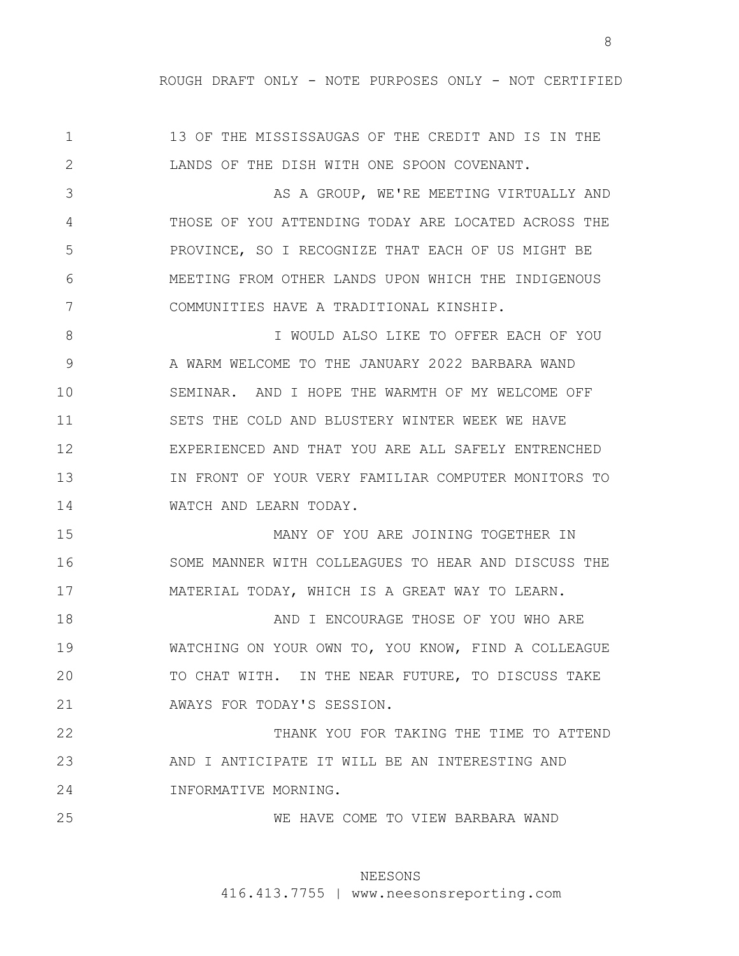1 2 13 OF THE MISSISSAUGAS OF THE CREDIT AND IS IN THE LANDS OF THE DISH WITH ONE SPOON COVENANT.

3 4 5 6 7 AS A GROUP, WE'RE MEETING VIRTUALLY AND THOSE OF YOU ATTENDING TODAY ARE LOCATED ACROSS THE PROVINCE, SO I RECOGNIZE THAT EACH OF US MIGHT BE MEETING FROM OTHER LANDS UPON WHICH THE INDIGENOUS COMMUNITIES HAVE A TRADITIONAL KINSHIP.

8 9 10 11 12 13 14 I WOULD ALSO LIKE TO OFFER EACH OF YOU A WARM WELCOME TO THE JANUARY 2022 BARBARA WAND SEMINAR. AND I HOPE THE WARMTH OF MY WELCOME OFF SETS THE COLD AND BLUSTERY WINTER WEEK WE HAVE EXPERIENCED AND THAT YOU ARE ALL SAFELY ENTRENCHED IN FRONT OF YOUR VERY FAMILIAR COMPUTER MONITORS TO WATCH AND LEARN TODAY.

15 16 17 MANY OF YOU ARE JOINING TOGETHER IN SOME MANNER WITH COLLEAGUES TO HEAR AND DISCUSS THE MATERIAL TODAY, WHICH IS A GREAT WAY TO LEARN.

18 19 20 21 AND I ENCOURAGE THOSE OF YOU WHO ARE WATCHING ON YOUR OWN TO, YOU KNOW, FIND A COLLEAGUE TO CHAT WITH. IN THE NEAR FUTURE, TO DISCUSS TAKE AWAYS FOR TODAY'S SESSION.

22 23 24 THANK YOU FOR TAKING THE TIME TO ATTEND AND I ANTICIPATE IT WILL BE AN INTERESTING AND INFORMATIVE MORNING.

25

WE HAVE COME TO VIEW BARBARA WAND

### NEESONS

416.413.7755 | www.neesonsreporting.com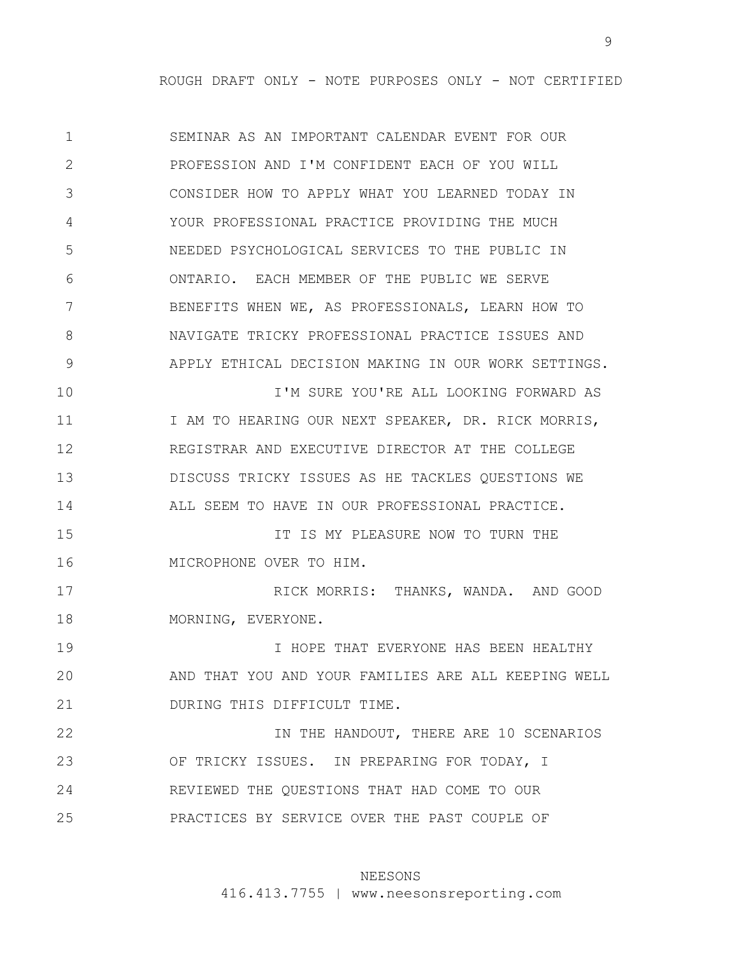1 2 3 4 5 6 7 8 9 10 11 12 13 14 15 16 17 18 19 20 21 22 23 24 25 SEMINAR AS AN IMPORTANT CALENDAR EVENT FOR OUR PROFESSION AND I'M CONFIDENT EACH OF YOU WILL CONSIDER HOW TO APPLY WHAT YOU LEARNED TODAY IN YOUR PROFESSIONAL PRACTICE PROVIDING THE MUCH NEEDED PSYCHOLOGICAL SERVICES TO THE PUBLIC IN ONTARIO. EACH MEMBER OF THE PUBLIC WE SERVE BENEFITS WHEN WE, AS PROFESSIONALS, LEARN HOW TO NAVIGATE TRICKY PROFESSIONAL PRACTICE ISSUES AND APPLY ETHICAL DECISION MAKING IN OUR WORK SETTINGS. I'M SURE YOU'RE ALL LOOKING FORWARD AS I AM TO HEARING OUR NEXT SPEAKER, DR. RICK MORRIS, REGISTRAR AND EXECUTIVE DIRECTOR AT THE COLLEGE DISCUSS TRICKY ISSUES AS HE TACKLES QUESTIONS WE ALL SEEM TO HAVE IN OUR PROFESSIONAL PRACTICE. IT IS MY PLEASURE NOW TO TURN THE MICROPHONE OVER TO HIM. RICK MORRIS: THANKS, WANDA. AND GOOD MORNING, EVERYONE. I HOPE THAT EVERYONE HAS BEEN HEALTHY AND THAT YOU AND YOUR FAMILIES ARE ALL KEEPING WELL DURING THIS DIFFICULT TIME. IN THE HANDOUT, THERE ARE 10 SCENARIOS OF TRICKY ISSUES. IN PREPARING FOR TODAY, I REVIEWED THE QUESTIONS THAT HAD COME TO OUR PRACTICES BY SERVICE OVER THE PAST COUPLE OF

### NEESONS

416.413.7755 | www.neesonsreporting.com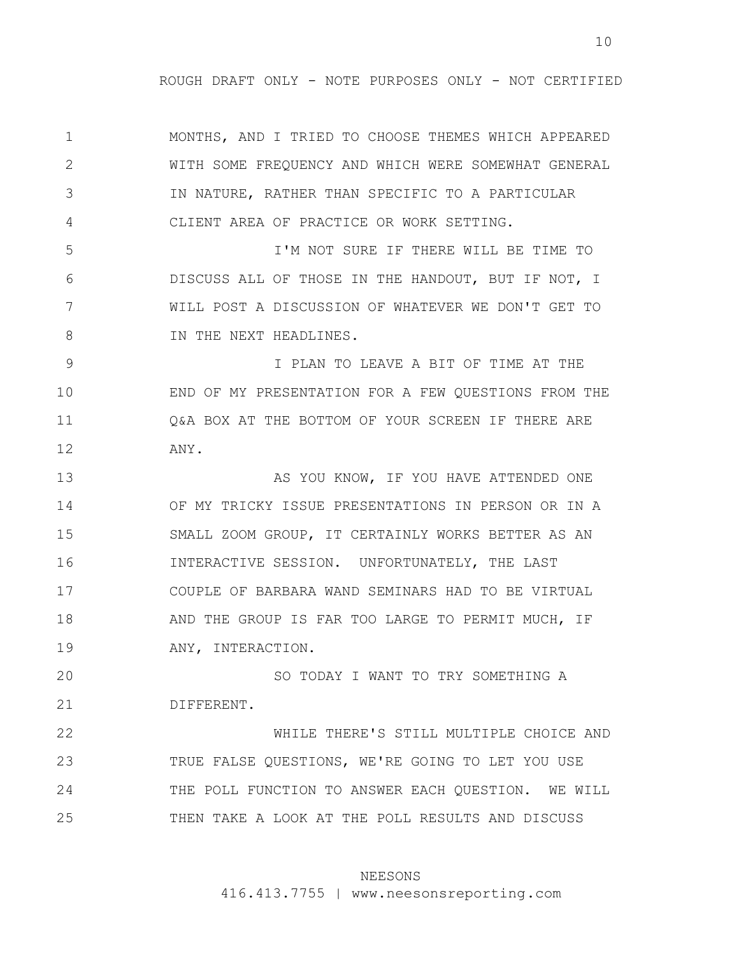10

1 2 3 4 5 6 7 8 9 10 11 12 13 14 15 16 17 18 19 20 21 22 23 24 25 MONTHS, AND I TRIED TO CHOOSE THEMES WHICH APPEARED WITH SOME FREQUENCY AND WHICH WERE SOMEWHAT GENERAL IN NATURE, RATHER THAN SPECIFIC TO A PARTICULAR CLIENT AREA OF PRACTICE OR WORK SETTING. I'M NOT SURE IF THERE WILL BE TIME TO DISCUSS ALL OF THOSE IN THE HANDOUT, BUT IF NOT, I WILL POST A DISCUSSION OF WHATEVER WE DON'T GET TO IN THE NEXT HEADLINES. I PLAN TO LEAVE A BIT OF TIME AT THE END OF MY PRESENTATION FOR A FEW QUESTIONS FROM THE Q&A BOX AT THE BOTTOM OF YOUR SCREEN IF THERE ARE ANY. AS YOU KNOW, IF YOU HAVE ATTENDED ONE OF MY TRICKY ISSUE PRESENTATIONS IN PERSON OR IN A SMALL ZOOM GROUP, IT CERTAINLY WORKS BETTER AS AN INTERACTIVE SESSION. UNFORTUNATELY, THE LAST COUPLE OF BARBARA WAND SEMINARS HAD TO BE VIRTUAL AND THE GROUP IS FAR TOO LARGE TO PERMIT MUCH, IF ANY, INTERACTION. SO TODAY I WANT TO TRY SOMETHING A DIFFERENT. WHILE THERE'S STILL MULTIPLE CHOICE AND TRUE FALSE QUESTIONS, WE'RE GOING TO LET YOU USE THE POLL FUNCTION TO ANSWER EACH QUESTION. WE WILL THEN TAKE A LOOK AT THE POLL RESULTS AND DISCUSS

#### NEESONS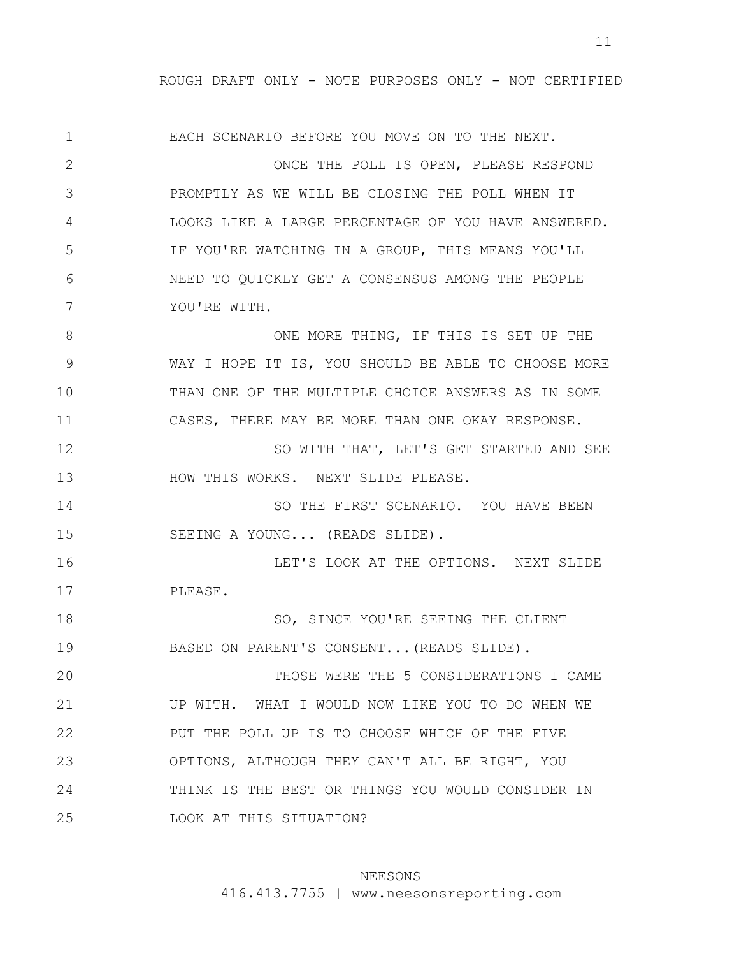1 2 3 4 5 6 7 8 9 10 11 12 13 14 15 16 17 18 19 20 21 22 23 24 25 EACH SCENARIO BEFORE YOU MOVE ON TO THE NEXT. ONCE THE POLL IS OPEN, PLEASE RESPOND PROMPTLY AS WE WILL BE CLOSING THE POLL WHEN IT LOOKS LIKE A LARGE PERCENTAGE OF YOU HAVE ANSWERED. IF YOU'RE WATCHING IN A GROUP, THIS MEANS YOU'LL NEED TO QUICKLY GET A CONSENSUS AMONG THE PEOPLE YOU'RE WITH. ONE MORE THING, IF THIS IS SET UP THE WAY I HOPE IT IS, YOU SHOULD BE ABLE TO CHOOSE MORE THAN ONE OF THE MULTIPLE CHOICE ANSWERS AS IN SOME CASES, THERE MAY BE MORE THAN ONE OKAY RESPONSE. SO WITH THAT, LET'S GET STARTED AND SEE HOW THIS WORKS. NEXT SLIDE PLEASE. SO THE FIRST SCENARIO. YOU HAVE BEEN SEEING A YOUNG... (READS SLIDE). LET'S LOOK AT THE OPTIONS. NEXT SLIDE PLEASE. SO, SINCE YOU'RE SEEING THE CLIENT BASED ON PARENT'S CONSENT...(READS SLIDE). THOSE WERE THE 5 CONSIDERATIONS I CAME UP WITH. WHAT I WOULD NOW LIKE YOU TO DO WHEN WE PUT THE POLL UP IS TO CHOOSE WHICH OF THE FIVE OPTIONS, ALTHOUGH THEY CAN'T ALL BE RIGHT, YOU THINK IS THE BEST OR THINGS YOU WOULD CONSIDER IN LOOK AT THIS SITUATION?

# NEESONS

416.413.7755 | www.neesonsreporting.com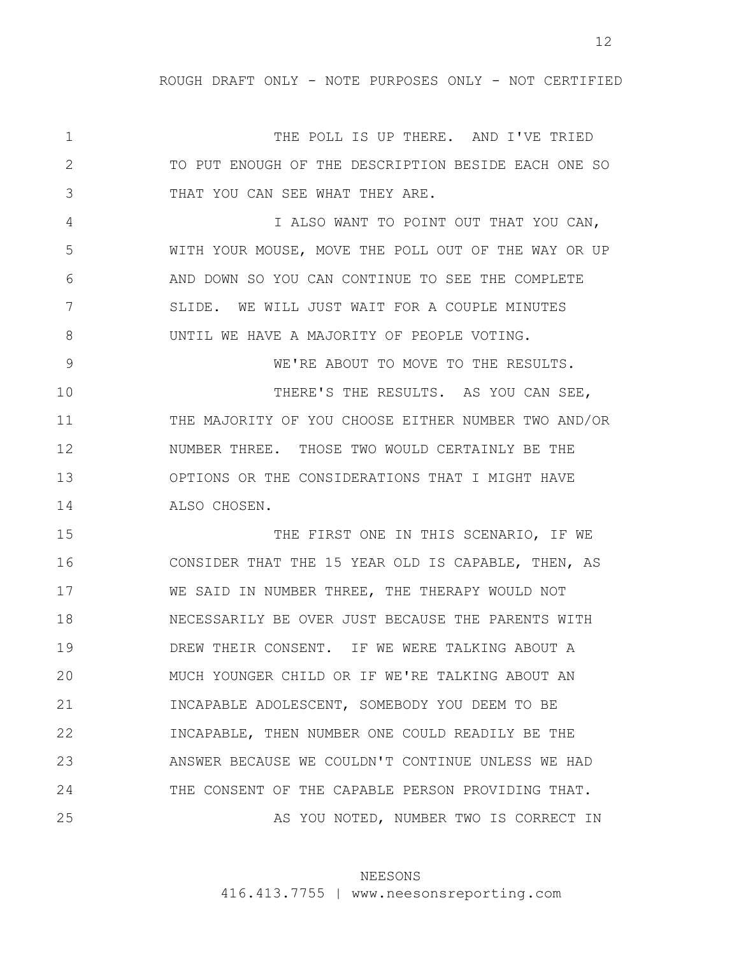1 2 3 4 5 6 7 8 9 10 11 12 13 14 15 16 17 18 19 20 21 22 23 24 25 THE POLL IS UP THERE. AND I'VE TRIED TO PUT ENOUGH OF THE DESCRIPTION BESIDE EACH ONE SO THAT YOU CAN SEE WHAT THEY ARE. I ALSO WANT TO POINT OUT THAT YOU CAN, WITH YOUR MOUSE, MOVE THE POLL OUT OF THE WAY OR UP AND DOWN SO YOU CAN CONTINUE TO SEE THE COMPLETE SLIDE. WE WILL JUST WAIT FOR A COUPLE MINUTES UNTIL WE HAVE A MAJORITY OF PEOPLE VOTING. WE'RE ABOUT TO MOVE TO THE RESULTS. THERE'S THE RESULTS. AS YOU CAN SEE, THE MAJORITY OF YOU CHOOSE EITHER NUMBER TWO AND/OR NUMBER THREE. THOSE TWO WOULD CERTAINLY BE THE OPTIONS OR THE CONSIDERATIONS THAT I MIGHT HAVE ALSO CHOSEN. THE FIRST ONE IN THIS SCENARIO, IF WE CONSIDER THAT THE 15 YEAR OLD IS CAPABLE, THEN, AS WE SAID IN NUMBER THREE, THE THERAPY WOULD NOT NECESSARILY BE OVER JUST BECAUSE THE PARENTS WITH DREW THEIR CONSENT. IF WE WERE TALKING ABOUT A MUCH YOUNGER CHILD OR IF WE'RE TALKING ABOUT AN INCAPABLE ADOLESCENT, SOMEBODY YOU DEEM TO BE INCAPABLE, THEN NUMBER ONE COULD READILY BE THE ANSWER BECAUSE WE COULDN'T CONTINUE UNLESS WE HAD THE CONSENT OF THE CAPABLE PERSON PROVIDING THAT. AS YOU NOTED, NUMBER TWO IS CORRECT IN

# NEESONS

416.413.7755 | www.neesonsreporting.com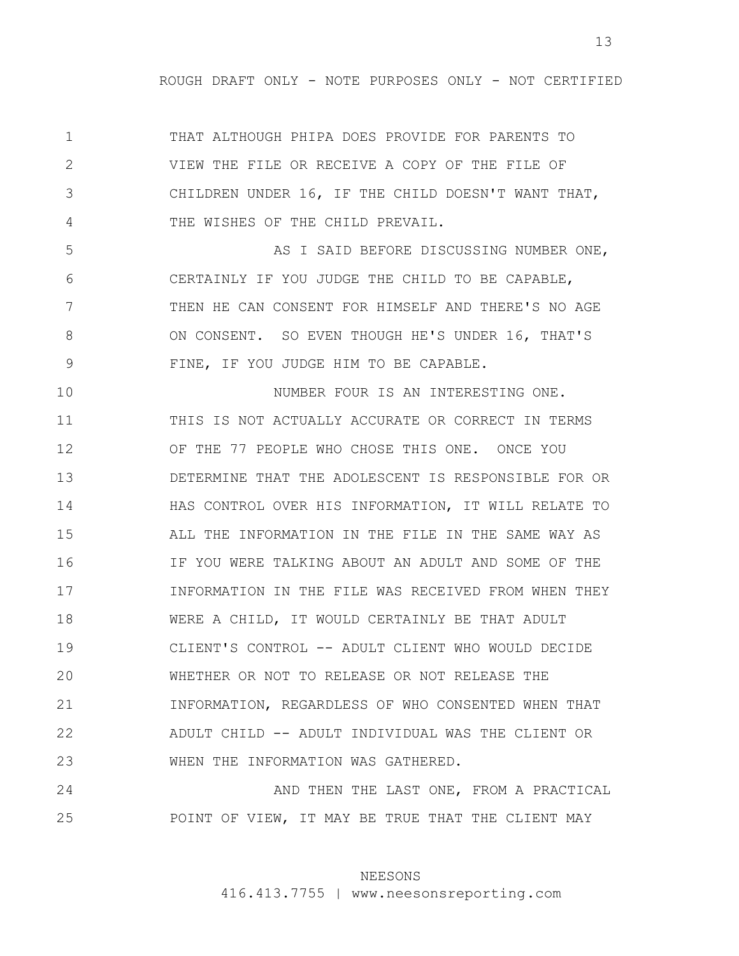1 2 3 4 THAT ALTHOUGH PHIPA DOES PROVIDE FOR PARENTS TO VIEW THE FILE OR RECEIVE A COPY OF THE FILE OF CHILDREN UNDER 16, IF THE CHILD DOESN'T WANT THAT, THE WISHES OF THE CHILD PREVAIL.

5 6 7 8 9 AS I SAID BEFORE DISCUSSING NUMBER ONE, CERTAINLY IF YOU JUDGE THE CHILD TO BE CAPABLE, THEN HE CAN CONSENT FOR HIMSELF AND THERE'S NO AGE ON CONSENT. SO EVEN THOUGH HE'S UNDER 16, THAT'S FINE, IF YOU JUDGE HIM TO BE CAPABLE.

10 11 12 13 14 15 16 17 18 19 20 21 22 23 NUMBER FOUR IS AN INTERESTING ONE. THIS IS NOT ACTUALLY ACCURATE OR CORRECT IN TERMS OF THE 77 PEOPLE WHO CHOSE THIS ONE. ONCE YOU DETERMINE THAT THE ADOLESCENT IS RESPONSIBLE FOR OR HAS CONTROL OVER HIS INFORMATION, IT WILL RELATE TO ALL THE INFORMATION IN THE FILE IN THE SAME WAY AS IF YOU WERE TALKING ABOUT AN ADULT AND SOME OF THE INFORMATION IN THE FILE WAS RECEIVED FROM WHEN THEY WERE A CHILD, IT WOULD CERTAINLY BE THAT ADULT CLIENT'S CONTROL -- ADULT CLIENT WHO WOULD DECIDE WHETHER OR NOT TO RELEASE OR NOT RELEASE THE INFORMATION, REGARDLESS OF WHO CONSENTED WHEN THAT ADULT CHILD -- ADULT INDIVIDUAL WAS THE CLIENT OR WHEN THE INFORMATION WAS GATHERED.

24 25 AND THEN THE LAST ONE, FROM A PRACTICAL POINT OF VIEW, IT MAY BE TRUE THAT THE CLIENT MAY

### NEESONS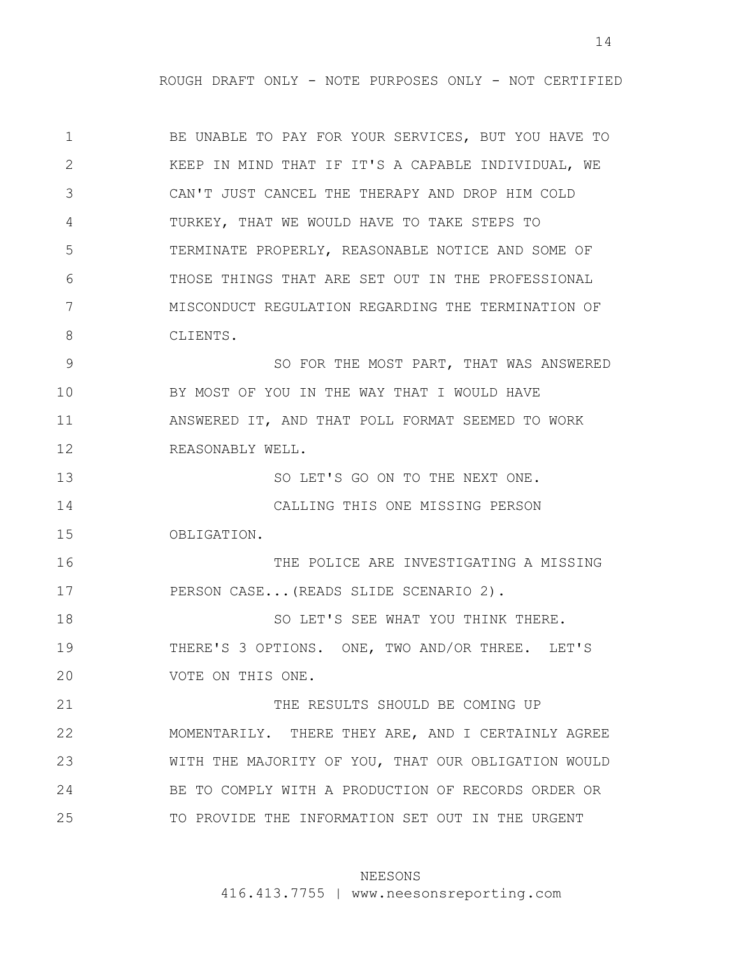1 2 3 4 5 6 7 8 9 10 11 12 13 14 15 16 17 18 19 20 21 22 23 24 25 BE UNABLE TO PAY FOR YOUR SERVICES, BUT YOU HAVE TO KEEP IN MIND THAT IF IT'S A CAPABLE INDIVIDUAL, WE CAN'T JUST CANCEL THE THERAPY AND DROP HIM COLD TURKEY, THAT WE WOULD HAVE TO TAKE STEPS TO TERMINATE PROPERLY, REASONABLE NOTICE AND SOME OF THOSE THINGS THAT ARE SET OUT IN THE PROFESSIONAL MISCONDUCT REGULATION REGARDING THE TERMINATION OF CLIENTS. SO FOR THE MOST PART, THAT WAS ANSWERED BY MOST OF YOU IN THE WAY THAT I WOULD HAVE ANSWERED IT, AND THAT POLL FORMAT SEEMED TO WORK REASONABLY WELL. SO LET'S GO ON TO THE NEXT ONE. CALLING THIS ONE MISSING PERSON OBLIGATION. THE POLICE ARE INVESTIGATING A MISSING PERSON CASE...(READS SLIDE SCENARIO 2). SO LET'S SEE WHAT YOU THINK THERE. THERE'S 3 OPTIONS. ONE, TWO AND/OR THREE. LET'S VOTE ON THIS ONE. THE RESULTS SHOULD BE COMING UP MOMENTARILY. THERE THEY ARE, AND I CERTAINLY AGREE WITH THE MAJORITY OF YOU, THAT OUR OBLIGATION WOULD BE TO COMPLY WITH A PRODUCTION OF RECORDS ORDER OR TO PROVIDE THE INFORMATION SET OUT IN THE URGENT

### NEESONS

416.413.7755 | www.neesonsreporting.com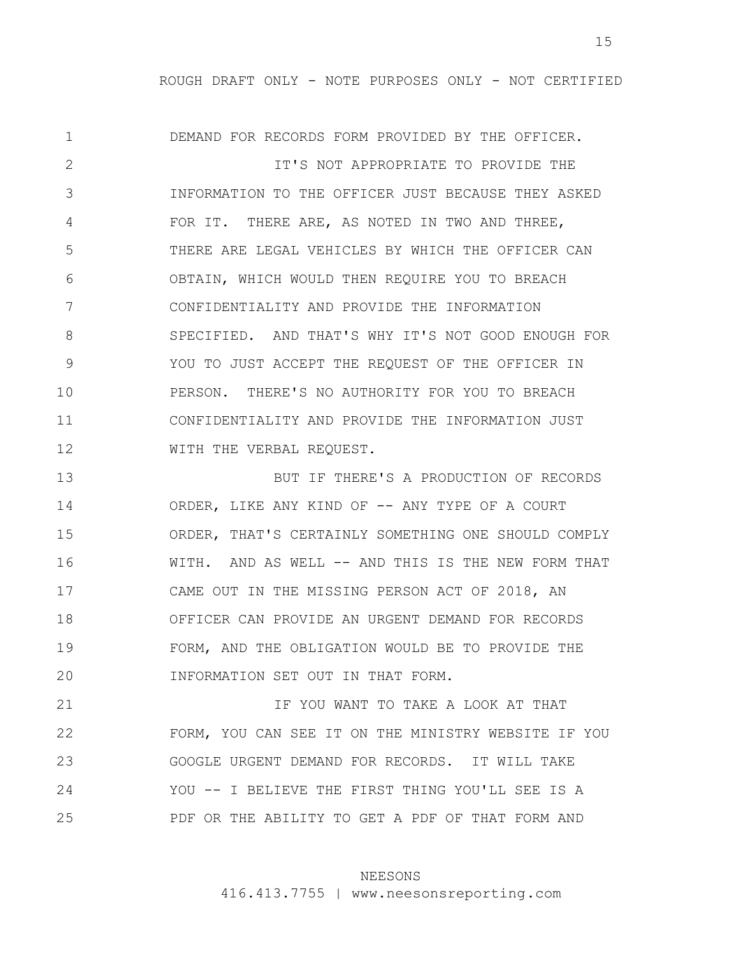1 2 3 4 5 6 7 8 9 10 11 12 13 14 15 16 17 DEMAND FOR RECORDS FORM PROVIDED BY THE OFFICER. IT'S NOT APPROPRIATE TO PROVIDE THE INFORMATION TO THE OFFICER JUST BECAUSE THEY ASKED FOR IT. THERE ARE, AS NOTED IN TWO AND THREE, THERE ARE LEGAL VEHICLES BY WHICH THE OFFICER CAN OBTAIN, WHICH WOULD THEN REQUIRE YOU TO BREACH CONFIDENTIALITY AND PROVIDE THE INFORMATION SPECIFIED. AND THAT'S WHY IT'S NOT GOOD ENOUGH FOR YOU TO JUST ACCEPT THE REQUEST OF THE OFFICER IN PERSON. THERE'S NO AUTHORITY FOR YOU TO BREACH CONFIDENTIALITY AND PROVIDE THE INFORMATION JUST WITH THE VERBAL REQUEST. BUT IF THERE'S A PRODUCTION OF RECORDS ORDER, LIKE ANY KIND OF -- ANY TYPE OF A COURT ORDER, THAT'S CERTAINLY SOMETHING ONE SHOULD COMPLY WITH. AND AS WELL -- AND THIS IS THE NEW FORM THAT CAME OUT IN THE MISSING PERSON ACT OF 2018, AN

18 19 20 OFFICER CAN PROVIDE AN URGENT DEMAND FOR RECORDS FORM, AND THE OBLIGATION WOULD BE TO PROVIDE THE INFORMATION SET OUT IN THAT FORM.

21 22 23 24 25 IF YOU WANT TO TAKE A LOOK AT THAT FORM, YOU CAN SEE IT ON THE MINISTRY WEBSITE IF YOU GOOGLE URGENT DEMAND FOR RECORDS. IT WILL TAKE YOU -- I BELIEVE THE FIRST THING YOU'LL SEE IS A PDF OR THE ABILITY TO GET A PDF OF THAT FORM AND

### NEESONS

416.413.7755 | www.neesonsreporting.com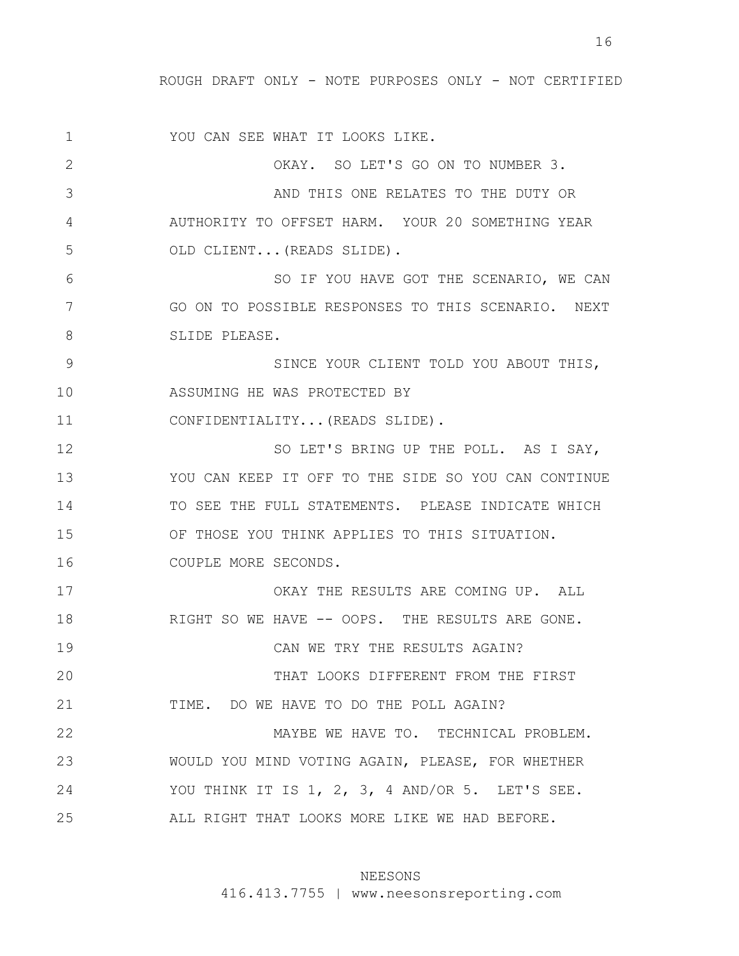1 2 3 4 5 6 7 8 9 10 11 12 13 14 15 16 17 18 19 20 21 22 23 24 25 YOU CAN SEE WHAT IT LOOKS LIKE. OKAY. SO LET'S GO ON TO NUMBER 3. AND THIS ONE RELATES TO THE DUTY OR AUTHORITY TO OFFSET HARM. YOUR 20 SOMETHING YEAR OLD CLIENT...(READS SLIDE). SO IF YOU HAVE GOT THE SCENARIO, WE CAN GO ON TO POSSIBLE RESPONSES TO THIS SCENARIO. NEXT SLIDE PLEASE. SINCE YOUR CLIENT TOLD YOU ABOUT THIS, ASSUMING HE WAS PROTECTED BY CONFIDENTIALITY...(READS SLIDE). SO LET'S BRING UP THE POLL. AS I SAY, YOU CAN KEEP IT OFF TO THE SIDE SO YOU CAN CONTINUE TO SEE THE FULL STATEMENTS. PLEASE INDICATE WHICH OF THOSE YOU THINK APPLIES TO THIS SITUATION. COUPLE MORE SECONDS. OKAY THE RESULTS ARE COMING UP. ALL RIGHT SO WE HAVE -- OOPS. THE RESULTS ARE GONE. CAN WE TRY THE RESULTS AGAIN? THAT LOOKS DIFFERENT FROM THE FIRST TIME. DO WE HAVE TO DO THE POLL AGAIN? MAYBE WE HAVE TO. TECHNICAL PROBLEM. WOULD YOU MIND VOTING AGAIN, PLEASE, FOR WHETHER YOU THINK IT IS 1, 2, 3, 4 AND/OR 5. LET'S SEE. ALL RIGHT THAT LOOKS MORE LIKE WE HAD BEFORE.

#### NEESONS

416.413.7755 | www.neesonsreporting.com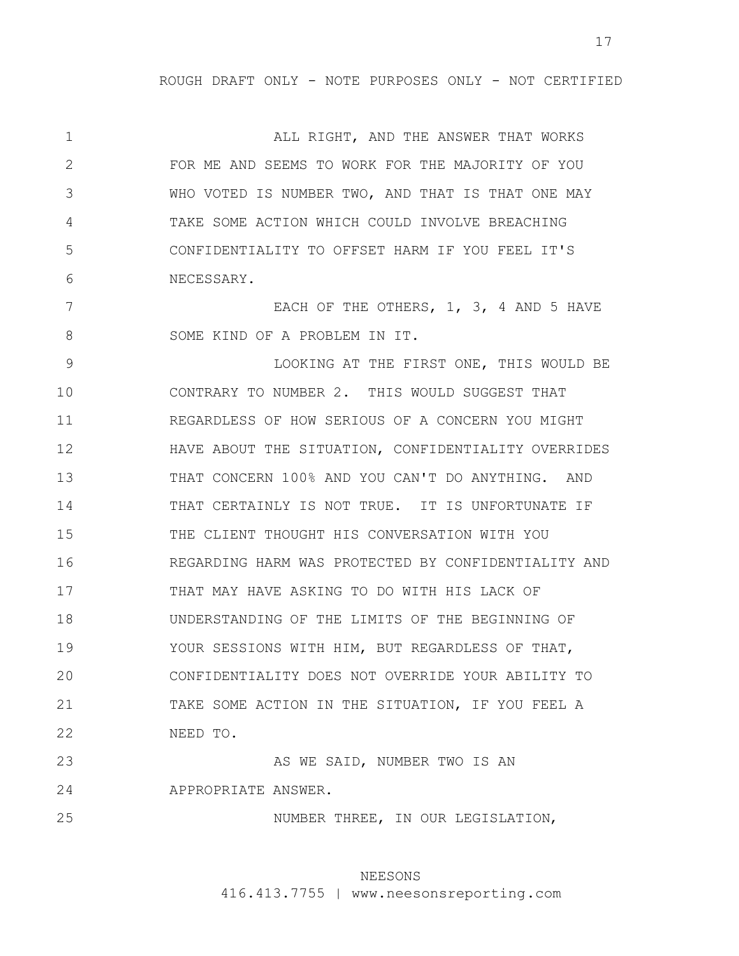1 2 3 4 5 6 ALL RIGHT, AND THE ANSWER THAT WORKS FOR ME AND SEEMS TO WORK FOR THE MAJORITY OF YOU WHO VOTED IS NUMBER TWO, AND THAT IS THAT ONE MAY TAKE SOME ACTION WHICH COULD INVOLVE BREACHING CONFIDENTIALITY TO OFFSET HARM IF YOU FEEL IT'S NECESSARY.

7 8 EACH OF THE OTHERS, 1, 3, 4 AND 5 HAVE SOME KIND OF A PROBLEM IN IT.

9 10 11 12 13 14 15 16 17 18 19 20 21 22 LOOKING AT THE FIRST ONE, THIS WOULD BE CONTRARY TO NUMBER 2. THIS WOULD SUGGEST THAT REGARDLESS OF HOW SERIOUS OF A CONCERN YOU MIGHT HAVE ABOUT THE SITUATION, CONFIDENTIALITY OVERRIDES THAT CONCERN 100% AND YOU CAN'T DO ANYTHING. AND THAT CERTAINLY IS NOT TRUE. IT IS UNFORTUNATE IF THE CLIENT THOUGHT HIS CONVERSATION WITH YOU REGARDING HARM WAS PROTECTED BY CONFIDENTIALITY AND THAT MAY HAVE ASKING TO DO WITH HIS LACK OF UNDERSTANDING OF THE LIMITS OF THE BEGINNING OF YOUR SESSIONS WITH HIM, BUT REGARDLESS OF THAT, CONFIDENTIALITY DOES NOT OVERRIDE YOUR ABILITY TO TAKE SOME ACTION IN THE SITUATION, IF YOU FEEL A NEED TO.

23 24 AS WE SAID, NUMBER TWO IS AN APPROPRIATE ANSWER.

25

NUMBER THREE, IN OUR LEGISLATION,

# NEESONS

416.413.7755 | www.neesonsreporting.com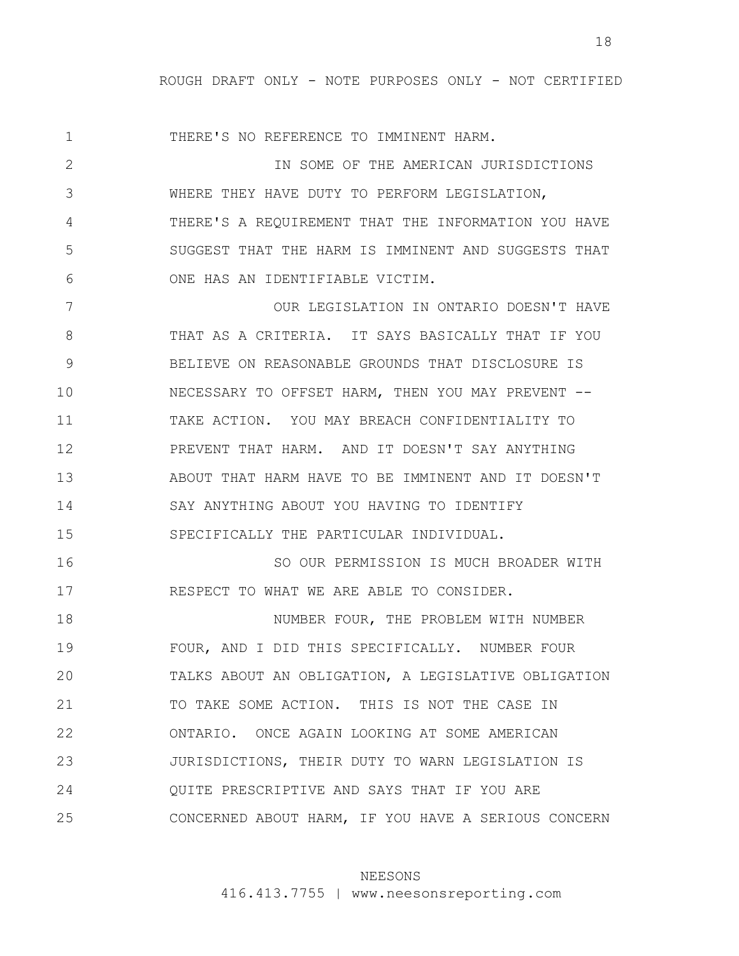1 2 3 4 5 6 7 8 9 10 11 12 13 14 15 16 17 18 19 20 21 22 23 24 25 THERE'S NO REFERENCE TO IMMINENT HARM. IN SOME OF THE AMERICAN JURISDICTIONS WHERE THEY HAVE DUTY TO PERFORM LEGISLATION, THERE'S A REQUIREMENT THAT THE INFORMATION YOU HAVE SUGGEST THAT THE HARM IS IMMINENT AND SUGGESTS THAT ONE HAS AN IDENTIFIABLE VICTIM. OUR LEGISLATION IN ONTARIO DOESN'T HAVE THAT AS A CRITERIA. IT SAYS BASICALLY THAT IF YOU BELIEVE ON REASONABLE GROUNDS THAT DISCLOSURE IS NECESSARY TO OFFSET HARM, THEN YOU MAY PREVENT -- TAKE ACTION. YOU MAY BREACH CONFIDENTIALITY TO PREVENT THAT HARM. AND IT DOESN'T SAY ANYTHING ABOUT THAT HARM HAVE TO BE IMMINENT AND IT DOESN'T SAY ANYTHING ABOUT YOU HAVING TO IDENTIFY SPECIFICALLY THE PARTICULAR INDIVIDUAL. SO OUR PERMISSION IS MUCH BROADER WITH RESPECT TO WHAT WE ARE ABLE TO CONSIDER. NUMBER FOUR, THE PROBLEM WITH NUMBER FOUR, AND I DID THIS SPECIFICALLY. NUMBER FOUR TALKS ABOUT AN OBLIGATION, A LEGISLATIVE OBLIGATION TO TAKE SOME ACTION. THIS IS NOT THE CASE IN ONTARIO. ONCE AGAIN LOOKING AT SOME AMERICAN JURISDICTIONS, THEIR DUTY TO WARN LEGISLATION IS QUITE PRESCRIPTIVE AND SAYS THAT IF YOU ARE CONCERNED ABOUT HARM, IF YOU HAVE A SERIOUS CONCERN

### NEESONS

416.413.7755 | www.neesonsreporting.com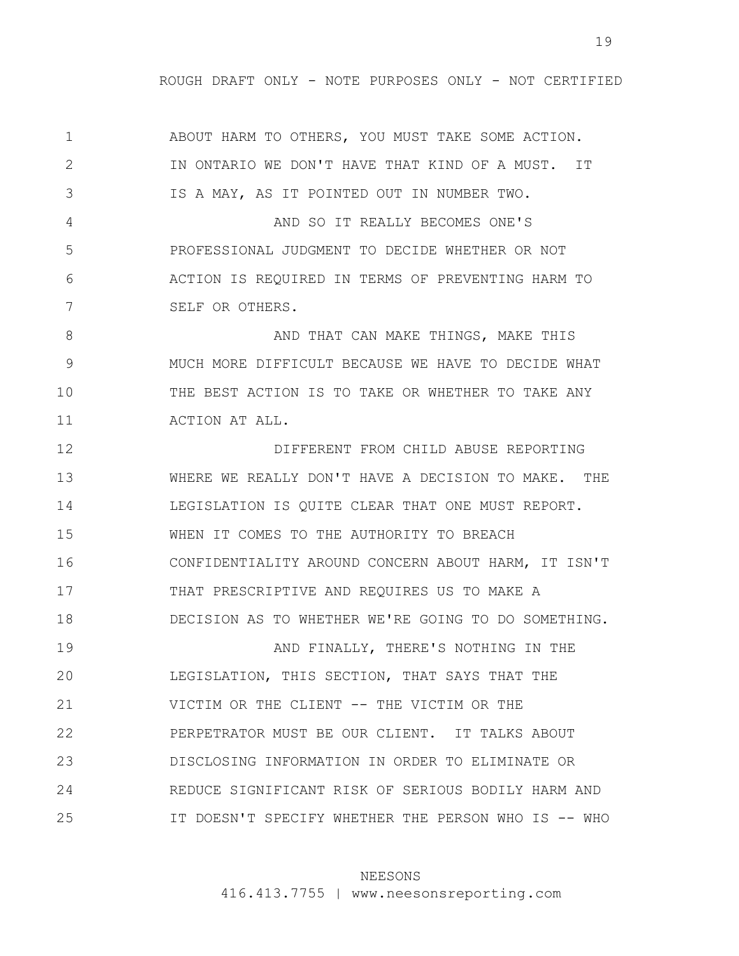1 2 3 4 5 6 7 8 9 10 11 12 13 14 15 16 17 18 19 20 21 22 23 24 25 ABOUT HARM TO OTHERS, YOU MUST TAKE SOME ACTION. IN ONTARIO WE DON'T HAVE THAT KIND OF A MUST. IT IS A MAY, AS IT POINTED OUT IN NUMBER TWO. AND SO IT REALLY BECOMES ONE'S PROFESSIONAL JUDGMENT TO DECIDE WHETHER OR NOT ACTION IS REQUIRED IN TERMS OF PREVENTING HARM TO SELF OR OTHERS. AND THAT CAN MAKE THINGS, MAKE THIS MUCH MORE DIFFICULT BECAUSE WE HAVE TO DECIDE WHAT THE BEST ACTION IS TO TAKE OR WHETHER TO TAKE ANY ACTION AT ALL. DIFFERENT FROM CHILD ABUSE REPORTING WHERE WE REALLY DON'T HAVE A DECISION TO MAKE. THE LEGISLATION IS QUITE CLEAR THAT ONE MUST REPORT. WHEN IT COMES TO THE AUTHORITY TO BREACH CONFIDENTIALITY AROUND CONCERN ABOUT HARM, IT ISN'T THAT PRESCRIPTIVE AND REQUIRES US TO MAKE A DECISION AS TO WHETHER WE'RE GOING TO DO SOMETHING. AND FINALLY, THERE'S NOTHING IN THE LEGISLATION, THIS SECTION, THAT SAYS THAT THE VICTIM OR THE CLIENT -- THE VICTIM OR THE PERPETRATOR MUST BE OUR CLIENT. IT TALKS ABOUT DISCLOSING INFORMATION IN ORDER TO ELIMINATE OR REDUCE SIGNIFICANT RISK OF SERIOUS BODILY HARM AND IT DOESN'T SPECIFY WHETHER THE PERSON WHO IS -- WHO

#### NEESONS

416.413.7755 | www.neesonsreporting.com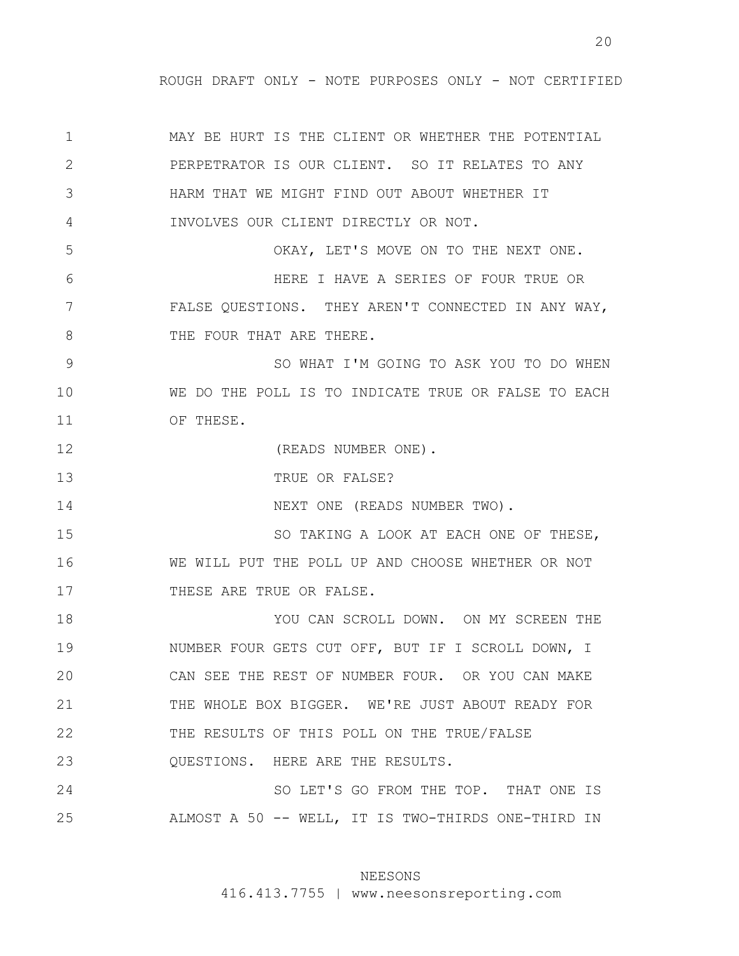20

1 2 3 4 5 6 7 8 9 10 11 12 13 14 15 16 17 18 19 20 21 22 23 24 25 MAY BE HURT IS THE CLIENT OR WHETHER THE POTENTIAL PERPETRATOR IS OUR CLIENT. SO IT RELATES TO ANY HARM THAT WE MIGHT FIND OUT ABOUT WHETHER IT INVOLVES OUR CLIENT DIRECTLY OR NOT. OKAY, LET'S MOVE ON TO THE NEXT ONE. HERE I HAVE A SERIES OF FOUR TRUE OR FALSE QUESTIONS. THEY AREN'T CONNECTED IN ANY WAY, THE FOUR THAT ARE THERE. SO WHAT I'M GOING TO ASK YOU TO DO WHEN WE DO THE POLL IS TO INDICATE TRUE OR FALSE TO EACH OF THESE. (READS NUMBER ONE). TRUE OR FALSE? NEXT ONE (READS NUMBER TWO). SO TAKING A LOOK AT EACH ONE OF THESE, WE WILL PUT THE POLL UP AND CHOOSE WHETHER OR NOT THESE ARE TRUE OR FALSE. YOU CAN SCROLL DOWN. ON MY SCREEN THE NUMBER FOUR GETS CUT OFF, BUT IF I SCROLL DOWN, I CAN SEE THE REST OF NUMBER FOUR. OR YOU CAN MAKE THE WHOLE BOX BIGGER. WE'RE JUST ABOUT READY FOR THE RESULTS OF THIS POLL ON THE TRUE/FALSE QUESTIONS. HERE ARE THE RESULTS. SO LET'S GO FROM THE TOP. THAT ONE IS ALMOST A 50 -- WELL, IT IS TWO-THIRDS ONE-THIRD IN

# NEESONS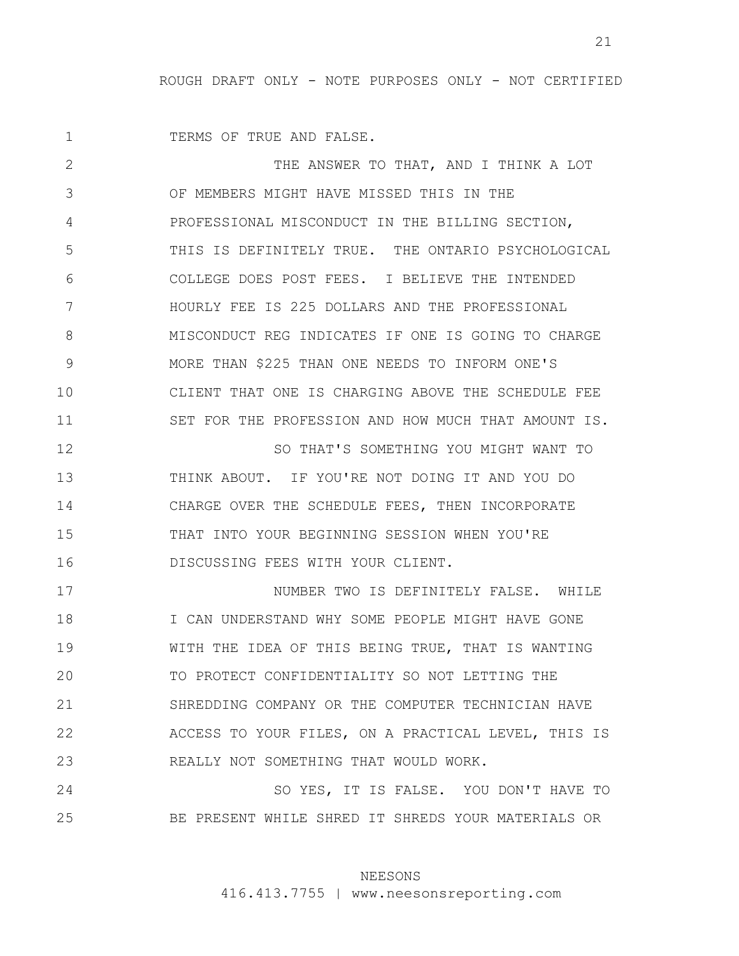21

1 TERMS OF TRUE AND FALSE.

2 3 4 5 6 7 8 9 10 11 12 13 14 15 16 17 18 19 20 21 22 23 24 THE ANSWER TO THAT, AND I THINK A LOT OF MEMBERS MIGHT HAVE MISSED THIS IN THE PROFESSIONAL MISCONDUCT IN THE BILLING SECTION, THIS IS DEFINITELY TRUE. THE ONTARIO PSYCHOLOGICAL COLLEGE DOES POST FEES. I BELIEVE THE INTENDED HOURLY FEE IS 225 DOLLARS AND THE PROFESSIONAL MISCONDUCT REG INDICATES IF ONE IS GOING TO CHARGE MORE THAN \$225 THAN ONE NEEDS TO INFORM ONE'S CLIENT THAT ONE IS CHARGING ABOVE THE SCHEDULE FEE SET FOR THE PROFESSION AND HOW MUCH THAT AMOUNT IS. SO THAT'S SOMETHING YOU MIGHT WANT TO THINK ABOUT. IF YOU'RE NOT DOING IT AND YOU DO CHARGE OVER THE SCHEDULE FEES, THEN INCORPORATE THAT INTO YOUR BEGINNING SESSION WHEN YOU'RE DISCUSSING FEES WITH YOUR CLIENT. NUMBER TWO IS DEFINITELY FALSE. WHILE I CAN UNDERSTAND WHY SOME PEOPLE MIGHT HAVE GONE WITH THE IDEA OF THIS BEING TRUE, THAT IS WANTING TO PROTECT CONFIDENTIALITY SO NOT LETTING THE SHREDDING COMPANY OR THE COMPUTER TECHNICIAN HAVE ACCESS TO YOUR FILES, ON A PRACTICAL LEVEL, THIS IS REALLY NOT SOMETHING THAT WOULD WORK. SO YES, IT IS FALSE. YOU DON'T HAVE TO

25

#### NEESONS

BE PRESENT WHILE SHRED IT SHREDS YOUR MATERIALS OR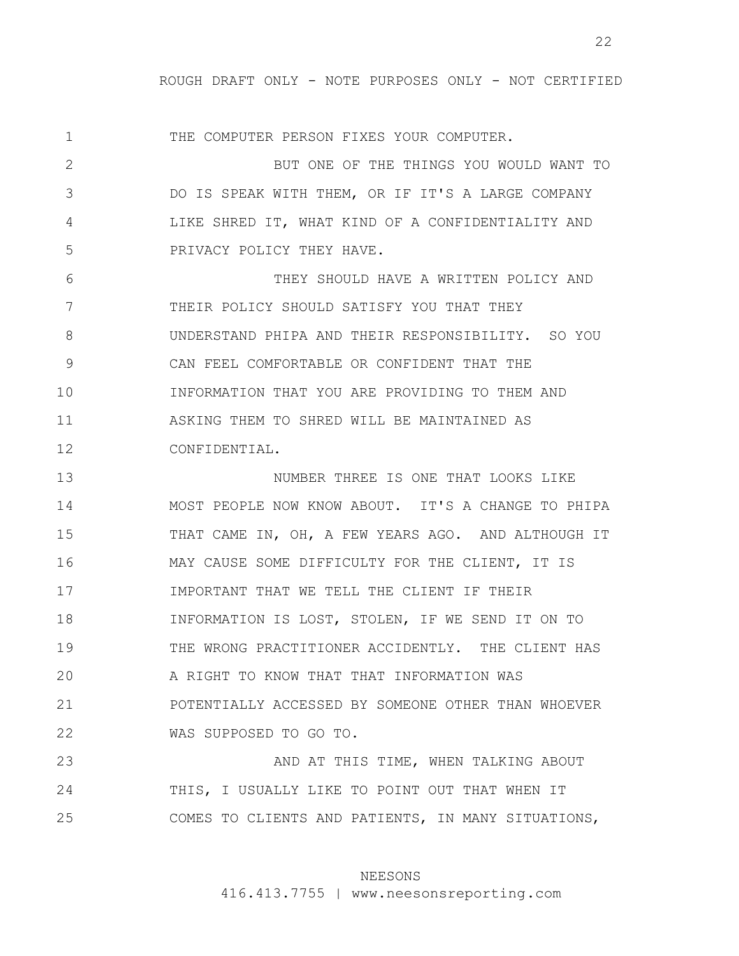1 2 3 4 5 6 7 8 9 10 11 12 13 14 15 16 17 18 19 20 21 22 23 24 25 THE COMPUTER PERSON FIXES YOUR COMPUTER. BUT ONE OF THE THINGS YOU WOULD WANT TO DO IS SPEAK WITH THEM, OR IF IT'S A LARGE COMPANY LIKE SHRED IT, WHAT KIND OF A CONFIDENTIALITY AND PRIVACY POLICY THEY HAVE. THEY SHOULD HAVE A WRITTEN POLICY AND THEIR POLICY SHOULD SATISFY YOU THAT THEY UNDERSTAND PHIPA AND THEIR RESPONSIBILITY. SO YOU CAN FEEL COMFORTABLE OR CONFIDENT THAT THE INFORMATION THAT YOU ARE PROVIDING TO THEM AND ASKING THEM TO SHRED WILL BE MAINTAINED AS CONFIDENTIAL. NUMBER THREE IS ONE THAT LOOKS LIKE MOST PEOPLE NOW KNOW ABOUT. IT'S A CHANGE TO PHIPA THAT CAME IN, OH, A FEW YEARS AGO. AND ALTHOUGH IT MAY CAUSE SOME DIFFICULTY FOR THE CLIENT, IT IS IMPORTANT THAT WE TELL THE CLIENT IF THEIR INFORMATION IS LOST, STOLEN, IF WE SEND IT ON TO THE WRONG PRACTITIONER ACCIDENTLY. THE CLIENT HAS A RIGHT TO KNOW THAT THAT INFORMATION WAS POTENTIALLY ACCESSED BY SOMEONE OTHER THAN WHOEVER WAS SUPPOSED TO GO TO. AND AT THIS TIME, WHEN TALKING ABOUT THIS, I USUALLY LIKE TO POINT OUT THAT WHEN IT COMES TO CLIENTS AND PATIENTS, IN MANY SITUATIONS,

# NEESONS

416.413.7755 | www.neesonsreporting.com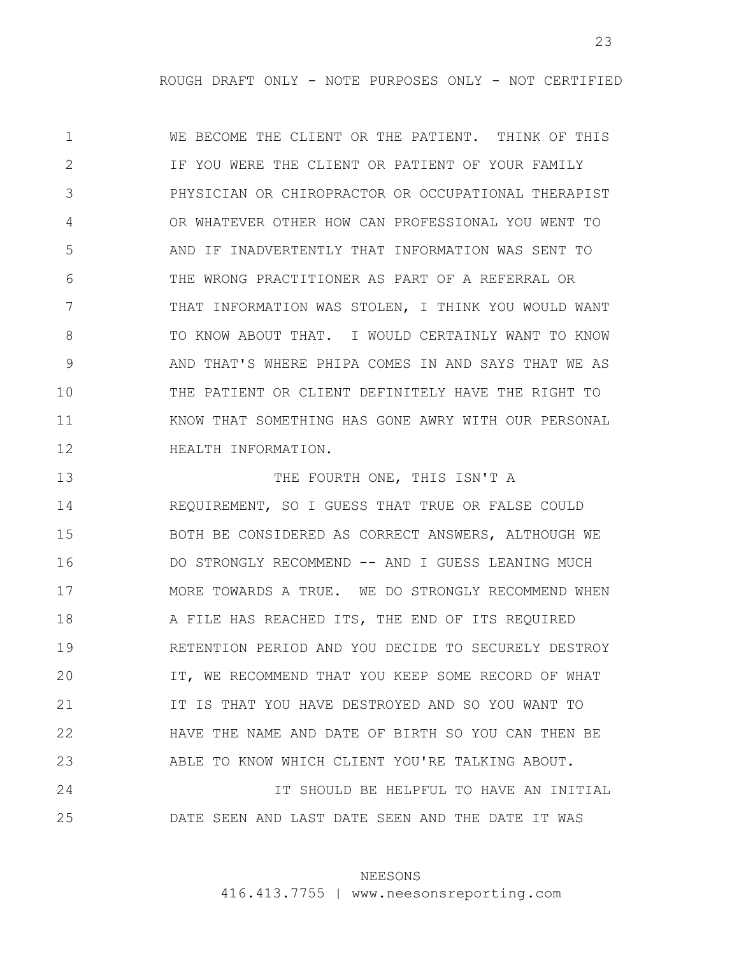23

1 2 3 4 5 6 7 8 9 10 11 12 WE BECOME THE CLIENT OR THE PATIENT. THINK OF THIS IF YOU WERE THE CLIENT OR PATIENT OF YOUR FAMILY PHYSICIAN OR CHIROPRACTOR OR OCCUPATIONAL THERAPIST OR WHATEVER OTHER HOW CAN PROFESSIONAL YOU WENT TO AND IF INADVERTENTLY THAT INFORMATION WAS SENT TO THE WRONG PRACTITIONER AS PART OF A REFERRAL OR THAT INFORMATION WAS STOLEN, I THINK YOU WOULD WANT TO KNOW ABOUT THAT. I WOULD CERTAINLY WANT TO KNOW AND THAT'S WHERE PHIPA COMES IN AND SAYS THAT WE AS THE PATIENT OR CLIENT DEFINITELY HAVE THE RIGHT TO KNOW THAT SOMETHING HAS GONE AWRY WITH OUR PERSONAL HEALTH INFORMATION.

13 14 15 16 17 18 19 20 21 22 23 24 25 THE FOURTH ONE, THIS ISN'T A REQUIREMENT, SO I GUESS THAT TRUE OR FALSE COULD BOTH BE CONSIDERED AS CORRECT ANSWERS, ALTHOUGH WE DO STRONGLY RECOMMEND -- AND I GUESS LEANING MUCH MORE TOWARDS A TRUE. WE DO STRONGLY RECOMMEND WHEN A FILE HAS REACHED ITS, THE END OF ITS REQUIRED RETENTION PERIOD AND YOU DECIDE TO SECURELY DESTROY IT, WE RECOMMEND THAT YOU KEEP SOME RECORD OF WHAT IT IS THAT YOU HAVE DESTROYED AND SO YOU WANT TO HAVE THE NAME AND DATE OF BIRTH SO YOU CAN THEN BE ABLE TO KNOW WHICH CLIENT YOU'RE TALKING ABOUT. IT SHOULD BE HELPFUL TO HAVE AN INITIAL DATE SEEN AND LAST DATE SEEN AND THE DATE IT WAS

# NEESONS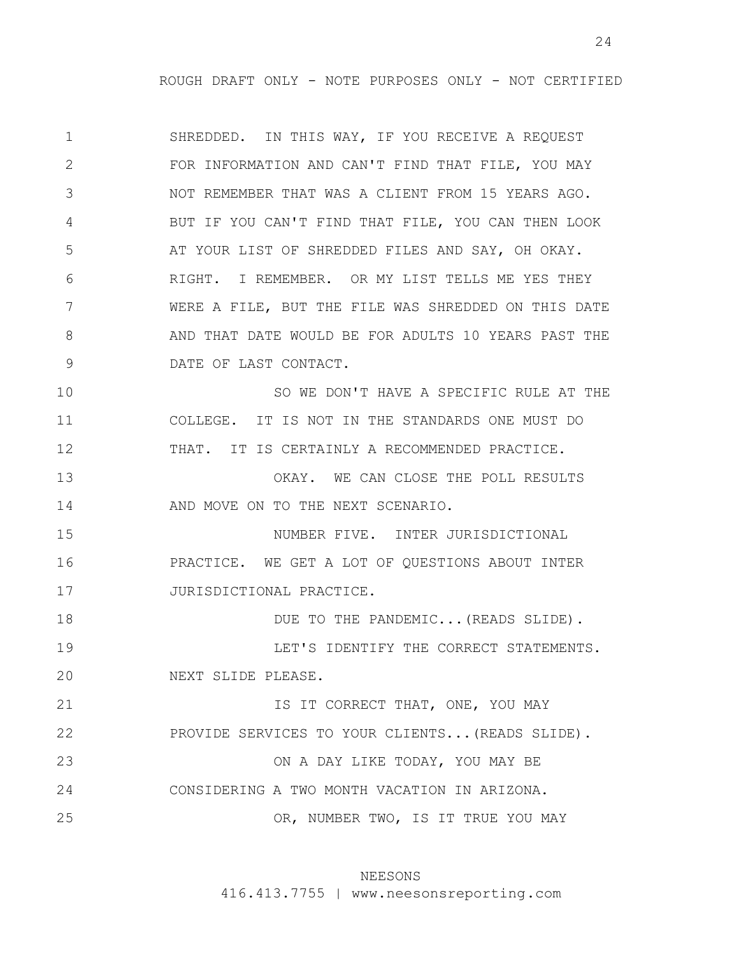24

1 2 3 4 5 6 7 8 9 10 11 12 13 14 15 16 17 18 19 20 21 22 23 24 25 SHREDDED. IN THIS WAY, IF YOU RECEIVE A REQUEST FOR INFORMATION AND CAN'T FIND THAT FILE, YOU MAY NOT REMEMBER THAT WAS A CLIENT FROM 15 YEARS AGO. BUT IF YOU CAN'T FIND THAT FILE, YOU CAN THEN LOOK AT YOUR LIST OF SHREDDED FILES AND SAY, OH OKAY. RIGHT. I REMEMBER. OR MY LIST TELLS ME YES THEY WERE A FILE, BUT THE FILE WAS SHREDDED ON THIS DATE AND THAT DATE WOULD BE FOR ADULTS 10 YEARS PAST THE DATE OF LAST CONTACT. SO WE DON'T HAVE A SPECIFIC RULE AT THE COLLEGE. IT IS NOT IN THE STANDARDS ONE MUST DO THAT. IT IS CERTAINLY A RECOMMENDED PRACTICE. OKAY. WE CAN CLOSE THE POLL RESULTS AND MOVE ON TO THE NEXT SCENARIO. NUMBER FIVE. INTER JURISDICTIONAL PRACTICE. WE GET A LOT OF QUESTIONS ABOUT INTER JURISDICTIONAL PRACTICE. DUE TO THE PANDEMIC... (READS SLIDE). LET'S IDENTIFY THE CORRECT STATEMENTS. NEXT SLIDE PLEASE. IS IT CORRECT THAT, ONE, YOU MAY PROVIDE SERVICES TO YOUR CLIENTS...(READS SLIDE). ON A DAY LIKE TODAY, YOU MAY BE CONSIDERING A TWO MONTH VACATION IN ARIZONA. OR, NUMBER TWO, IS IT TRUE YOU MAY

# NEESONS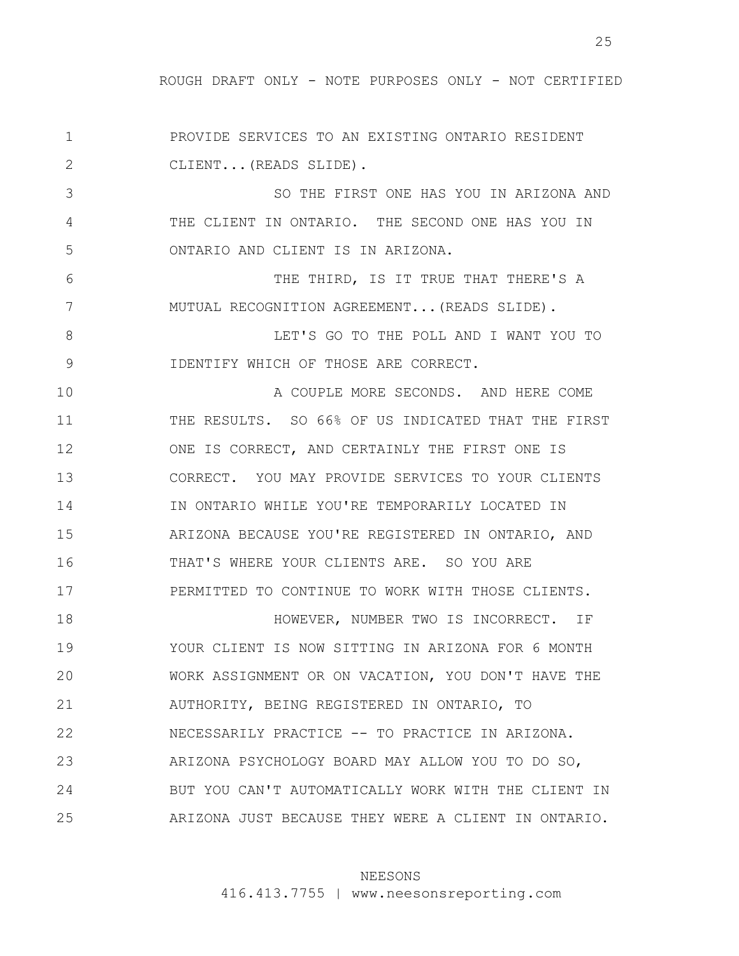1 2 PROVIDE SERVICES TO AN EXISTING ONTARIO RESIDENT CLIENT...(READS SLIDE).

3 4 5 SO THE FIRST ONE HAS YOU IN ARIZONA AND THE CLIENT IN ONTARIO. THE SECOND ONE HAS YOU IN ONTARIO AND CLIENT IS IN ARIZONA.

THE THIRD, IS IT TRUE THAT THERE'S A MUTUAL RECOGNITION AGREEMENT...(READS SLIDE).

6

7

8 9 LET'S GO TO THE POLL AND I WANT YOU TO IDENTIFY WHICH OF THOSE ARE CORRECT.

10 11 12 13 14 15 16 17 A COUPLE MORE SECONDS. AND HERE COME THE RESULTS. SO 66% OF US INDICATED THAT THE FIRST ONE IS CORRECT, AND CERTAINLY THE FIRST ONE IS CORRECT. YOU MAY PROVIDE SERVICES TO YOUR CLIENTS IN ONTARIO WHILE YOU'RE TEMPORARILY LOCATED IN ARIZONA BECAUSE YOU'RE REGISTERED IN ONTARIO, AND THAT'S WHERE YOUR CLIENTS ARE. SO YOU ARE PERMITTED TO CONTINUE TO WORK WITH THOSE CLIENTS.

18 19 20 21 22 23 24 25 HOWEVER, NUMBER TWO IS INCORRECT. IF YOUR CLIENT IS NOW SITTING IN ARIZONA FOR 6 MONTH WORK ASSIGNMENT OR ON VACATION, YOU DON'T HAVE THE AUTHORITY, BEING REGISTERED IN ONTARIO, TO NECESSARILY PRACTICE -- TO PRACTICE IN ARIZONA. ARIZONA PSYCHOLOGY BOARD MAY ALLOW YOU TO DO SO, BUT YOU CAN'T AUTOMATICALLY WORK WITH THE CLIENT IN ARIZONA JUST BECAUSE THEY WERE A CLIENT IN ONTARIO.

### NEESONS

416.413.7755 | www.neesonsreporting.com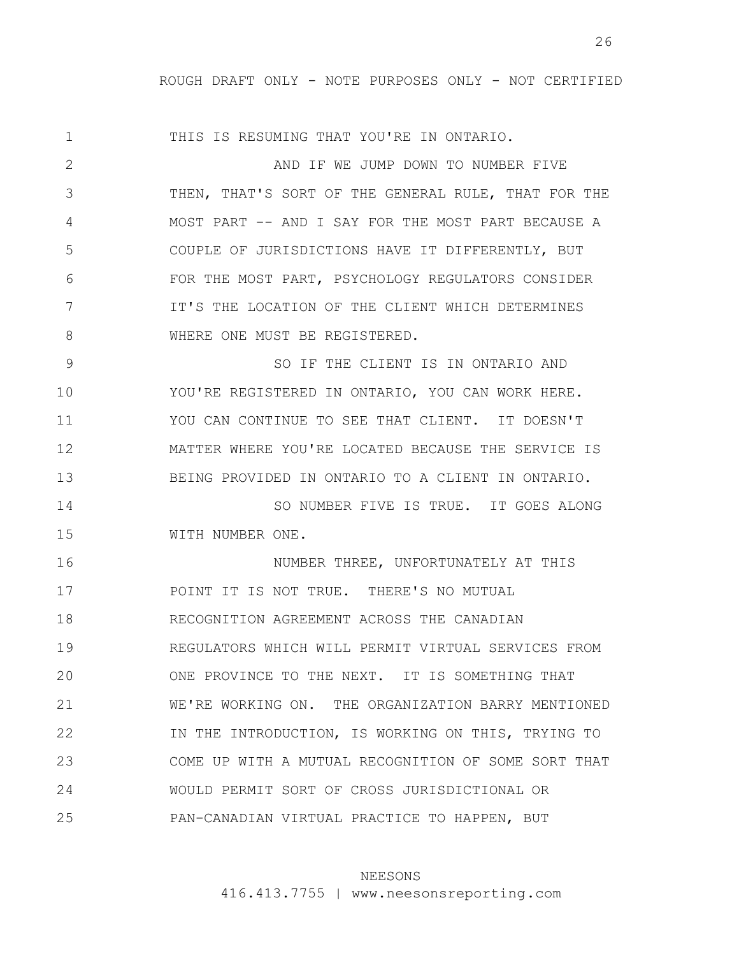1 2 3 4 5 6 7 8 9 10 11 12 13 14 15 16 17 18 19 20 21 22 23 24 25 THIS IS RESUMING THAT YOU'RE IN ONTARIO. AND IF WE JUMP DOWN TO NUMBER FIVE THEN, THAT'S SORT OF THE GENERAL RULE, THAT FOR THE MOST PART -- AND I SAY FOR THE MOST PART BECAUSE A COUPLE OF JURISDICTIONS HAVE IT DIFFERENTLY, BUT FOR THE MOST PART, PSYCHOLOGY REGULATORS CONSIDER IT'S THE LOCATION OF THE CLIENT WHICH DETERMINES WHERE ONE MUST BE REGISTERED. SO IF THE CLIENT IS IN ONTARIO AND YOU'RE REGISTERED IN ONTARIO, YOU CAN WORK HERE. YOU CAN CONTINUE TO SEE THAT CLIENT. IT DOESN'T MATTER WHERE YOU'RE LOCATED BECAUSE THE SERVICE IS BEING PROVIDED IN ONTARIO TO A CLIENT IN ONTARIO. SO NUMBER FIVE IS TRUE. IT GOES ALONG WITH NUMBER ONE. NUMBER THREE, UNFORTUNATELY AT THIS POINT IT IS NOT TRUE. THERE'S NO MUTUAL RECOGNITION AGREEMENT ACROSS THE CANADIAN REGULATORS WHICH WILL PERMIT VIRTUAL SERVICES FROM ONE PROVINCE TO THE NEXT. IT IS SOMETHING THAT WE'RE WORKING ON. THE ORGANIZATION BARRY MENTIONED IN THE INTRODUCTION, IS WORKING ON THIS, TRYING TO COME UP WITH A MUTUAL RECOGNITION OF SOME SORT THAT WOULD PERMIT SORT OF CROSS JURISDICTIONAL OR PAN-CANADIAN VIRTUAL PRACTICE TO HAPPEN, BUT

### NEESONS

416.413.7755 | www.neesonsreporting.com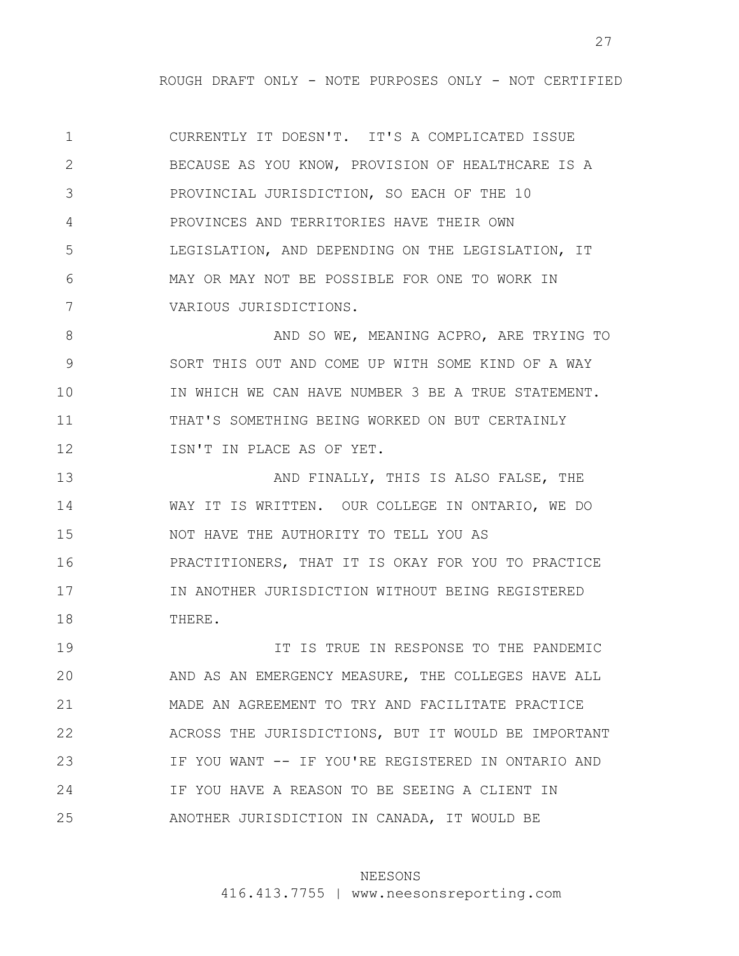1 2 3 4 5 6 7 CURRENTLY IT DOESN'T. IT'S A COMPLICATED ISSUE BECAUSE AS YOU KNOW, PROVISION OF HEALTHCARE IS A PROVINCIAL JURISDICTION, SO EACH OF THE 10 PROVINCES AND TERRITORIES HAVE THEIR OWN LEGISLATION, AND DEPENDING ON THE LEGISLATION, IT MAY OR MAY NOT BE POSSIBLE FOR ONE TO WORK IN VARIOUS JURISDICTIONS.

8 9 10 11 12 AND SO WE, MEANING ACPRO, ARE TRYING TO SORT THIS OUT AND COME UP WITH SOME KIND OF A WAY IN WHICH WE CAN HAVE NUMBER 3 BE A TRUE STATEMENT. THAT'S SOMETHING BEING WORKED ON BUT CERTAINLY ISN'T IN PLACE AS OF YET.

13 14 15 16 17 18 AND FINALLY, THIS IS ALSO FALSE, THE WAY IT IS WRITTEN. OUR COLLEGE IN ONTARIO, WE DO NOT HAVE THE AUTHORITY TO TELL YOU AS PRACTITIONERS, THAT IT IS OKAY FOR YOU TO PRACTICE IN ANOTHER JURISDICTION WITHOUT BEING REGISTERED THERE.

19 20 21 22 23 24 25 IT IS TRUE IN RESPONSE TO THE PANDEMIC AND AS AN EMERGENCY MEASURE, THE COLLEGES HAVE ALL MADE AN AGREEMENT TO TRY AND FACILITATE PRACTICE ACROSS THE JURISDICTIONS, BUT IT WOULD BE IMPORTANT IF YOU WANT -- IF YOU'RE REGISTERED IN ONTARIO AND IF YOU HAVE A REASON TO BE SEEING A CLIENT IN ANOTHER JURISDICTION IN CANADA, IT WOULD BE

# NEESONS

416.413.7755 | www.neesonsreporting.com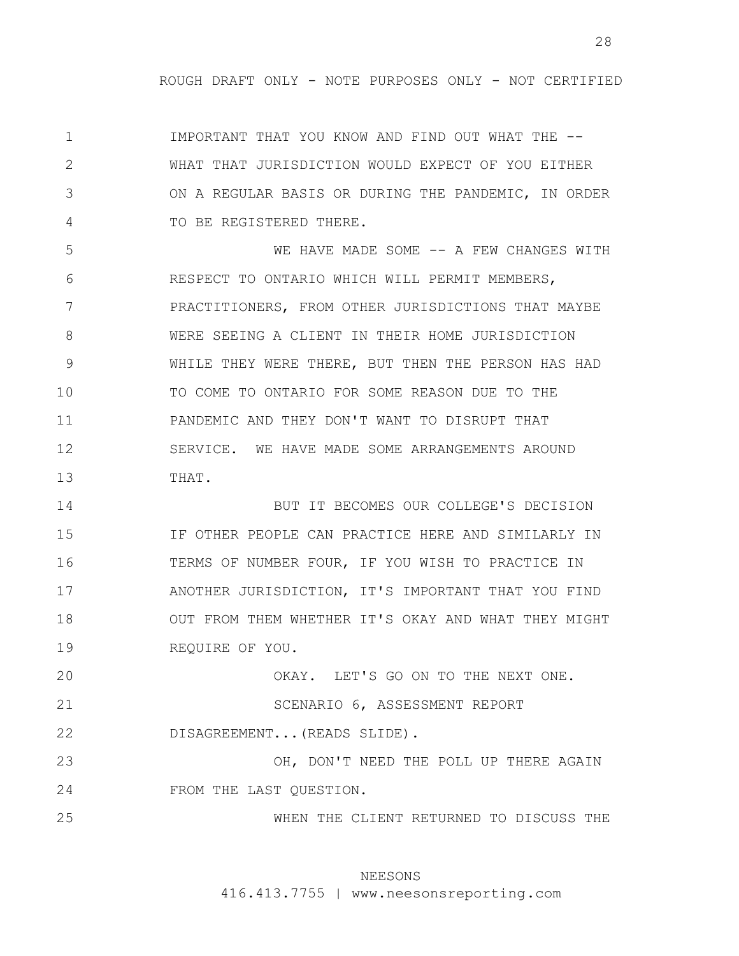1 2 3 4 IMPORTANT THAT YOU KNOW AND FIND OUT WHAT THE -- WHAT THAT JURISDICTION WOULD EXPECT OF YOU EITHER ON A REGULAR BASIS OR DURING THE PANDEMIC, IN ORDER TO BE REGISTERED THERE.

5 6 7 8 9 10 11 12 13 WE HAVE MADE SOME -- A FEW CHANGES WITH RESPECT TO ONTARIO WHICH WILL PERMIT MEMBERS, PRACTITIONERS, FROM OTHER JURISDICTIONS THAT MAYBE WERE SEEING A CLIENT IN THEIR HOME JURISDICTION WHILE THEY WERE THERE, BUT THEN THE PERSON HAS HAD TO COME TO ONTARIO FOR SOME REASON DUE TO THE PANDEMIC AND THEY DON'T WANT TO DISRUPT THAT SERVICE. WE HAVE MADE SOME ARRANGEMENTS AROUND THAT.

14 15 16 17 18 19 BUT IT BECOMES OUR COLLEGE'S DECISION IF OTHER PEOPLE CAN PRACTICE HERE AND SIMILARLY IN TERMS OF NUMBER FOUR, IF YOU WISH TO PRACTICE IN ANOTHER JURISDICTION, IT'S IMPORTANT THAT YOU FIND OUT FROM THEM WHETHER IT'S OKAY AND WHAT THEY MIGHT REQUIRE OF YOU.

20 21 22 23 24 OKAY. LET'S GO ON TO THE NEXT ONE. SCENARIO 6, ASSESSMENT REPORT DISAGREEMENT...(READS SLIDE). OH, DON'T NEED THE POLL UP THERE AGAIN FROM THE LAST QUESTION.

25 WHEN THE CLIENT RETURNED TO DISCUSS THE

# NEESONS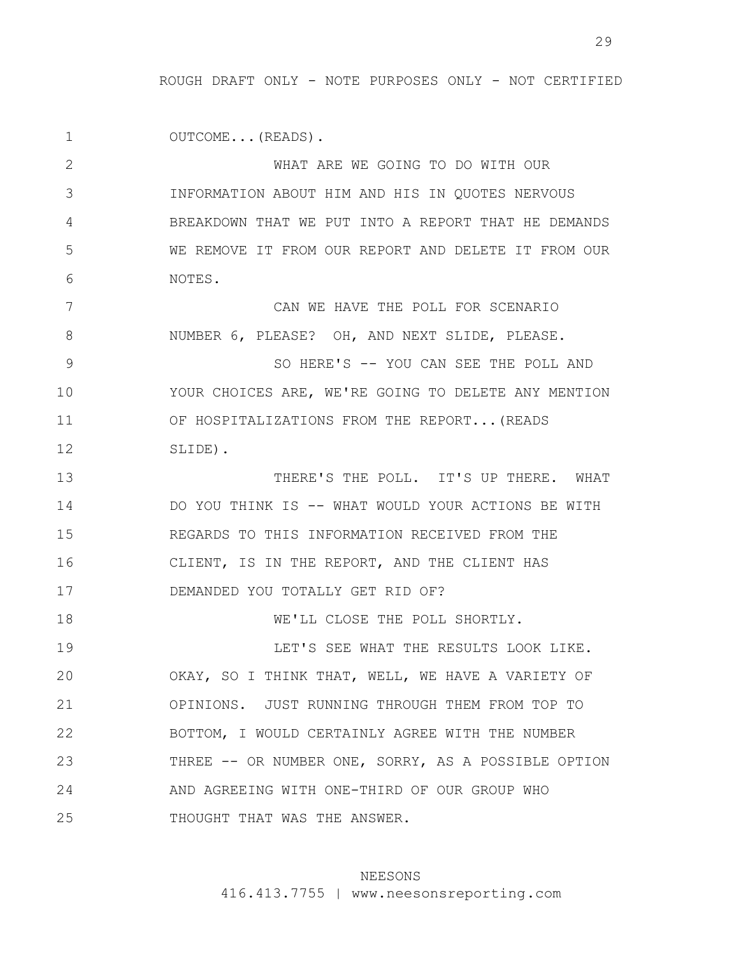1 2 3 4 5 6 7 8 9 10 11 12 13 14 15 16 17 18 19 20 21 22 23 24 25 OUTCOME...(READS). WHAT ARE WE GOING TO DO WITH OUR INFORMATION ABOUT HIM AND HIS IN QUOTES NERVOUS BREAKDOWN THAT WE PUT INTO A REPORT THAT HE DEMANDS WE REMOVE IT FROM OUR REPORT AND DELETE IT FROM OUR NOTES. CAN WE HAVE THE POLL FOR SCENARIO NUMBER 6, PLEASE? OH, AND NEXT SLIDE, PLEASE. SO HERE'S -- YOU CAN SEE THE POLL AND YOUR CHOICES ARE, WE'RE GOING TO DELETE ANY MENTION OF HOSPITALIZATIONS FROM THE REPORT...(READS SLIDE). THERE'S THE POLL. IT'S UP THERE. WHAT DO YOU THINK IS -- WHAT WOULD YOUR ACTIONS BE WITH REGARDS TO THIS INFORMATION RECEIVED FROM THE CLIENT, IS IN THE REPORT, AND THE CLIENT HAS DEMANDED YOU TOTALLY GET RID OF? WE'LL CLOSE THE POLL SHORTLY. LET'S SEE WHAT THE RESULTS LOOK LIKE. OKAY, SO I THINK THAT, WELL, WE HAVE A VARIETY OF OPINIONS. JUST RUNNING THROUGH THEM FROM TOP TO BOTTOM, I WOULD CERTAINLY AGREE WITH THE NUMBER THREE -- OR NUMBER ONE, SORRY, AS A POSSIBLE OPTION AND AGREEING WITH ONE-THIRD OF OUR GROUP WHO THOUGHT THAT WAS THE ANSWER.

# NEESONS

416.413.7755 | www.neesonsreporting.com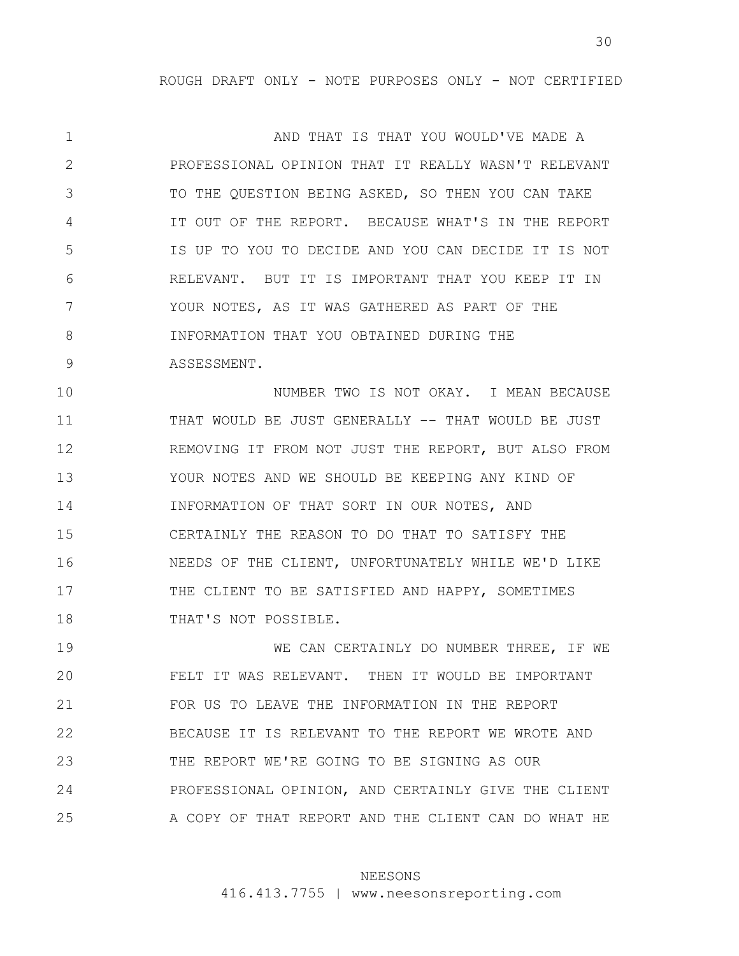1 2 3 4 5 6 7 8 9 AND THAT IS THAT YOU WOULD'VE MADE A PROFESSIONAL OPINION THAT IT REALLY WASN'T RELEVANT TO THE QUESTION BEING ASKED, SO THEN YOU CAN TAKE IT OUT OF THE REPORT. BECAUSE WHAT'S IN THE REPORT IS UP TO YOU TO DECIDE AND YOU CAN DECIDE IT IS NOT RELEVANT. BUT IT IS IMPORTANT THAT YOU KEEP IT IN YOUR NOTES, AS IT WAS GATHERED AS PART OF THE INFORMATION THAT YOU OBTAINED DURING THE ASSESSMENT.

10 11 12 13 14 15 16 17 18 NUMBER TWO IS NOT OKAY. I MEAN BECAUSE THAT WOULD BE JUST GENERALLY -- THAT WOULD BE JUST REMOVING IT FROM NOT JUST THE REPORT, BUT ALSO FROM YOUR NOTES AND WE SHOULD BE KEEPING ANY KIND OF INFORMATION OF THAT SORT IN OUR NOTES, AND CERTAINLY THE REASON TO DO THAT TO SATISFY THE NEEDS OF THE CLIENT, UNFORTUNATELY WHILE WE'D LIKE THE CLIENT TO BE SATISFIED AND HAPPY, SOMETIMES THAT'S NOT POSSIBLE.

19 20 21 22 23 24 25 WE CAN CERTAINLY DO NUMBER THREE, IF WE FELT IT WAS RELEVANT. THEN IT WOULD BE IMPORTANT FOR US TO LEAVE THE INFORMATION IN THE REPORT BECAUSE IT IS RELEVANT TO THE REPORT WE WROTE AND THE REPORT WE'RE GOING TO BE SIGNING AS OUR PROFESSIONAL OPINION, AND CERTAINLY GIVE THE CLIENT A COPY OF THAT REPORT AND THE CLIENT CAN DO WHAT HE

### NEESONS

416.413.7755 | www.neesonsreporting.com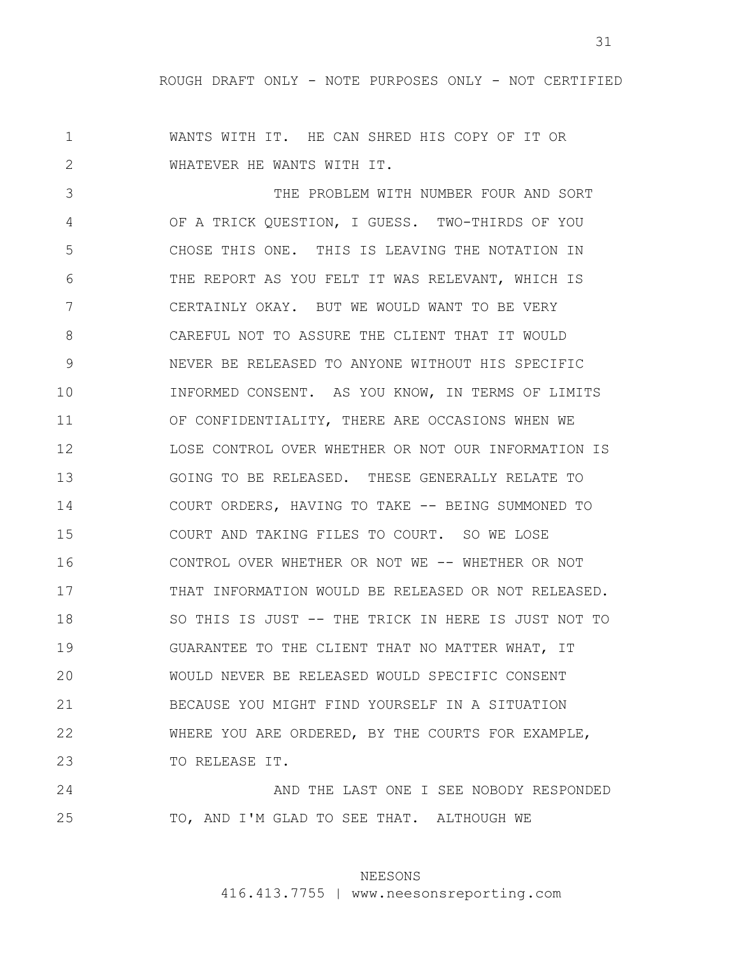31

1 2 WANTS WITH IT. HE CAN SHRED HIS COPY OF IT OR WHATEVER HE WANTS WITH IT.

3 4 5 6 7 8 9 10 11 12 13 14 15 16 17 18 19 20 21 22 23 THE PROBLEM WITH NUMBER FOUR AND SORT OF A TRICK QUESTION, I GUESS. TWO-THIRDS OF YOU CHOSE THIS ONE. THIS IS LEAVING THE NOTATION IN THE REPORT AS YOU FELT IT WAS RELEVANT, WHICH IS CERTAINLY OKAY. BUT WE WOULD WANT TO BE VERY CAREFUL NOT TO ASSURE THE CLIENT THAT IT WOULD NEVER BE RELEASED TO ANYONE WITHOUT HIS SPECIFIC INFORMED CONSENT. AS YOU KNOW, IN TERMS OF LIMITS OF CONFIDENTIALITY, THERE ARE OCCASIONS WHEN WE LOSE CONTROL OVER WHETHER OR NOT OUR INFORMATION IS GOING TO BE RELEASED. THESE GENERALLY RELATE TO COURT ORDERS, HAVING TO TAKE -- BEING SUMMONED TO COURT AND TAKING FILES TO COURT. SO WE LOSE CONTROL OVER WHETHER OR NOT WE -- WHETHER OR NOT THAT INFORMATION WOULD BE RELEASED OR NOT RELEASED. SO THIS IS JUST -- THE TRICK IN HERE IS JUST NOT TO GUARANTEE TO THE CLIENT THAT NO MATTER WHAT, IT WOULD NEVER BE RELEASED WOULD SPECIFIC CONSENT BECAUSE YOU MIGHT FIND YOURSELF IN A SITUATION WHERE YOU ARE ORDERED, BY THE COURTS FOR EXAMPLE, TO RELEASE IT.

24 25 AND THE LAST ONE I SEE NOBODY RESPONDED TO, AND I'M GLAD TO SEE THAT. ALTHOUGH WE

# NEESONS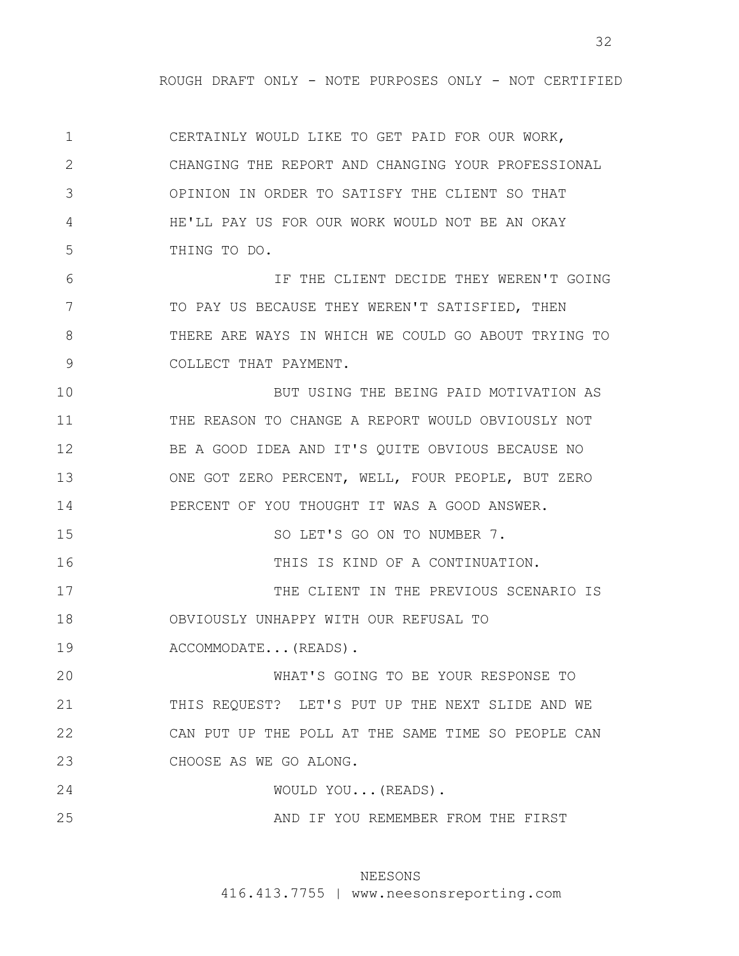1 2 3 4 5 CERTAINLY WOULD LIKE TO GET PAID FOR OUR WORK, CHANGING THE REPORT AND CHANGING YOUR PROFESSIONAL OPINION IN ORDER TO SATISFY THE CLIENT SO THAT HE'LL PAY US FOR OUR WORK WOULD NOT BE AN OKAY THING TO DO.

6 7 8 9 IF THE CLIENT DECIDE THEY WEREN'T GOING TO PAY US BECAUSE THEY WEREN'T SATISFIED, THEN THERE ARE WAYS IN WHICH WE COULD GO ABOUT TRYING TO COLLECT THAT PAYMENT.

10 11 12 13 14 15 BUT USING THE BEING PAID MOTIVATION AS THE REASON TO CHANGE A REPORT WOULD OBVIOUSLY NOT BE A GOOD IDEA AND IT'S QUITE OBVIOUS BECAUSE NO ONE GOT ZERO PERCENT, WELL, FOUR PEOPLE, BUT ZERO PERCENT OF YOU THOUGHT IT WAS A GOOD ANSWER. SO LET'S GO ON TO NUMBER 7.

17 18 THE CLIENT IN THE PREVIOUS SCENARIO IS OBVIOUSLY UNHAPPY WITH OUR REFUSAL TO

19 ACCOMMODATE...(READS).

16

20 21 22 23 WHAT'S GOING TO BE YOUR RESPONSE TO THIS REQUEST? LET'S PUT UP THE NEXT SLIDE AND WE CAN PUT UP THE POLL AT THE SAME TIME SO PEOPLE CAN CHOOSE AS WE GO ALONG.

24 WOULD YOU...(READS).

25 AND IF YOU REMEMBER FROM THE FIRST

# NEESONS

THIS IS KIND OF A CONTINUATION.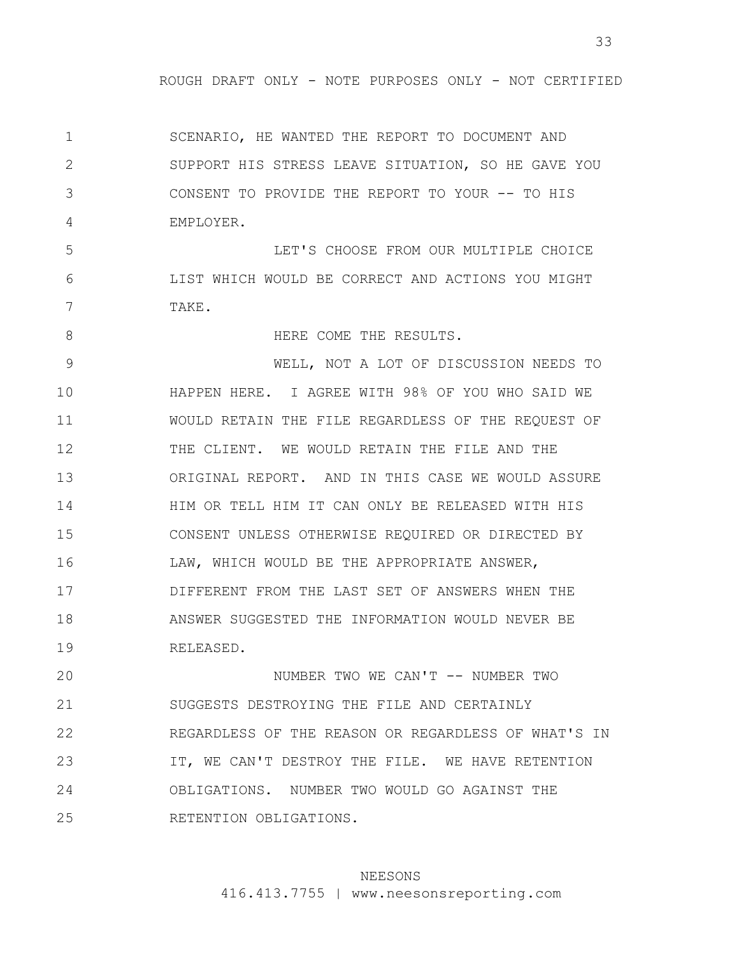1 2 3 4 SCENARIO, HE WANTED THE REPORT TO DOCUMENT AND SUPPORT HIS STRESS LEAVE SITUATION, SO HE GAVE YOU CONSENT TO PROVIDE THE REPORT TO YOUR -- TO HIS EMPLOYER.

5 6 7 LET'S CHOOSE FROM OUR MULTIPLE CHOICE LIST WHICH WOULD BE CORRECT AND ACTIONS YOU MIGHT TAKE.

8 9 10 11 12 13 14 15 16 17 18 19 HERE COME THE RESULTS. WELL, NOT A LOT OF DISCUSSION NEEDS TO HAPPEN HERE. I AGREE WITH 98% OF YOU WHO SAID WE WOULD RETAIN THE FILE REGARDLESS OF THE REQUEST OF THE CLIENT. WE WOULD RETAIN THE FILE AND THE ORIGINAL REPORT. AND IN THIS CASE WE WOULD ASSURE HIM OR TELL HIM IT CAN ONLY BE RELEASED WITH HIS CONSENT UNLESS OTHERWISE REQUIRED OR DIRECTED BY LAW, WHICH WOULD BE THE APPROPRIATE ANSWER, DIFFERENT FROM THE LAST SET OF ANSWERS WHEN THE ANSWER SUGGESTED THE INFORMATION WOULD NEVER BE RELEASED.

20 21 22 23 24 25 NUMBER TWO WE CAN'T -- NUMBER TWO SUGGESTS DESTROYING THE FILE AND CERTAINLY REGARDLESS OF THE REASON OR REGARDLESS OF WHAT'S IN IT, WE CAN'T DESTROY THE FILE. WE HAVE RETENTION OBLIGATIONS. NUMBER TWO WOULD GO AGAINST THE RETENTION OBLIGATIONS.

# NEESONS

416.413.7755 | www.neesonsreporting.com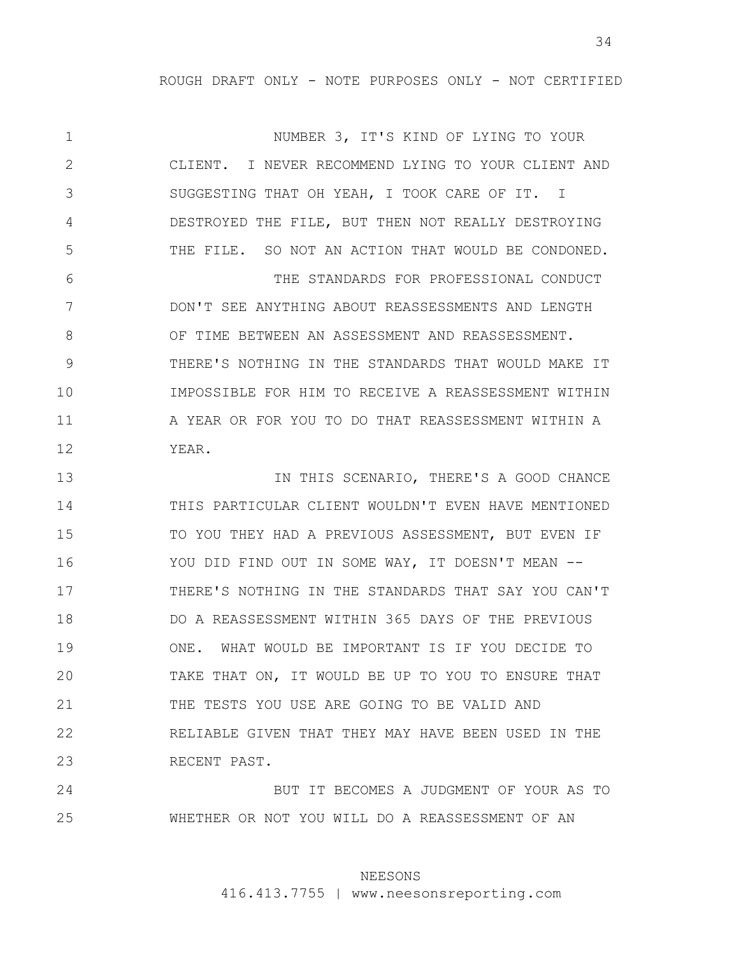1 2 3 4 5 6 7 8 9 10 11 12 13 14 15 16 17 18 19 20 21 22 23 NUMBER 3, IT'S KIND OF LYING TO YOUR CLIENT. I NEVER RECOMMEND LYING TO YOUR CLIENT AND SUGGESTING THAT OH YEAH, I TOOK CARE OF IT. I DESTROYED THE FILE, BUT THEN NOT REALLY DESTROYING THE FILE. SO NOT AN ACTION THAT WOULD BE CONDONED. THE STANDARDS FOR PROFESSIONAL CONDUCT DON'T SEE ANYTHING ABOUT REASSESSMENTS AND LENGTH OF TIME BETWEEN AN ASSESSMENT AND REASSESSMENT. THERE'S NOTHING IN THE STANDARDS THAT WOULD MAKE IT IMPOSSIBLE FOR HIM TO RECEIVE A REASSESSMENT WITHIN A YEAR OR FOR YOU TO DO THAT REASSESSMENT WITHIN A YEAR. IN THIS SCENARIO, THERE'S A GOOD CHANCE THIS PARTICULAR CLIENT WOULDN'T EVEN HAVE MENTIONED TO YOU THEY HAD A PREVIOUS ASSESSMENT, BUT EVEN IF YOU DID FIND OUT IN SOME WAY, IT DOESN'T MEAN --THERE'S NOTHING IN THE STANDARDS THAT SAY YOU CAN'T DO A REASSESSMENT WITHIN 365 DAYS OF THE PREVIOUS ONE. WHAT WOULD BE IMPORTANT IS IF YOU DECIDE TO TAKE THAT ON, IT WOULD BE UP TO YOU TO ENSURE THAT THE TESTS YOU USE ARE GOING TO BE VALID AND RELIABLE GIVEN THAT THEY MAY HAVE BEEN USED IN THE RECENT PAST.

24 25 BUT IT BECOMES A JUDGMENT OF YOUR AS TO WHETHER OR NOT YOU WILL DO A REASSESSMENT OF AN

# NEESONS

416.413.7755 | www.neesonsreporting.com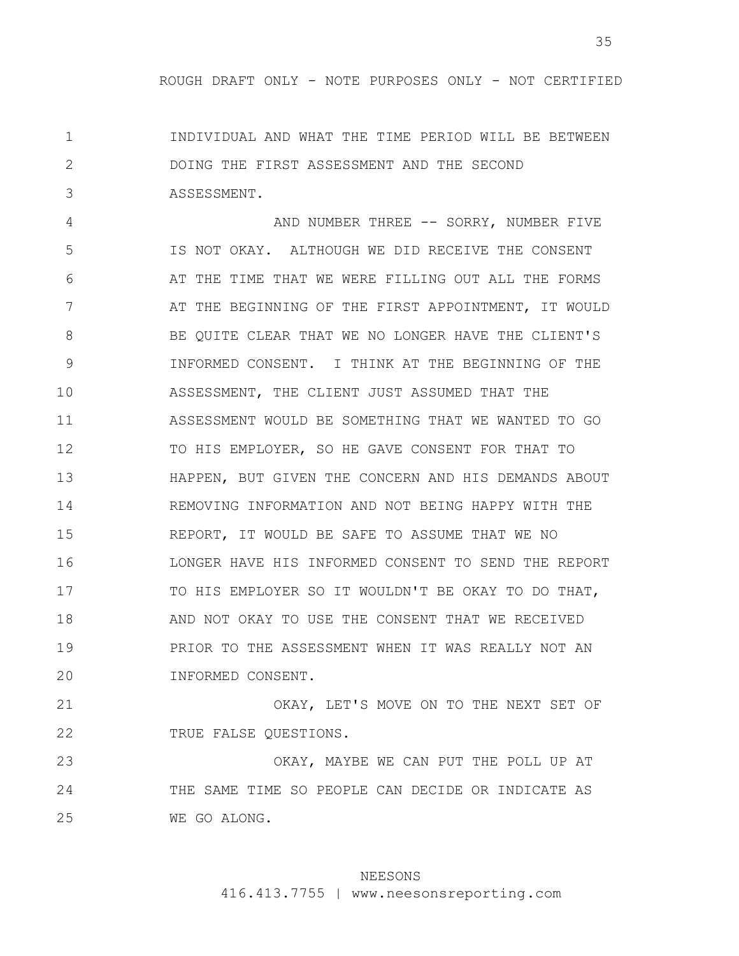1 2 3 INDIVIDUAL AND WHAT THE TIME PERIOD WILL BE BETWEEN DOING THE FIRST ASSESSMENT AND THE SECOND ASSESSMENT.

4 5 6 7 8 9 10 11 12 13 14 15 16 17 18 19 20 AND NUMBER THREE -- SORRY, NUMBER FIVE IS NOT OKAY. ALTHOUGH WE DID RECEIVE THE CONSENT AT THE TIME THAT WE WERE FILLING OUT ALL THE FORMS AT THE BEGINNING OF THE FIRST APPOINTMENT, IT WOULD BE QUITE CLEAR THAT WE NO LONGER HAVE THE CLIENT'S INFORMED CONSENT. I THINK AT THE BEGINNING OF THE ASSESSMENT, THE CLIENT JUST ASSUMED THAT THE ASSESSMENT WOULD BE SOMETHING THAT WE WANTED TO GO TO HIS EMPLOYER, SO HE GAVE CONSENT FOR THAT TO HAPPEN, BUT GIVEN THE CONCERN AND HIS DEMANDS ABOUT REMOVING INFORMATION AND NOT BEING HAPPY WITH THE REPORT, IT WOULD BE SAFE TO ASSUME THAT WE NO LONGER HAVE HIS INFORMED CONSENT TO SEND THE REPORT TO HIS EMPLOYER SO IT WOULDN'T BE OKAY TO DO THAT, AND NOT OKAY TO USE THE CONSENT THAT WE RECEIVED PRIOR TO THE ASSESSMENT WHEN IT WAS REALLY NOT AN INFORMED CONSENT.

21 22 OKAY, LET'S MOVE ON TO THE NEXT SET OF TRUE FALSE QUESTIONS.

23 24 25 OKAY, MAYBE WE CAN PUT THE POLL UP AT THE SAME TIME SO PEOPLE CAN DECIDE OR INDICATE AS WE GO ALONG.

# NEESONS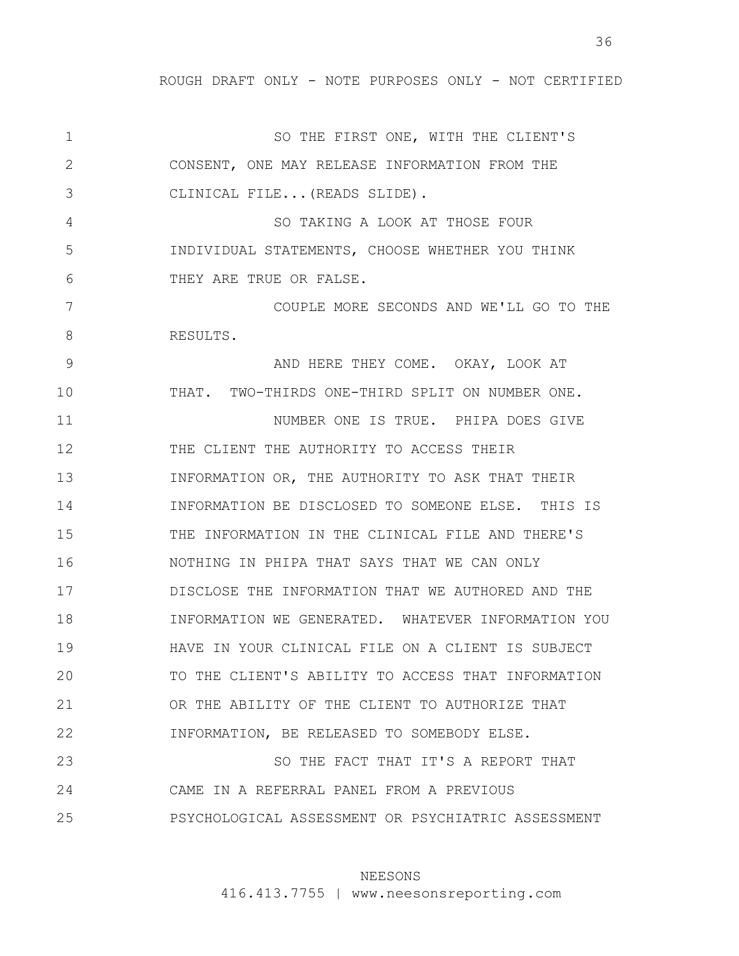1 2 3 4 5 6 7 8 9 10 11 12 13 14 15 16 17 18 19 20 21 22 23 24 25 SO THE FIRST ONE, WITH THE CLIENT'S CONSENT, ONE MAY RELEASE INFORMATION FROM THE CLINICAL FILE...(READS SLIDE). SO TAKING A LOOK AT THOSE FOUR INDIVIDUAL STATEMENTS, CHOOSE WHETHER YOU THINK THEY ARE TRUE OR FALSE. COUPLE MORE SECONDS AND WE'LL GO TO THE RESULTS. AND HERE THEY COME. OKAY, LOOK AT THAT. TWO-THIRDS ONE-THIRD SPLIT ON NUMBER ONE. NUMBER ONE IS TRUE. PHIPA DOES GIVE THE CLIENT THE AUTHORITY TO ACCESS THEIR INFORMATION OR, THE AUTHORITY TO ASK THAT THEIR INFORMATION BE DISCLOSED TO SOMEONE ELSE. THIS IS THE INFORMATION IN THE CLINICAL FILE AND THERE'S NOTHING IN PHIPA THAT SAYS THAT WE CAN ONLY DISCLOSE THE INFORMATION THAT WE AUTHORED AND THE INFORMATION WE GENERATED. WHATEVER INFORMATION YOU HAVE IN YOUR CLINICAL FILE ON A CLIENT IS SUBJECT TO THE CLIENT'S ABILITY TO ACCESS THAT INFORMATION OR THE ABILITY OF THE CLIENT TO AUTHORIZE THAT INFORMATION, BE RELEASED TO SOMEBODY ELSE. SO THE FACT THAT IT'S A REPORT THAT CAME IN A REFERRAL PANEL FROM A PREVIOUS PSYCHOLOGICAL ASSESSMENT OR PSYCHIATRIC ASSESSMENT

#### NEESONS

416.413.7755 | www.neesonsreporting.com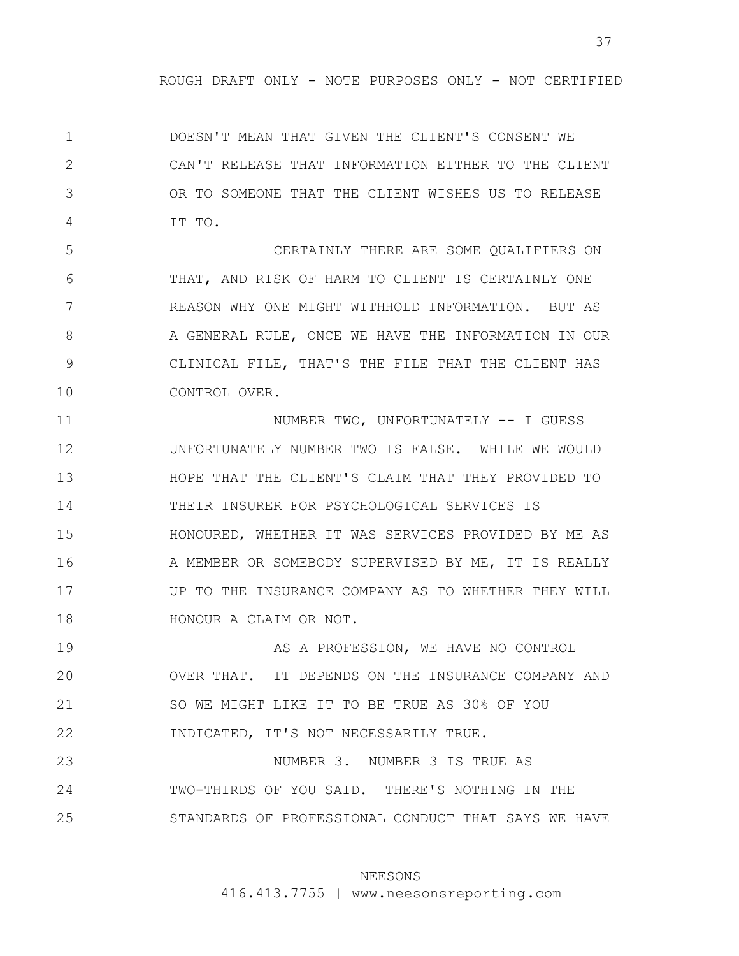1 2 3 4 DOESN'T MEAN THAT GIVEN THE CLIENT'S CONSENT WE CAN'T RELEASE THAT INFORMATION EITHER TO THE CLIENT OR TO SOMEONE THAT THE CLIENT WISHES US TO RELEASE IT TO.

5 6 7 8 9 10 CERTAINLY THERE ARE SOME QUALIFIERS ON THAT, AND RISK OF HARM TO CLIENT IS CERTAINLY ONE REASON WHY ONE MIGHT WITHHOLD INFORMATION. BUT AS A GENERAL RULE, ONCE WE HAVE THE INFORMATION IN OUR CLINICAL FILE, THAT'S THE FILE THAT THE CLIENT HAS CONTROL OVER.

11 12 13 14 15 16 17 18 NUMBER TWO, UNFORTUNATELY -- I GUESS UNFORTUNATELY NUMBER TWO IS FALSE. WHILE WE WOULD HOPE THAT THE CLIENT'S CLAIM THAT THEY PROVIDED TO THEIR INSURER FOR PSYCHOLOGICAL SERVICES IS HONOURED, WHETHER IT WAS SERVICES PROVIDED BY ME AS A MEMBER OR SOMEBODY SUPERVISED BY ME, IT IS REALLY UP TO THE INSURANCE COMPANY AS TO WHETHER THEY WILL HONOUR A CLAIM OR NOT.

19 20 21 22 AS A PROFESSION, WE HAVE NO CONTROL OVER THAT. IT DEPENDS ON THE INSURANCE COMPANY AND SO WE MIGHT LIKE IT TO BE TRUE AS 30% OF YOU INDICATED, IT'S NOT NECESSARILY TRUE.

23 24 25 NUMBER 3. NUMBER 3 IS TRUE AS TWO-THIRDS OF YOU SAID. THERE'S NOTHING IN THE STANDARDS OF PROFESSIONAL CONDUCT THAT SAYS WE HAVE

### NEESONS

416.413.7755 | www.neesonsreporting.com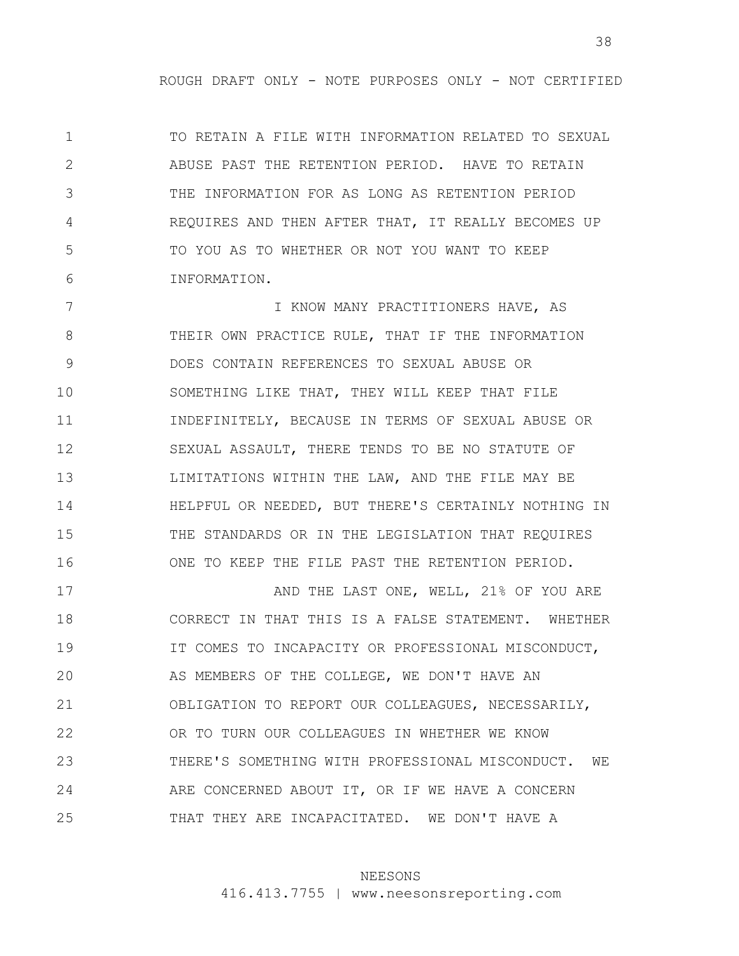1 2 3 4 5 6 TO RETAIN A FILE WITH INFORMATION RELATED TO SEXUAL ABUSE PAST THE RETENTION PERIOD. HAVE TO RETAIN THE INFORMATION FOR AS LONG AS RETENTION PERIOD REQUIRES AND THEN AFTER THAT, IT REALLY BECOMES UP TO YOU AS TO WHETHER OR NOT YOU WANT TO KEEP INFORMATION.

7 8 9 10 11 12 13 14 15 16 I KNOW MANY PRACTITIONERS HAVE, AS THEIR OWN PRACTICE RULE, THAT IF THE INFORMATION DOES CONTAIN REFERENCES TO SEXUAL ABUSE OR SOMETHING LIKE THAT, THEY WILL KEEP THAT FILE INDEFINITELY, BECAUSE IN TERMS OF SEXUAL ABUSE OR SEXUAL ASSAULT, THERE TENDS TO BE NO STATUTE OF LIMITATIONS WITHIN THE LAW, AND THE FILE MAY BE HELPFUL OR NEEDED, BUT THERE'S CERTAINLY NOTHING IN THE STANDARDS OR IN THE LEGISLATION THAT REQUIRES ONE TO KEEP THE FILE PAST THE RETENTION PERIOD.

17 18 19 20 21 22 23 24 25 AND THE LAST ONE, WELL, 21% OF YOU ARE CORRECT IN THAT THIS IS A FALSE STATEMENT. WHETHER IT COMES TO INCAPACITY OR PROFESSIONAL MISCONDUCT, AS MEMBERS OF THE COLLEGE, WE DON'T HAVE AN OBLIGATION TO REPORT OUR COLLEAGUES, NECESSARILY, OR TO TURN OUR COLLEAGUES IN WHETHER WE KNOW THERE'S SOMETHING WITH PROFESSIONAL MISCONDUCT. WE ARE CONCERNED ABOUT IT, OR IF WE HAVE A CONCERN THAT THEY ARE INCAPACITATED. WE DON'T HAVE A

### NEESONS

416.413.7755 | www.neesonsreporting.com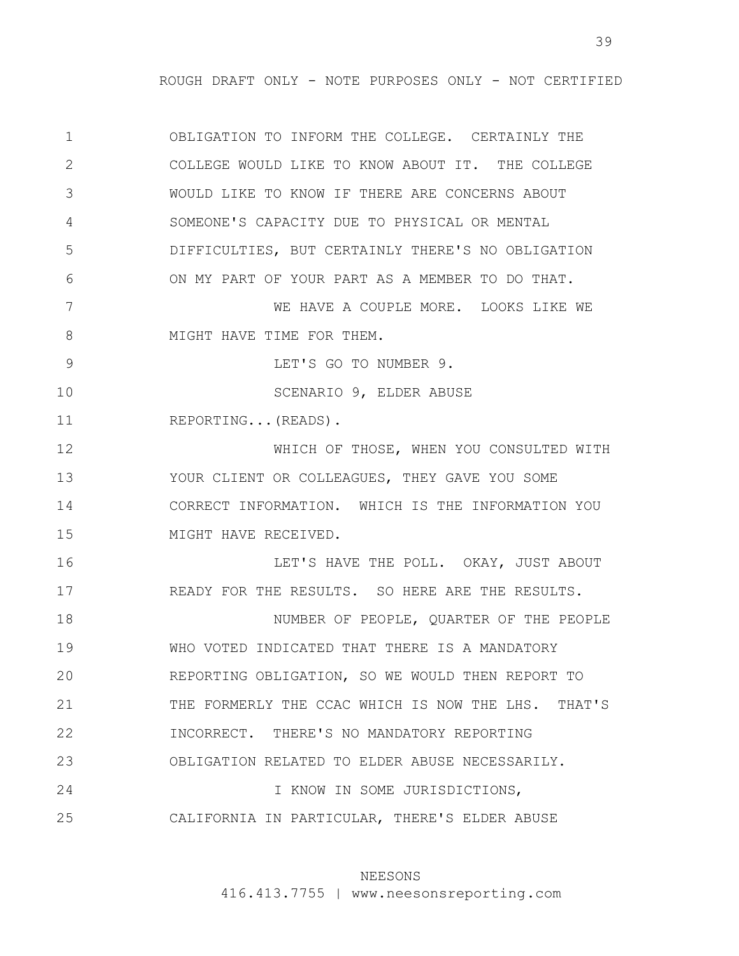1 2 3 4 5 6 7 8 9 10 11 12 13 14 15 16 17 18 19 20 21 22 23 24 25 OBLIGATION TO INFORM THE COLLEGE. CERTAINLY THE COLLEGE WOULD LIKE TO KNOW ABOUT IT. THE COLLEGE WOULD LIKE TO KNOW IF THERE ARE CONCERNS ABOUT SOMEONE'S CAPACITY DUE TO PHYSICAL OR MENTAL DIFFICULTIES, BUT CERTAINLY THERE'S NO OBLIGATION ON MY PART OF YOUR PART AS A MEMBER TO DO THAT. WE HAVE A COUPLE MORE. LOOKS LIKE WE MIGHT HAVE TIME FOR THEM. LET'S GO TO NUMBER 9. SCENARIO 9, ELDER ABUSE REPORTING...(READS). WHICH OF THOSE, WHEN YOU CONSULTED WITH YOUR CLIENT OR COLLEAGUES, THEY GAVE YOU SOME CORRECT INFORMATION. WHICH IS THE INFORMATION YOU MIGHT HAVE RECEIVED. LET'S HAVE THE POLL. OKAY, JUST ABOUT READY FOR THE RESULTS. SO HERE ARE THE RESULTS. NUMBER OF PEOPLE, QUARTER OF THE PEOPLE WHO VOTED INDICATED THAT THERE IS A MANDATORY REPORTING OBLIGATION, SO WE WOULD THEN REPORT TO THE FORMERLY THE CCAC WHICH IS NOW THE LHS. THAT'S INCORRECT. THERE'S NO MANDATORY REPORTING OBLIGATION RELATED TO ELDER ABUSE NECESSARILY. I KNOW IN SOME JURISDICTIONS, CALIFORNIA IN PARTICULAR, THERE'S ELDER ABUSE

### NEESONS

416.413.7755 | www.neesonsreporting.com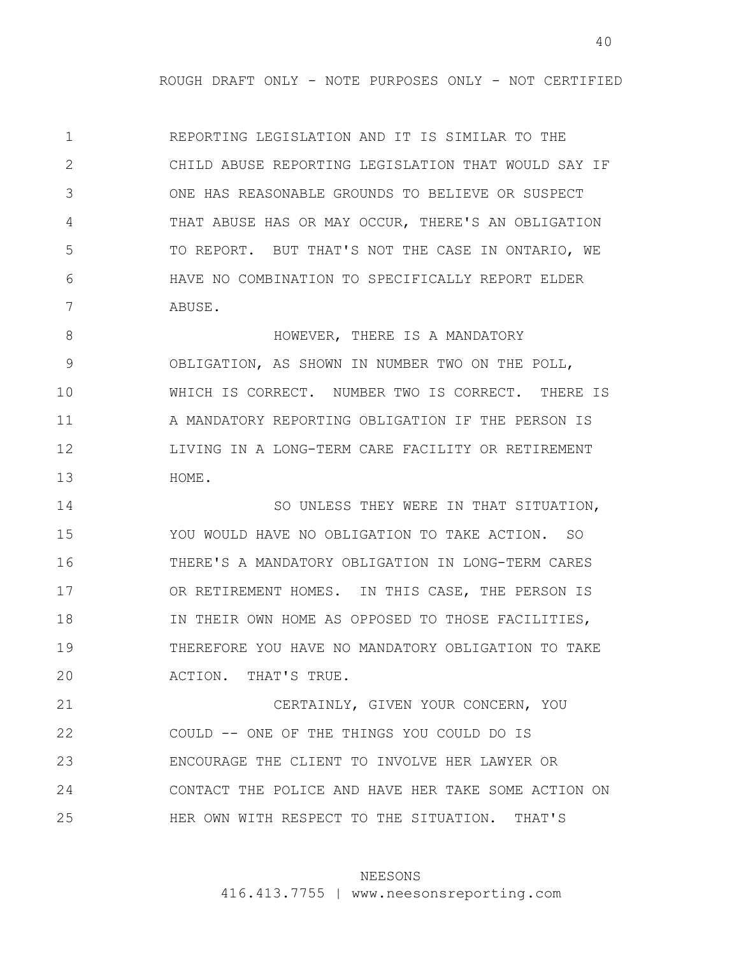1 2 3 4 5 6 7 REPORTING LEGISLATION AND IT IS SIMILAR TO THE CHILD ABUSE REPORTING LEGISLATION THAT WOULD SAY IF ONE HAS REASONABLE GROUNDS TO BELIEVE OR SUSPECT THAT ABUSE HAS OR MAY OCCUR, THERE'S AN OBLIGATION TO REPORT. BUT THAT'S NOT THE CASE IN ONTARIO, WE HAVE NO COMBINATION TO SPECIFICALLY REPORT ELDER ABUSE.

8 9 10 11 12 13 HOWEVER, THERE IS A MANDATORY OBLIGATION, AS SHOWN IN NUMBER TWO ON THE POLL, WHICH IS CORRECT. NUMBER TWO IS CORRECT. THERE IS A MANDATORY REPORTING OBLIGATION IF THE PERSON IS LIVING IN A LONG-TERM CARE FACILITY OR RETIREMENT HOME.

14 15 16 17 18 19 20 SO UNLESS THEY WERE IN THAT SITUATION, YOU WOULD HAVE NO OBLIGATION TO TAKE ACTION. SO THERE'S A MANDATORY OBLIGATION IN LONG-TERM CARES OR RETIREMENT HOMES. IN THIS CASE, THE PERSON IS IN THEIR OWN HOME AS OPPOSED TO THOSE FACILITIES, THEREFORE YOU HAVE NO MANDATORY OBLIGATION TO TAKE ACTION. THAT'S TRUE.

21 22 23 24 25 CERTAINLY, GIVEN YOUR CONCERN, YOU COULD -- ONE OF THE THINGS YOU COULD DO IS ENCOURAGE THE CLIENT TO INVOLVE HER LAWYER OR CONTACT THE POLICE AND HAVE HER TAKE SOME ACTION ON HER OWN WITH RESPECT TO THE SITUATION. THAT'S

### NEESONS

416.413.7755 | www.neesonsreporting.com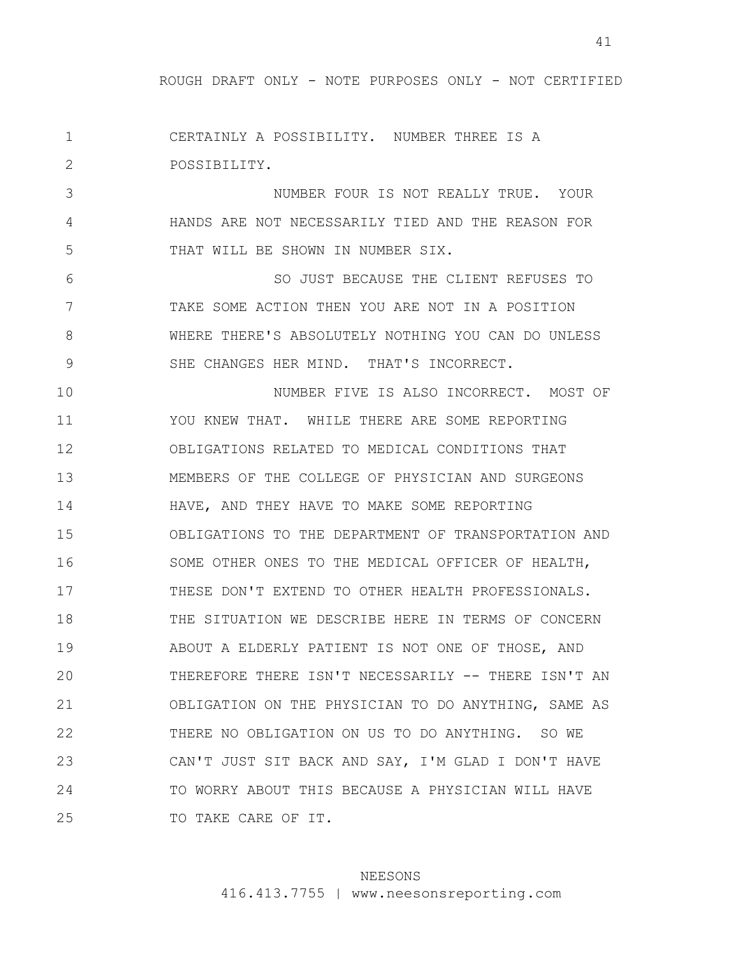1 2 CERTAINLY A POSSIBILITY. NUMBER THREE IS A POSSIBILITY.

3 4 5 NUMBER FOUR IS NOT REALLY TRUE. YOUR HANDS ARE NOT NECESSARILY TIED AND THE REASON FOR THAT WILL BE SHOWN IN NUMBER SIX.

6 7 8 9 SO JUST BECAUSE THE CLIENT REFUSES TO TAKE SOME ACTION THEN YOU ARE NOT IN A POSITION WHERE THERE'S ABSOLUTELY NOTHING YOU CAN DO UNLESS SHE CHANGES HER MIND. THAT'S INCORRECT.

10 11 12 13 14 15 16 17 18 19 20 21 22 23 24 25 NUMBER FIVE IS ALSO INCORRECT. MOST OF YOU KNEW THAT. WHILE THERE ARE SOME REPORTING OBLIGATIONS RELATED TO MEDICAL CONDITIONS THAT MEMBERS OF THE COLLEGE OF PHYSICIAN AND SURGEONS HAVE, AND THEY HAVE TO MAKE SOME REPORTING OBLIGATIONS TO THE DEPARTMENT OF TRANSPORTATION AND SOME OTHER ONES TO THE MEDICAL OFFICER OF HEALTH, THESE DON'T EXTEND TO OTHER HEALTH PROFESSIONALS. THE SITUATION WE DESCRIBE HERE IN TERMS OF CONCERN ABOUT A ELDERLY PATIENT IS NOT ONE OF THOSE, AND THEREFORE THERE ISN'T NECESSARILY -- THERE ISN'T AN OBLIGATION ON THE PHYSICIAN TO DO ANYTHING, SAME AS THERE NO OBLIGATION ON US TO DO ANYTHING. SO WE CAN'T JUST SIT BACK AND SAY, I'M GLAD I DON'T HAVE TO WORRY ABOUT THIS BECAUSE A PHYSICIAN WILL HAVE TO TAKE CARE OF IT.

## NEESONS

416.413.7755 | www.neesonsreporting.com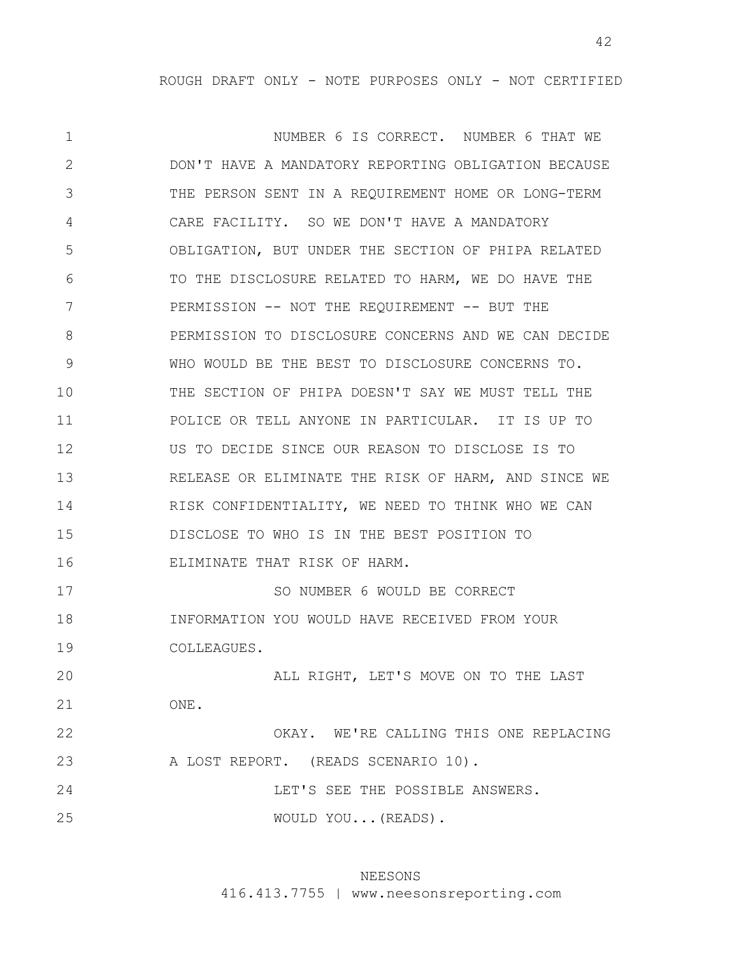1 2 3 4 5 6 7 8 9 10 11 12 13 14 15 16 17 18 19 20 21 22 23 24 25 NUMBER 6 IS CORRECT. NUMBER 6 THAT WE DON'T HAVE A MANDATORY REPORTING OBLIGATION BECAUSE THE PERSON SENT IN A REQUIREMENT HOME OR LONG-TERM CARE FACILITY. SO WE DON'T HAVE A MANDATORY OBLIGATION, BUT UNDER THE SECTION OF PHIPA RELATED TO THE DISCLOSURE RELATED TO HARM, WE DO HAVE THE PERMISSION -- NOT THE REQUIREMENT -- BUT THE PERMISSION TO DISCLOSURE CONCERNS AND WE CAN DECIDE WHO WOULD BE THE BEST TO DISCLOSURE CONCERNS TO. THE SECTION OF PHIPA DOESN'T SAY WE MUST TELL THE POLICE OR TELL ANYONE IN PARTICULAR. IT IS UP TO US TO DECIDE SINCE OUR REASON TO DISCLOSE IS TO RELEASE OR ELIMINATE THE RISK OF HARM, AND SINCE WE RISK CONFIDENTIALITY, WE NEED TO THINK WHO WE CAN DISCLOSE TO WHO IS IN THE BEST POSITION TO ELIMINATE THAT RISK OF HARM. SO NUMBER 6 WOULD BE CORRECT INFORMATION YOU WOULD HAVE RECEIVED FROM YOUR COLLEAGUES. ALL RIGHT, LET'S MOVE ON TO THE LAST ONE. OKAY. WE'RE CALLING THIS ONE REPLACING A LOST REPORT. (READS SCENARIO 10). LET'S SEE THE POSSIBLE ANSWERS. WOULD YOU...(READS).

## NEESONS

416.413.7755 | www.neesonsreporting.com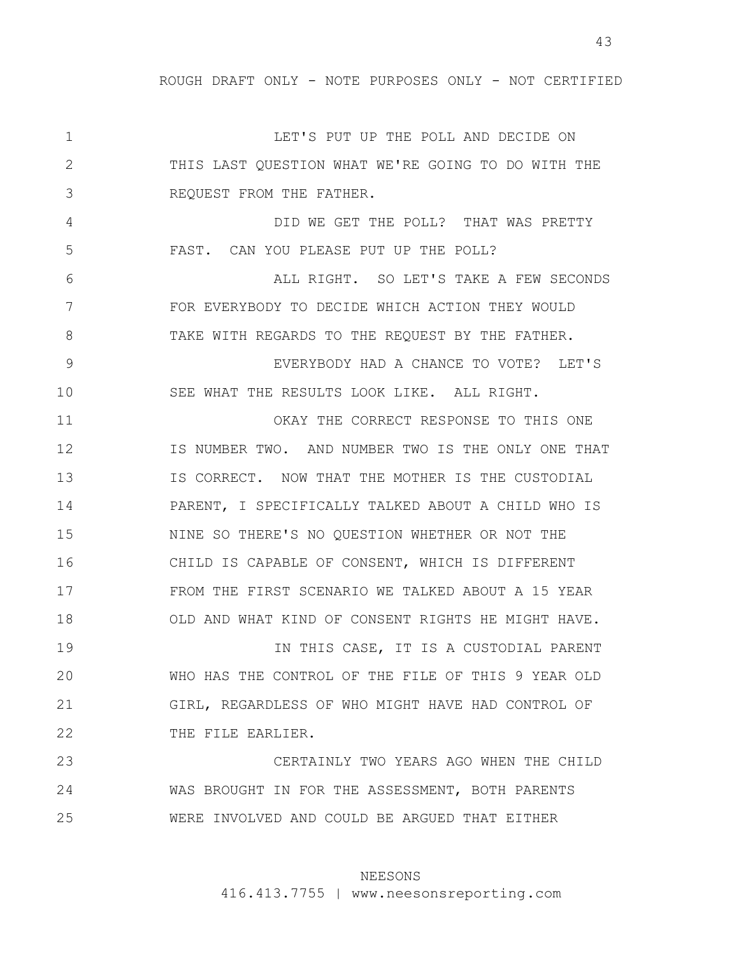1 2 3 4 5 6 7 8 9 10 11 12 13 14 15 16 17 18 19 20 21 22 23 24 25 LET'S PUT UP THE POLL AND DECIDE ON THIS LAST QUESTION WHAT WE'RE GOING TO DO WITH THE REQUEST FROM THE FATHER. DID WE GET THE POLL? THAT WAS PRETTY FAST. CAN YOU PLEASE PUT UP THE POLL? ALL RIGHT. SO LET'S TAKE A FEW SECONDS FOR EVERYBODY TO DECIDE WHICH ACTION THEY WOULD TAKE WITH REGARDS TO THE REQUEST BY THE FATHER. EVERYBODY HAD A CHANCE TO VOTE? LET'S SEE WHAT THE RESULTS LOOK LIKE. ALL RIGHT. OKAY THE CORRECT RESPONSE TO THIS ONE IS NUMBER TWO. AND NUMBER TWO IS THE ONLY ONE THAT IS CORRECT. NOW THAT THE MOTHER IS THE CUSTODIAL PARENT, I SPECIFICALLY TALKED ABOUT A CHILD WHO IS NINE SO THERE'S NO QUESTION WHETHER OR NOT THE CHILD IS CAPABLE OF CONSENT, WHICH IS DIFFERENT FROM THE FIRST SCENARIO WE TALKED ABOUT A 15 YEAR OLD AND WHAT KIND OF CONSENT RIGHTS HE MIGHT HAVE. IN THIS CASE, IT IS A CUSTODIAL PARENT WHO HAS THE CONTROL OF THE FILE OF THIS 9 YEAR OLD GIRL, REGARDLESS OF WHO MIGHT HAVE HAD CONTROL OF THE FILE EARLIER. CERTAINLY TWO YEARS AGO WHEN THE CHILD WAS BROUGHT IN FOR THE ASSESSMENT, BOTH PARENTS WERE INVOLVED AND COULD BE ARGUED THAT EITHER

## NEESONS

416.413.7755 | www.neesonsreporting.com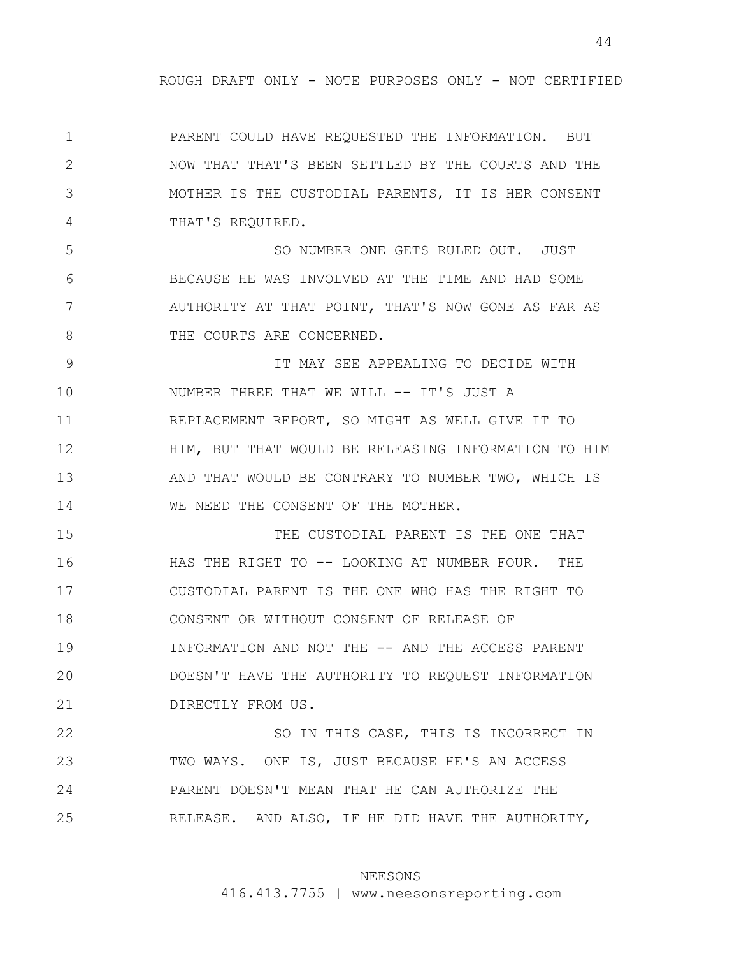1 2 3 4 PARENT COULD HAVE REQUESTED THE INFORMATION. BUT NOW THAT THAT'S BEEN SETTLED BY THE COURTS AND THE MOTHER IS THE CUSTODIAL PARENTS, IT IS HER CONSENT THAT'S REQUIRED.

5 6 7 8 SO NUMBER ONE GETS RULED OUT. JUST BECAUSE HE WAS INVOLVED AT THE TIME AND HAD SOME AUTHORITY AT THAT POINT, THAT'S NOW GONE AS FAR AS THE COURTS ARE CONCERNED.

9 10 11 12 13 14 IT MAY SEE APPEALING TO DECIDE WITH NUMBER THREE THAT WE WILL -- IT'S JUST A REPLACEMENT REPORT, SO MIGHT AS WELL GIVE IT TO HIM, BUT THAT WOULD BE RELEASING INFORMATION TO HIM AND THAT WOULD BE CONTRARY TO NUMBER TWO, WHICH IS WE NEED THE CONSENT OF THE MOTHER.

15 16 17 18 19 20 21 THE CUSTODIAL PARENT IS THE ONE THAT HAS THE RIGHT TO -- LOOKING AT NUMBER FOUR. THE CUSTODIAL PARENT IS THE ONE WHO HAS THE RIGHT TO CONSENT OR WITHOUT CONSENT OF RELEASE OF INFORMATION AND NOT THE -- AND THE ACCESS PARENT DOESN'T HAVE THE AUTHORITY TO REQUEST INFORMATION DIRECTLY FROM US.

22 23 24 25 SO IN THIS CASE, THIS IS INCORRECT IN TWO WAYS. ONE IS, JUST BECAUSE HE'S AN ACCESS PARENT DOESN'T MEAN THAT HE CAN AUTHORIZE THE RELEASE. AND ALSO, IF HE DID HAVE THE AUTHORITY,

### NEESONS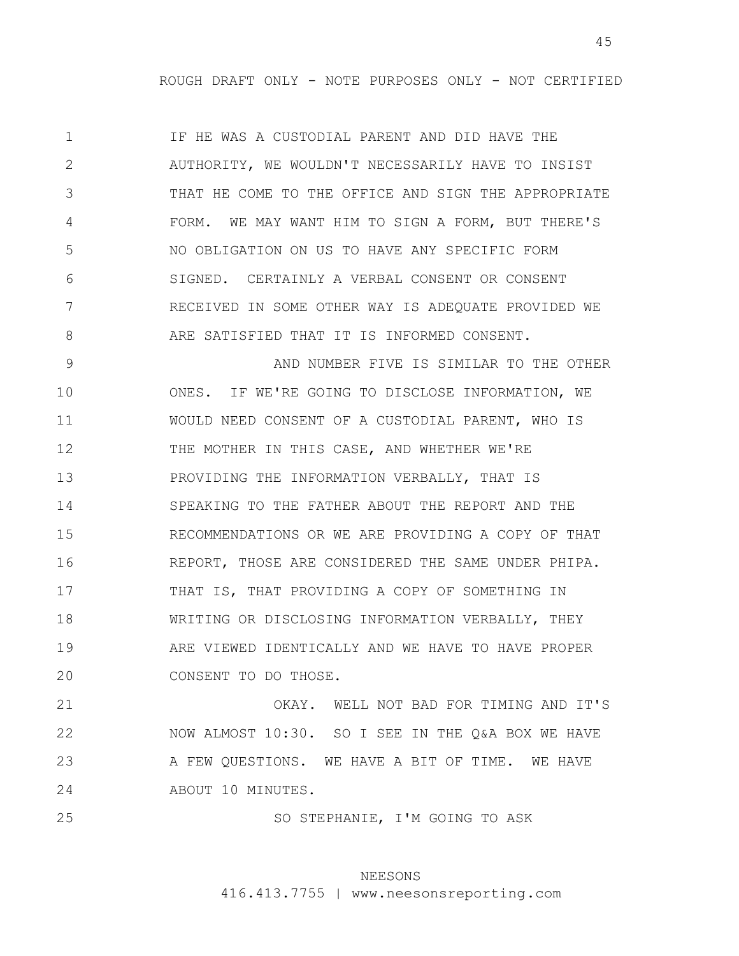1 2 3 4 5 6 7 8 IF HE WAS A CUSTODIAL PARENT AND DID HAVE THE AUTHORITY, WE WOULDN'T NECESSARILY HAVE TO INSIST THAT HE COME TO THE OFFICE AND SIGN THE APPROPRIATE FORM. WE MAY WANT HIM TO SIGN A FORM, BUT THERE'S NO OBLIGATION ON US TO HAVE ANY SPECIFIC FORM SIGNED. CERTAINLY A VERBAL CONSENT OR CONSENT RECEIVED IN SOME OTHER WAY IS ADEQUATE PROVIDED WE ARE SATISFIED THAT IT IS INFORMED CONSENT.

9 10 11 12 13 14 15 16 17 18 19 20 AND NUMBER FIVE IS SIMILAR TO THE OTHER ONES. IF WE'RE GOING TO DISCLOSE INFORMATION, WE WOULD NEED CONSENT OF A CUSTODIAL PARENT, WHO IS THE MOTHER IN THIS CASE, AND WHETHER WE'RE PROVIDING THE INFORMATION VERBALLY, THAT IS SPEAKING TO THE FATHER ABOUT THE REPORT AND THE RECOMMENDATIONS OR WE ARE PROVIDING A COPY OF THAT REPORT, THOSE ARE CONSIDERED THE SAME UNDER PHIPA. THAT IS, THAT PROVIDING A COPY OF SOMETHING IN WRITING OR DISCLOSING INFORMATION VERBALLY, THEY ARE VIEWED IDENTICALLY AND WE HAVE TO HAVE PROPER CONSENT TO DO THOSE.

21 22 23 24 OKAY. WELL NOT BAD FOR TIMING AND IT'S NOW ALMOST 10:30. SO I SEE IN THE Q&A BOX WE HAVE A FEW QUESTIONS. WE HAVE A BIT OF TIME. WE HAVE ABOUT 10 MINUTES.

25

SO STEPHANIE, I'M GOING TO ASK

## NEESONS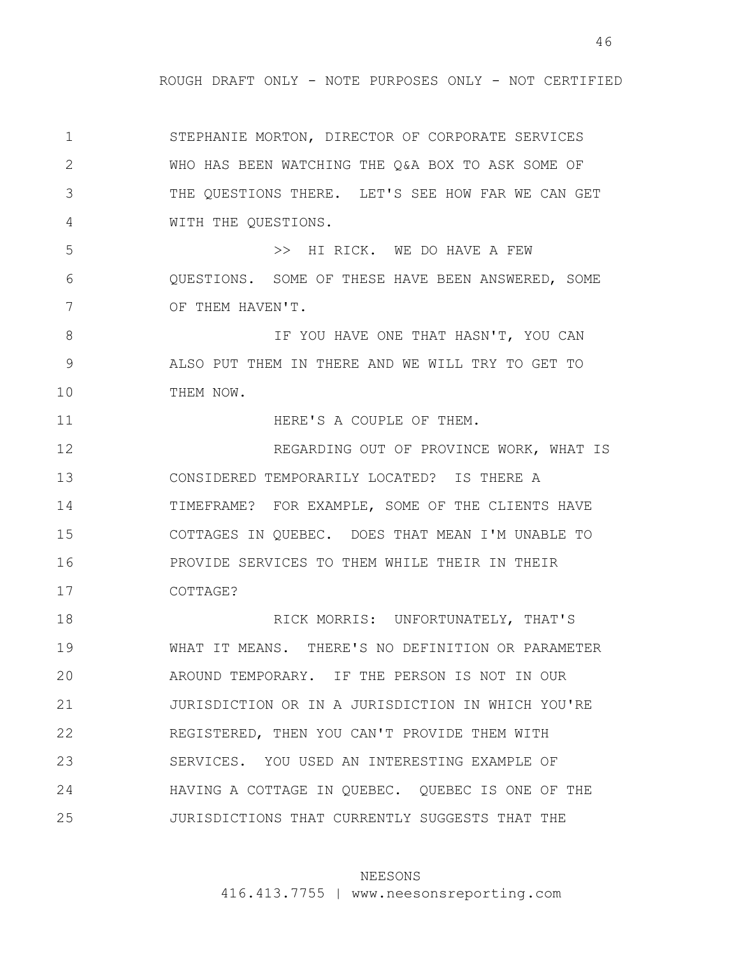1 2 3 4 5 6 7 8 9 10 11 12 13 14 15 16 17 18 19 20 21 22 23 24 25 STEPHANIE MORTON, DIRECTOR OF CORPORATE SERVICES WHO HAS BEEN WATCHING THE Q&A BOX TO ASK SOME OF THE QUESTIONS THERE. LET'S SEE HOW FAR WE CAN GET WITH THE QUESTIONS. >> HI RICK. WE DO HAVE A FEW QUESTIONS. SOME OF THESE HAVE BEEN ANSWERED, SOME OF THEM HAVEN'T. IF YOU HAVE ONE THAT HASN'T, YOU CAN ALSO PUT THEM IN THERE AND WE WILL TRY TO GET TO THEM NOW. HERE'S A COUPLE OF THEM. REGARDING OUT OF PROVINCE WORK, WHAT IS CONSIDERED TEMPORARILY LOCATED? IS THERE A TIMEFRAME? FOR EXAMPLE, SOME OF THE CLIENTS HAVE COTTAGES IN QUEBEC. DOES THAT MEAN I'M UNABLE TO PROVIDE SERVICES TO THEM WHILE THEIR IN THEIR COTTAGE? RICK MORRIS: UNFORTUNATELY, THAT'S WHAT IT MEANS. THERE'S NO DEFINITION OR PARAMETER AROUND TEMPORARY. IF THE PERSON IS NOT IN OUR JURISDICTION OR IN A JURISDICTION IN WHICH YOU'RE REGISTERED, THEN YOU CAN'T PROVIDE THEM WITH SERVICES. YOU USED AN INTERESTING EXAMPLE OF HAVING A COTTAGE IN QUEBEC. QUEBEC IS ONE OF THE JURISDICTIONS THAT CURRENTLY SUGGESTS THAT THE

### NEESONS

416.413.7755 | www.neesonsreporting.com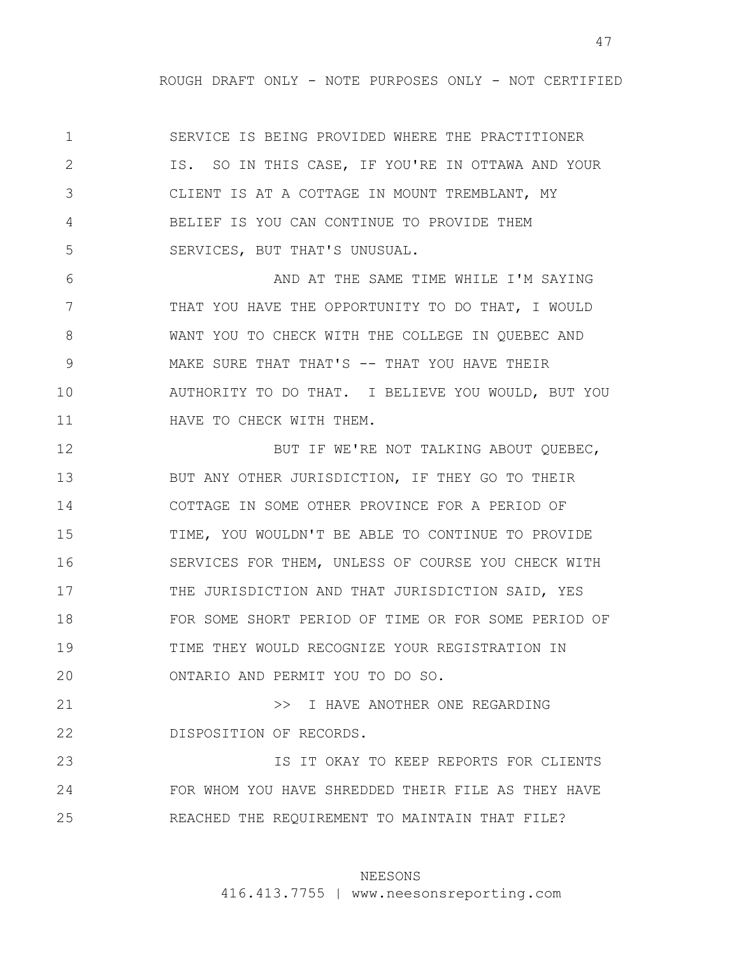1 2 3 4 5 SERVICE IS BEING PROVIDED WHERE THE PRACTITIONER IS. SO IN THIS CASE, IF YOU'RE IN OTTAWA AND YOUR CLIENT IS AT A COTTAGE IN MOUNT TREMBLANT, MY BELIEF IS YOU CAN CONTINUE TO PROVIDE THEM SERVICES, BUT THAT'S UNUSUAL.

6 7 8 9 10 11 AND AT THE SAME TIME WHILE I'M SAYING THAT YOU HAVE THE OPPORTUNITY TO DO THAT, I WOULD WANT YOU TO CHECK WITH THE COLLEGE IN QUEBEC AND MAKE SURE THAT THAT'S -- THAT YOU HAVE THEIR AUTHORITY TO DO THAT. I BELIEVE YOU WOULD, BUT YOU HAVE TO CHECK WITH THEM.

12 13 14 15 16 17 18 19 20 BUT IF WE'RE NOT TALKING ABOUT QUEBEC, BUT ANY OTHER JURISDICTION, IF THEY GO TO THEIR COTTAGE IN SOME OTHER PROVINCE FOR A PERIOD OF TIME, YOU WOULDN'T BE ABLE TO CONTINUE TO PROVIDE SERVICES FOR THEM, UNLESS OF COURSE YOU CHECK WITH THE JURISDICTION AND THAT JURISDICTION SAID, YES FOR SOME SHORT PERIOD OF TIME OR FOR SOME PERIOD OF TIME THEY WOULD RECOGNIZE YOUR REGISTRATION IN ONTARIO AND PERMIT YOU TO DO SO.

21 22 >> I HAVE ANOTHER ONE REGARDING DISPOSITION OF RECORDS.

23 24 25 IS IT OKAY TO KEEP REPORTS FOR CLIENTS FOR WHOM YOU HAVE SHREDDED THEIR FILE AS THEY HAVE REACHED THE REQUIREMENT TO MAINTAIN THAT FILE?

## NEESONS

416.413.7755 | www.neesonsreporting.com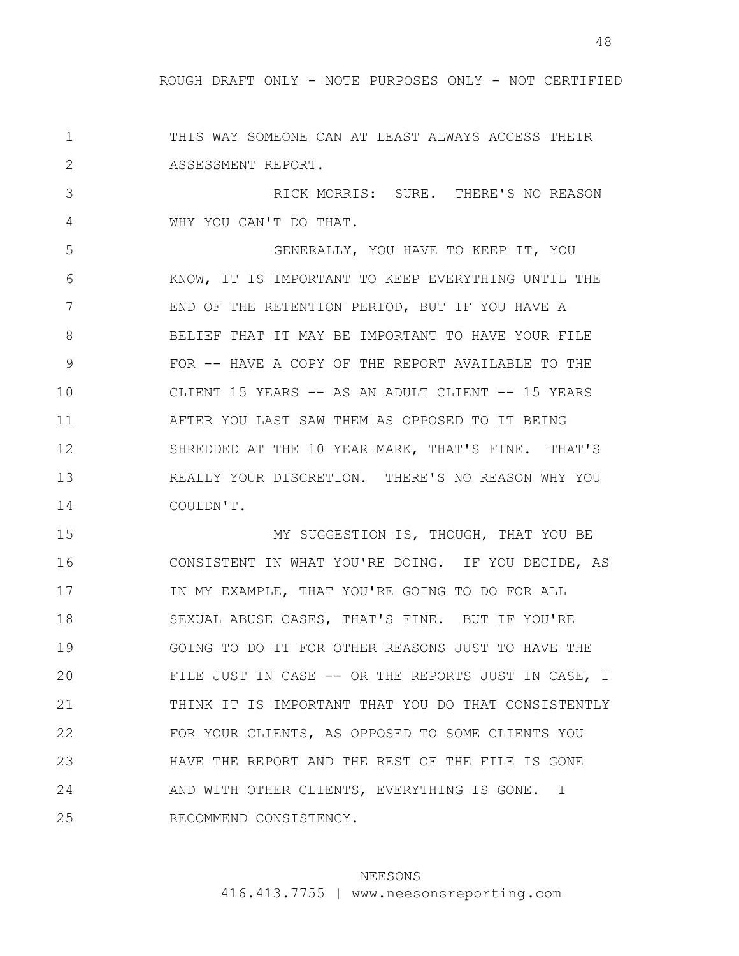1 2 THIS WAY SOMEONE CAN AT LEAST ALWAYS ACCESS THEIR ASSESSMENT REPORT.

3 4 RICK MORRIS: SURE. THERE'S NO REASON WHY YOU CAN'T DO THAT.

5 6 7 8 9 10 11 12 13 14 GENERALLY, YOU HAVE TO KEEP IT, YOU KNOW, IT IS IMPORTANT TO KEEP EVERYTHING UNTIL THE END OF THE RETENTION PERIOD, BUT IF YOU HAVE A BELIEF THAT IT MAY BE IMPORTANT TO HAVE YOUR FILE FOR -- HAVE A COPY OF THE REPORT AVAILABLE TO THE CLIENT 15 YEARS -- AS AN ADULT CLIENT -- 15 YEARS AFTER YOU LAST SAW THEM AS OPPOSED TO IT BEING SHREDDED AT THE 10 YEAR MARK, THAT'S FINE. THAT'S REALLY YOUR DISCRETION. THERE'S NO REASON WHY YOU COULDN'T.

15 16 17 18 19 20 21 22 23 24 25 MY SUGGESTION IS, THOUGH, THAT YOU BE CONSISTENT IN WHAT YOU'RE DOING. IF YOU DECIDE, AS IN MY EXAMPLE, THAT YOU'RE GOING TO DO FOR ALL SEXUAL ABUSE CASES, THAT'S FINE. BUT IF YOU'RE GOING TO DO IT FOR OTHER REASONS JUST TO HAVE THE FILE JUST IN CASE -- OR THE REPORTS JUST IN CASE, I THINK IT IS IMPORTANT THAT YOU DO THAT CONSISTENTLY FOR YOUR CLIENTS, AS OPPOSED TO SOME CLIENTS YOU HAVE THE REPORT AND THE REST OF THE FILE IS GONE AND WITH OTHER CLIENTS, EVERYTHING IS GONE. I RECOMMEND CONSISTENCY.

## NEESONS

416.413.7755 | www.neesonsreporting.com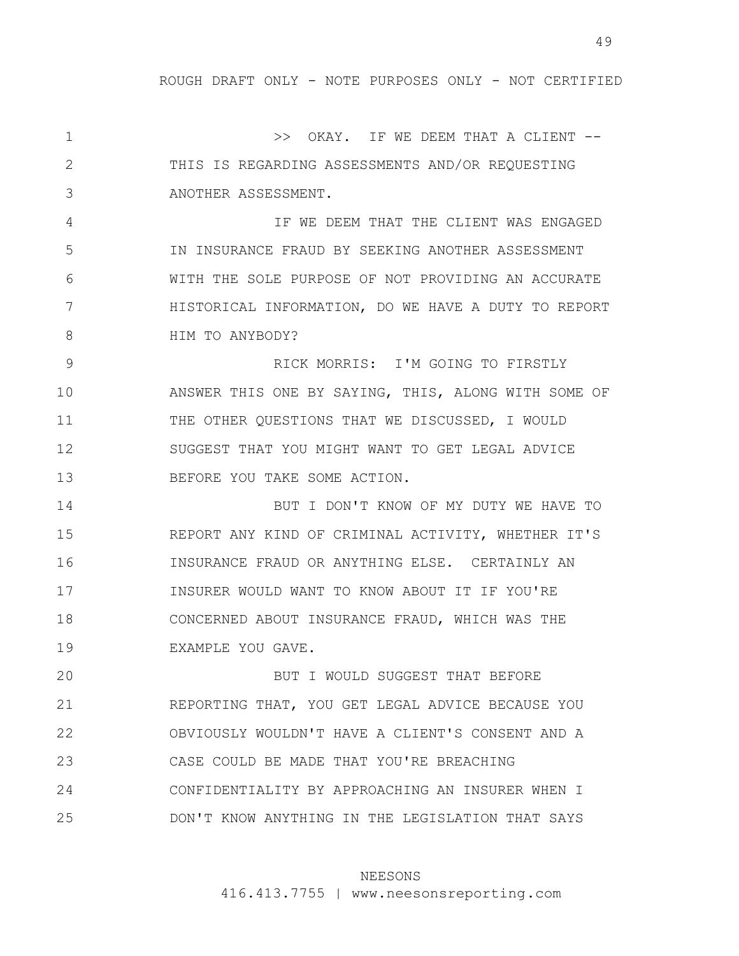49

1 2 3 4 5 6 7 8 9 10 11 12 13 14 15 16 17 18 19 20 21 22 23 24 25 >> OKAY. IF WE DEEM THAT A CLIENT -- THIS IS REGARDING ASSESSMENTS AND/OR REQUESTING ANOTHER ASSESSMENT. IF WE DEEM THAT THE CLIENT WAS ENGAGED IN INSURANCE FRAUD BY SEEKING ANOTHER ASSESSMENT WITH THE SOLE PURPOSE OF NOT PROVIDING AN ACCURATE HISTORICAL INFORMATION, DO WE HAVE A DUTY TO REPORT HIM TO ANYBODY? RICK MORRIS: I'M GOING TO FIRSTLY ANSWER THIS ONE BY SAYING, THIS, ALONG WITH SOME OF THE OTHER QUESTIONS THAT WE DISCUSSED, I WOULD SUGGEST THAT YOU MIGHT WANT TO GET LEGAL ADVICE BEFORE YOU TAKE SOME ACTION. BUT I DON'T KNOW OF MY DUTY WE HAVE TO REPORT ANY KIND OF CRIMINAL ACTIVITY, WHETHER IT'S INSURANCE FRAUD OR ANYTHING ELSE. CERTAINLY AN INSURER WOULD WANT TO KNOW ABOUT IT IF YOU'RE CONCERNED ABOUT INSURANCE FRAUD, WHICH WAS THE EXAMPLE YOU GAVE. BUT I WOULD SUGGEST THAT BEFORE REPORTING THAT, YOU GET LEGAL ADVICE BECAUSE YOU OBVIOUSLY WOULDN'T HAVE A CLIENT'S CONSENT AND A CASE COULD BE MADE THAT YOU'RE BREACHING CONFIDENTIALITY BY APPROACHING AN INSURER WHEN I DON'T KNOW ANYTHING IN THE LEGISLATION THAT SAYS

### NEESONS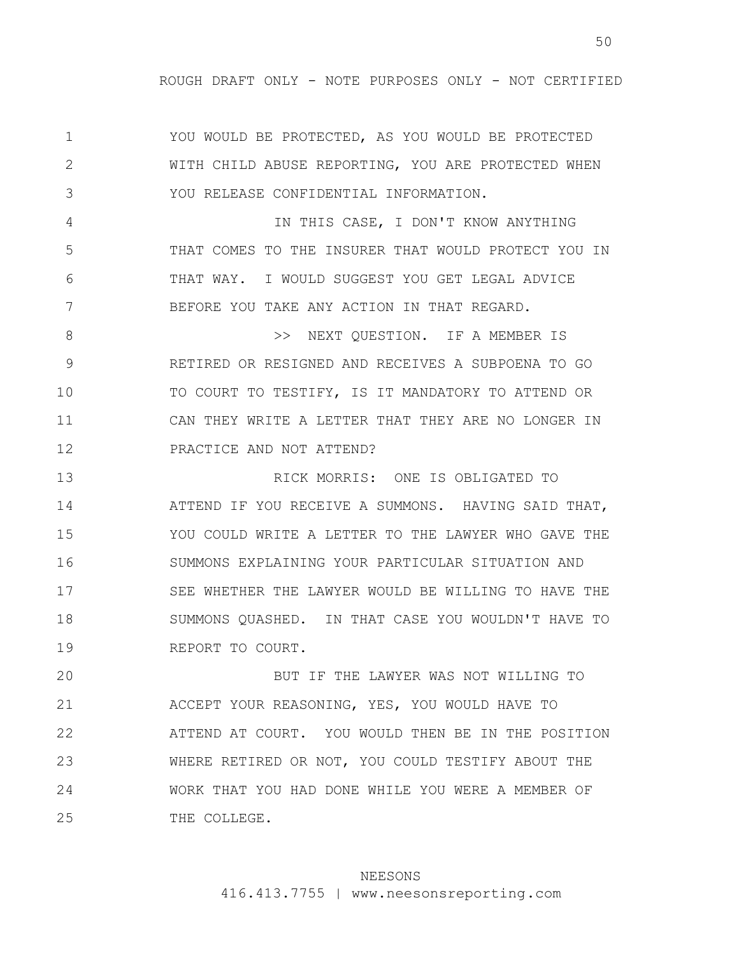1 2 3 4 5 6 7 8 9 10 11 12 13 14 15 16 17 18 19 YOU WOULD BE PROTECTED, AS YOU WOULD BE PROTECTED WITH CHILD ABUSE REPORTING, YOU ARE PROTECTED WHEN YOU RELEASE CONFIDENTIAL INFORMATION. IN THIS CASE, I DON'T KNOW ANYTHING THAT COMES TO THE INSURER THAT WOULD PROTECT YOU IN THAT WAY. I WOULD SUGGEST YOU GET LEGAL ADVICE BEFORE YOU TAKE ANY ACTION IN THAT REGARD. >> NEXT QUESTION. IF A MEMBER IS RETIRED OR RESIGNED AND RECEIVES A SUBPOENA TO GO TO COURT TO TESTIFY, IS IT MANDATORY TO ATTEND OR CAN THEY WRITE A LETTER THAT THEY ARE NO LONGER IN PRACTICE AND NOT ATTEND? RICK MORRIS: ONE IS OBLIGATED TO ATTEND IF YOU RECEIVE A SUMMONS. HAVING SAID THAT, YOU COULD WRITE A LETTER TO THE LAWYER WHO GAVE THE SUMMONS EXPLAINING YOUR PARTICULAR SITUATION AND SEE WHETHER THE LAWYER WOULD BE WILLING TO HAVE THE SUMMONS QUASHED. IN THAT CASE YOU WOULDN'T HAVE TO REPORT TO COURT.

20 21 22 23 24 25 BUT IF THE LAWYER WAS NOT WILLING TO ACCEPT YOUR REASONING, YES, YOU WOULD HAVE TO ATTEND AT COURT. YOU WOULD THEN BE IN THE POSITION WHERE RETIRED OR NOT, YOU COULD TESTIFY ABOUT THE WORK THAT YOU HAD DONE WHILE YOU WERE A MEMBER OF THE COLLEGE.

#### NEESONS

416.413.7755 | www.neesonsreporting.com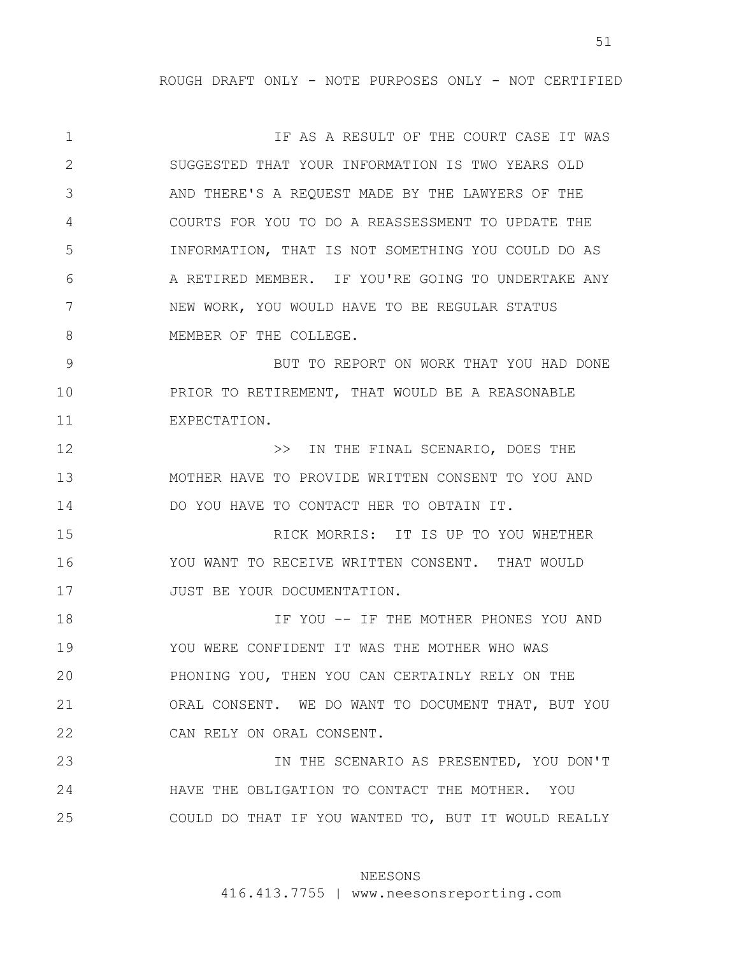1 2 3 4 5 6 7 8 9 10 11 12 13 14 15 16 17 18 19 20 21 22 23 IF AS A RESULT OF THE COURT CASE IT WAS SUGGESTED THAT YOUR INFORMATION IS TWO YEARS OLD AND THERE'S A REQUEST MADE BY THE LAWYERS OF THE COURTS FOR YOU TO DO A REASSESSMENT TO UPDATE THE INFORMATION, THAT IS NOT SOMETHING YOU COULD DO AS A RETIRED MEMBER. IF YOU'RE GOING TO UNDERTAKE ANY NEW WORK, YOU WOULD HAVE TO BE REGULAR STATUS MEMBER OF THE COLLEGE. BUT TO REPORT ON WORK THAT YOU HAD DONE PRIOR TO RETIREMENT, THAT WOULD BE A REASONABLE EXPECTATION. >> IN THE FINAL SCENARIO, DOES THE MOTHER HAVE TO PROVIDE WRITTEN CONSENT TO YOU AND DO YOU HAVE TO CONTACT HER TO OBTAIN IT. RICK MORRIS: IT IS UP TO YOU WHETHER YOU WANT TO RECEIVE WRITTEN CONSENT. THAT WOULD JUST BE YOUR DOCUMENTATION. IF YOU -- IF THE MOTHER PHONES YOU AND YOU WERE CONFIDENT IT WAS THE MOTHER WHO WAS PHONING YOU, THEN YOU CAN CERTAINLY RELY ON THE ORAL CONSENT. WE DO WANT TO DOCUMENT THAT, BUT YOU CAN RELY ON ORAL CONSENT. IN THE SCENARIO AS PRESENTED, YOU DON'T

24 25 HAVE THE OBLIGATION TO CONTACT THE MOTHER. YOU COULD DO THAT IF YOU WANTED TO, BUT IT WOULD REALLY

### NEESONS

416.413.7755 | www.neesonsreporting.com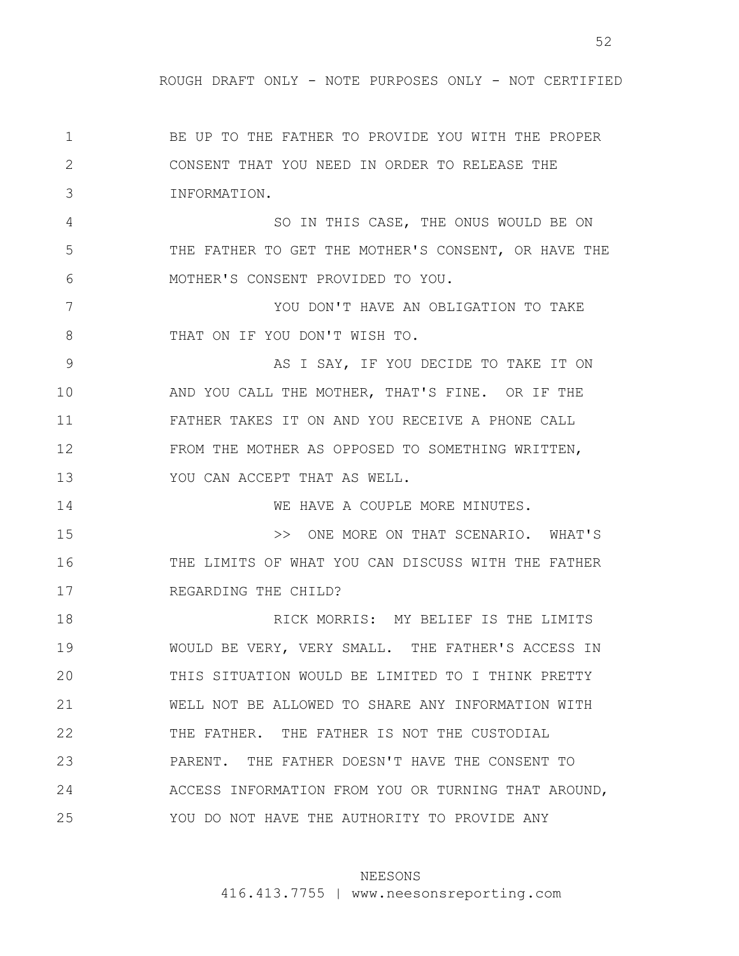52

1 2 3 4 5 6 7 8 9 10 11 12 13 14 15 16 17 18 19 20 21 22 23 24 25 BE UP TO THE FATHER TO PROVIDE YOU WITH THE PROPER CONSENT THAT YOU NEED IN ORDER TO RELEASE THE INFORMATION. SO IN THIS CASE, THE ONUS WOULD BE ON THE FATHER TO GET THE MOTHER'S CONSENT, OR HAVE THE MOTHER'S CONSENT PROVIDED TO YOU. YOU DON'T HAVE AN OBLIGATION TO TAKE THAT ON IF YOU DON'T WISH TO. AS I SAY, IF YOU DECIDE TO TAKE IT ON AND YOU CALL THE MOTHER, THAT'S FINE. OR IF THE FATHER TAKES IT ON AND YOU RECEIVE A PHONE CALL FROM THE MOTHER AS OPPOSED TO SOMETHING WRITTEN, YOU CAN ACCEPT THAT AS WELL. WE HAVE A COUPLE MORE MINUTES. >> ONE MORE ON THAT SCENARIO. WHAT'S THE LIMITS OF WHAT YOU CAN DISCUSS WITH THE FATHER REGARDING THE CHILD? RICK MORRIS: MY BELIEF IS THE LIMITS WOULD BE VERY, VERY SMALL. THE FATHER'S ACCESS IN THIS SITUATION WOULD BE LIMITED TO I THINK PRETTY WELL NOT BE ALLOWED TO SHARE ANY INFORMATION WITH THE FATHER. THE FATHER IS NOT THE CUSTODIAL PARENT. THE FATHER DOESN'T HAVE THE CONSENT TO ACCESS INFORMATION FROM YOU OR TURNING THAT AROUND, YOU DO NOT HAVE THE AUTHORITY TO PROVIDE ANY

### NEESONS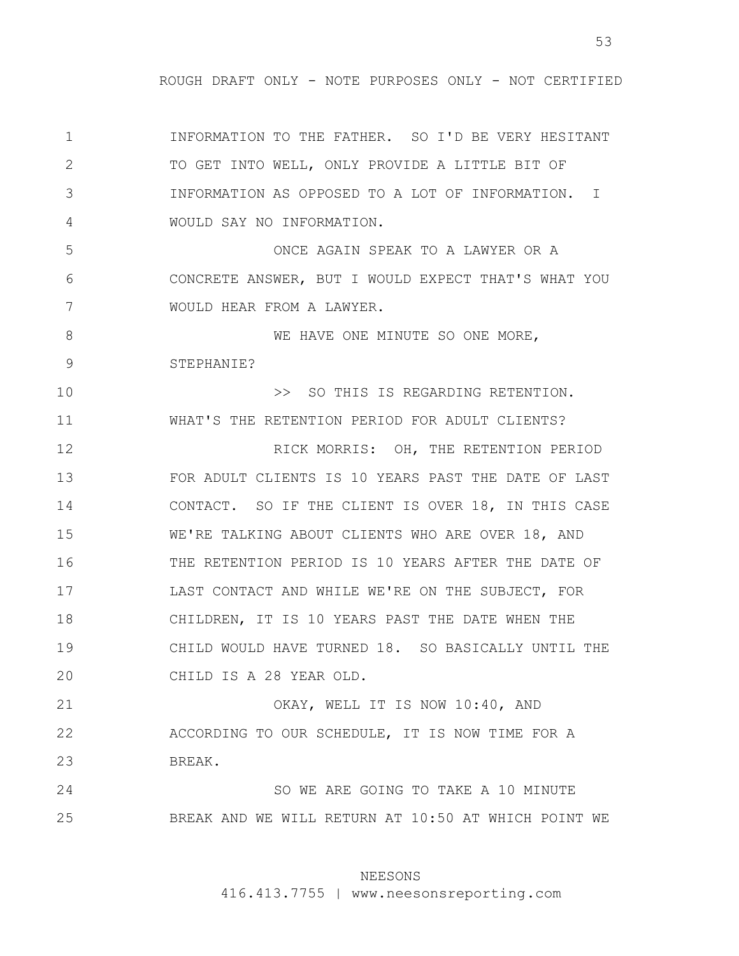1 2 3 4 5 6 7 8 9 10 11 12 13 14 15 16 17 18 19 20 21 22 23 24 25 INFORMATION TO THE FATHER. SO I'D BE VERY HESITANT TO GET INTO WELL, ONLY PROVIDE A LITTLE BIT OF INFORMATION AS OPPOSED TO A LOT OF INFORMATION. I WOULD SAY NO INFORMATION. ONCE AGAIN SPEAK TO A LAWYER OR A CONCRETE ANSWER, BUT I WOULD EXPECT THAT'S WHAT YOU WOULD HEAR FROM A LAWYER. WE HAVE ONE MINUTE SO ONE MORE, STEPHANIE? >> SO THIS IS REGARDING RETENTION. WHAT'S THE RETENTION PERIOD FOR ADULT CLIENTS? RICK MORRIS: OH, THE RETENTION PERIOD FOR ADULT CLIENTS IS 10 YEARS PAST THE DATE OF LAST CONTACT. SO IF THE CLIENT IS OVER 18, IN THIS CASE WE'RE TALKING ABOUT CLIENTS WHO ARE OVER 18, AND THE RETENTION PERIOD IS 10 YEARS AFTER THE DATE OF LAST CONTACT AND WHILE WE'RE ON THE SUBJECT, FOR CHILDREN, IT IS 10 YEARS PAST THE DATE WHEN THE CHILD WOULD HAVE TURNED 18. SO BASICALLY UNTIL THE CHILD IS A 28 YEAR OLD. OKAY, WELL IT IS NOW 10:40, AND ACCORDING TO OUR SCHEDULE, IT IS NOW TIME FOR A BREAK. SO WE ARE GOING TO TAKE A 10 MINUTE BREAK AND WE WILL RETURN AT 10:50 AT WHICH POINT WE

## NEESONS

416.413.7755 | www.neesonsreporting.com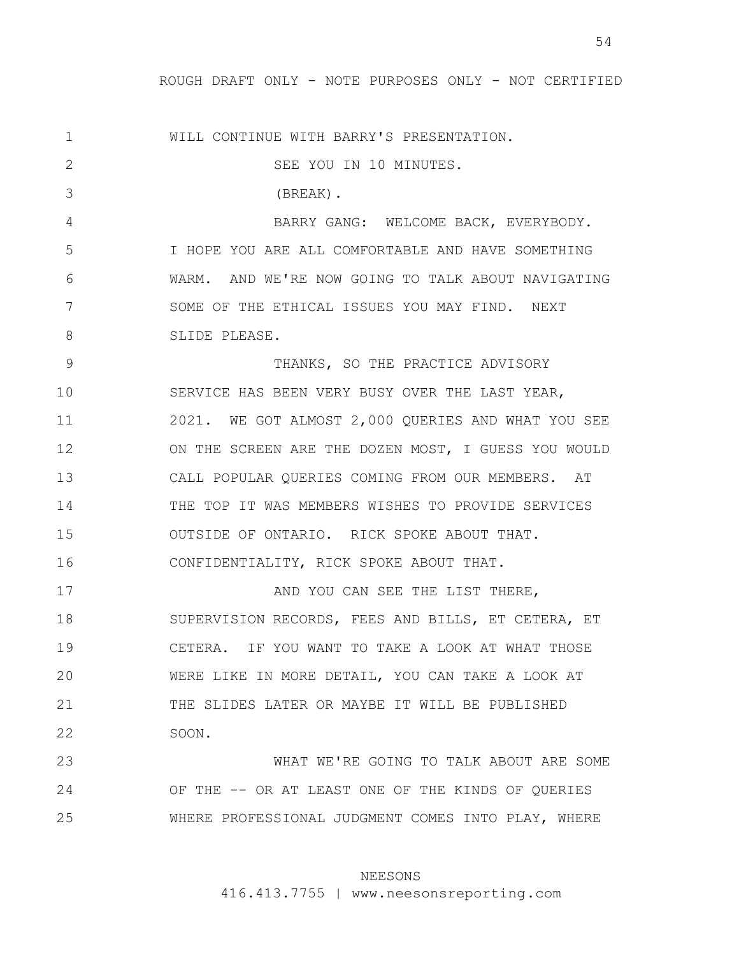54

1 2 3 4 5 6 7 8 9 10 11 12 13 14 15 16 17 18 19 20 21 22 23 24 25 WILL CONTINUE WITH BARRY'S PRESENTATION. SEE YOU IN 10 MINUTES. (BREAK). BARRY GANG: WELCOME BACK, EVERYBODY. I HOPE YOU ARE ALL COMFORTABLE AND HAVE SOMETHING WARM. AND WE'RE NOW GOING TO TALK ABOUT NAVIGATING SOME OF THE ETHICAL ISSUES YOU MAY FIND. NEXT SLIDE PLEASE. THANKS, SO THE PRACTICE ADVISORY SERVICE HAS BEEN VERY BUSY OVER THE LAST YEAR, 2021. WE GOT ALMOST 2,000 QUERIES AND WHAT YOU SEE ON THE SCREEN ARE THE DOZEN MOST, I GUESS YOU WOULD CALL POPULAR QUERIES COMING FROM OUR MEMBERS. AT THE TOP IT WAS MEMBERS WISHES TO PROVIDE SERVICES OUTSIDE OF ONTARIO. RICK SPOKE ABOUT THAT. CONFIDENTIALITY, RICK SPOKE ABOUT THAT. AND YOU CAN SEE THE LIST THERE, SUPERVISION RECORDS, FEES AND BILLS, ET CETERA, ET CETERA. IF YOU WANT TO TAKE A LOOK AT WHAT THOSE WERE LIKE IN MORE DETAIL, YOU CAN TAKE A LOOK AT THE SLIDES LATER OR MAYBE IT WILL BE PUBLISHED SOON. WHAT WE'RE GOING TO TALK ABOUT ARE SOME OF THE -- OR AT LEAST ONE OF THE KINDS OF QUERIES WHERE PROFESSIONAL JUDGMENT COMES INTO PLAY, WHERE

### NEESONS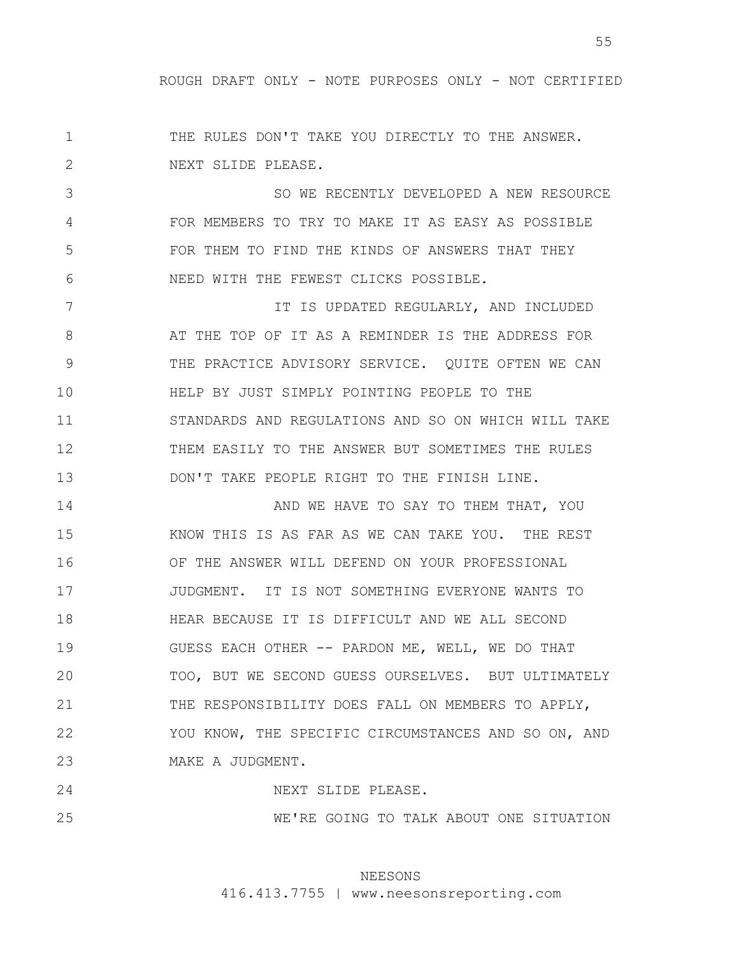1 2 THE RULES DON'T TAKE YOU DIRECTLY TO THE ANSWER. NEXT SLIDE PLEASE.

3 4 5 6 SO WE RECENTLY DEVELOPED A NEW RESOURCE FOR MEMBERS TO TRY TO MAKE IT AS EASY AS POSSIBLE FOR THEM TO FIND THE KINDS OF ANSWERS THAT THEY NEED WITH THE FEWEST CLICKS POSSIBLE.

7 8 9 10 11 12 13 IT IS UPDATED REGULARLY, AND INCLUDED AT THE TOP OF IT AS A REMINDER IS THE ADDRESS FOR THE PRACTICE ADVISORY SERVICE. QUITE OFTEN WE CAN HELP BY JUST SIMPLY POINTING PEOPLE TO THE STANDARDS AND REGULATIONS AND SO ON WHICH WILL TAKE THEM EASILY TO THE ANSWER BUT SOMETIMES THE RULES DON'T TAKE PEOPLE RIGHT TO THE FINISH LINE.

14 15 16 17 18 19 20 21 22 23 AND WE HAVE TO SAY TO THEM THAT, YOU KNOW THIS IS AS FAR AS WE CAN TAKE YOU. THE REST OF THE ANSWER WILL DEFEND ON YOUR PROFESSIONAL JUDGMENT. IT IS NOT SOMETHING EVERYONE WANTS TO HEAR BECAUSE IT IS DIFFICULT AND WE ALL SECOND GUESS EACH OTHER -- PARDON ME, WELL, WE DO THAT TOO, BUT WE SECOND GUESS OURSELVES. BUT ULTIMATELY THE RESPONSIBILITY DOES FALL ON MEMBERS TO APPLY, YOU KNOW, THE SPECIFIC CIRCUMSTANCES AND SO ON, AND MAKE A JUDGMENT.

24 25 NEXT SLIDE PLEASE. WE'RE GOING TO TALK ABOUT ONE SITUATION

## NEESONS

416.413.7755 | www.neesonsreporting.com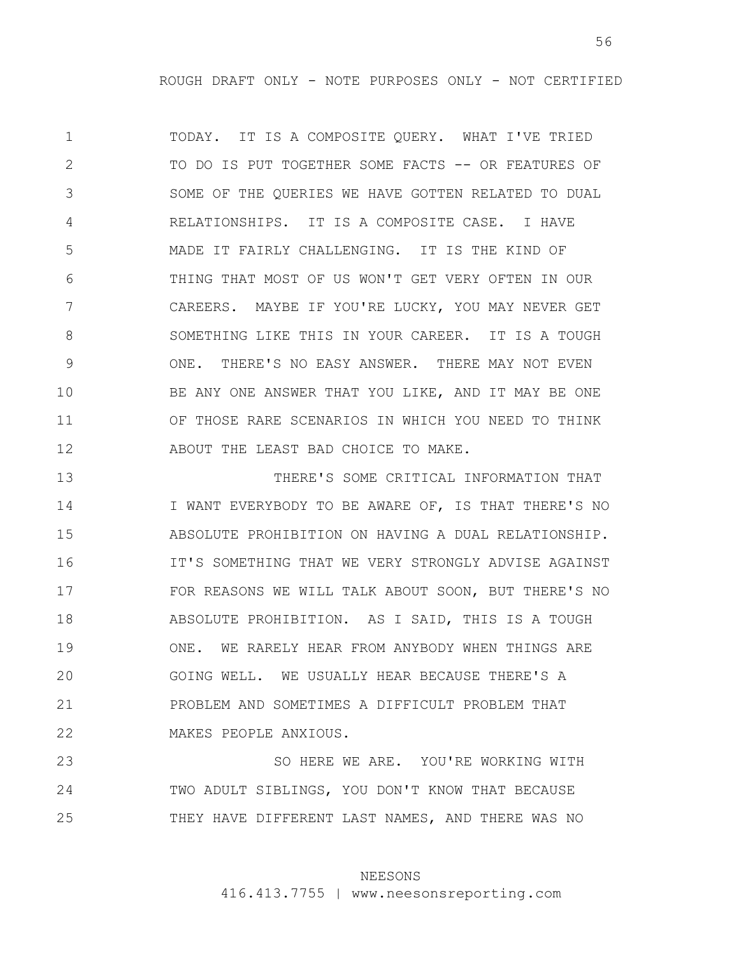1 2 3 4 5 6 7 8 9 10 11 12 TODAY. IT IS A COMPOSITE QUERY. WHAT I'VE TRIED TO DO IS PUT TOGETHER SOME FACTS -- OR FEATURES OF SOME OF THE QUERIES WE HAVE GOTTEN RELATED TO DUAL RELATIONSHIPS. IT IS A COMPOSITE CASE. I HAVE MADE IT FAIRLY CHALLENGING. IT IS THE KIND OF THING THAT MOST OF US WON'T GET VERY OFTEN IN OUR CAREERS. MAYBE IF YOU'RE LUCKY, YOU MAY NEVER GET SOMETHING LIKE THIS IN YOUR CAREER. IT IS A TOUGH ONE. THERE'S NO EASY ANSWER. THERE MAY NOT EVEN BE ANY ONE ANSWER THAT YOU LIKE, AND IT MAY BE ONE OF THOSE RARE SCENARIOS IN WHICH YOU NEED TO THINK ABOUT THE LEAST BAD CHOICE TO MAKE.

13 14 15 16 17 18 19 20 21 22 THERE'S SOME CRITICAL INFORMATION THAT I WANT EVERYBODY TO BE AWARE OF, IS THAT THERE'S NO ABSOLUTE PROHIBITION ON HAVING A DUAL RELATIONSHIP. IT'S SOMETHING THAT WE VERY STRONGLY ADVISE AGAINST FOR REASONS WE WILL TALK ABOUT SOON, BUT THERE'S NO ABSOLUTE PROHIBITION. AS I SAID, THIS IS A TOUGH ONE. WE RARELY HEAR FROM ANYBODY WHEN THINGS ARE GOING WELL. WE USUALLY HEAR BECAUSE THERE'S A PROBLEM AND SOMETIMES A DIFFICULT PROBLEM THAT MAKES PEOPLE ANXIOUS.

23 24 25 SO HERE WE ARE. YOU'RE WORKING WITH TWO ADULT SIBLINGS, YOU DON'T KNOW THAT BECAUSE THEY HAVE DIFFERENT LAST NAMES, AND THERE WAS NO

### NEESONS

416.413.7755 | www.neesonsreporting.com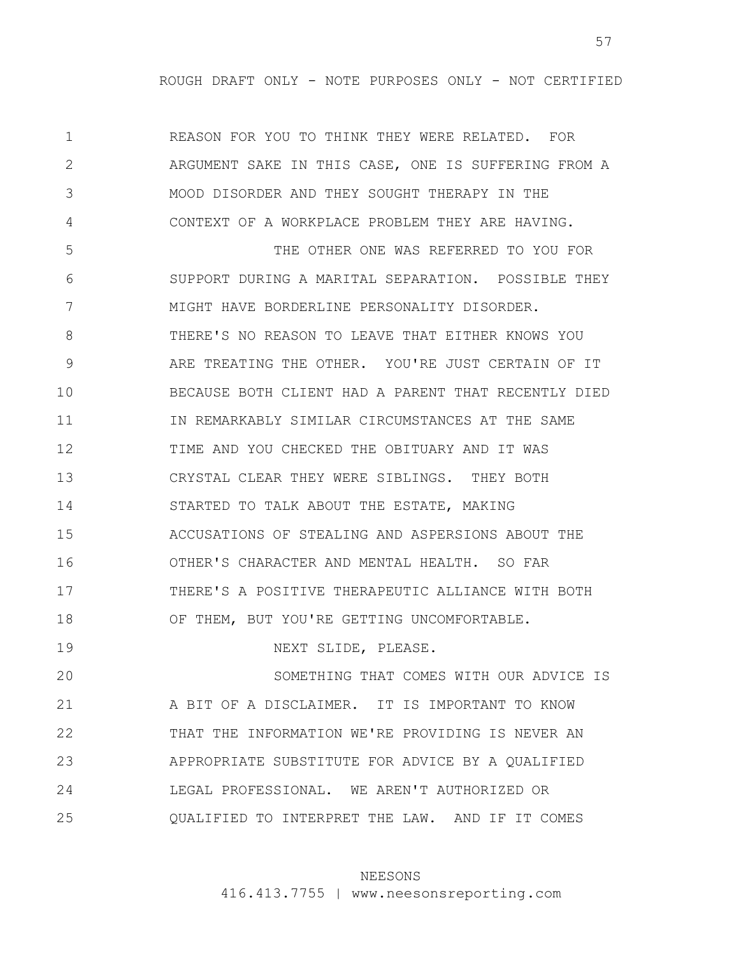1 2 3 4 5 6 7 8 9 10 11 12 13 14 15 16 17 18 19 20 21 22 23 24 25 REASON FOR YOU TO THINK THEY WERE RELATED. FOR ARGUMENT SAKE IN THIS CASE, ONE IS SUFFERING FROM A MOOD DISORDER AND THEY SOUGHT THERAPY IN THE CONTEXT OF A WORKPLACE PROBLEM THEY ARE HAVING. THE OTHER ONE WAS REFERRED TO YOU FOR SUPPORT DURING A MARITAL SEPARATION. POSSIBLE THEY MIGHT HAVE BORDERLINE PERSONALITY DISORDER. THERE'S NO REASON TO LEAVE THAT EITHER KNOWS YOU ARE TREATING THE OTHER. YOU'RE JUST CERTAIN OF IT BECAUSE BOTH CLIENT HAD A PARENT THAT RECENTLY DIED IN REMARKABLY SIMILAR CIRCUMSTANCES AT THE SAME TIME AND YOU CHECKED THE OBITUARY AND IT WAS CRYSTAL CLEAR THEY WERE SIBLINGS. THEY BOTH STARTED TO TALK ABOUT THE ESTATE, MAKING ACCUSATIONS OF STEALING AND ASPERSIONS ABOUT THE OTHER'S CHARACTER AND MENTAL HEALTH. SO FAR THERE'S A POSITIVE THERAPEUTIC ALLIANCE WITH BOTH OF THEM, BUT YOU'RE GETTING UNCOMFORTABLE. NEXT SLIDE, PLEASE. SOMETHING THAT COMES WITH OUR ADVICE IS A BIT OF A DISCLAIMER. IT IS IMPORTANT TO KNOW THAT THE INFORMATION WE'RE PROVIDING IS NEVER AN APPROPRIATE SUBSTITUTE FOR ADVICE BY A QUALIFIED LEGAL PROFESSIONAL. WE AREN'T AUTHORIZED OR QUALIFIED TO INTERPRET THE LAW. AND IF IT COMES

#### NEESONS

416.413.7755 | www.neesonsreporting.com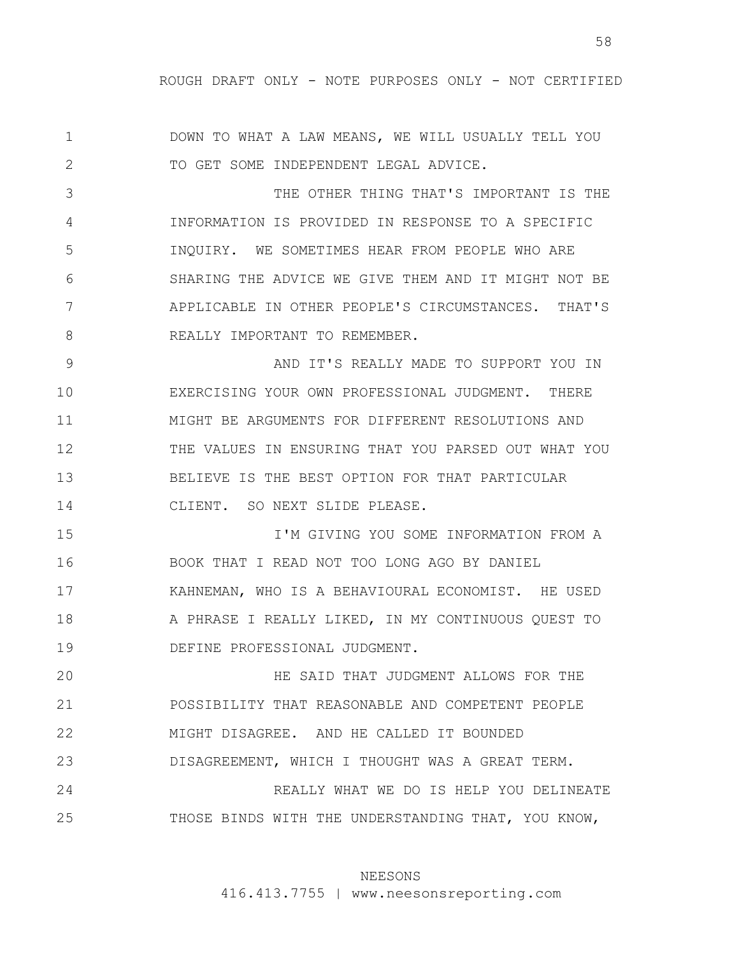1 2 DOWN TO WHAT A LAW MEANS, WE WILL USUALLY TELL YOU TO GET SOME INDEPENDENT LEGAL ADVICE.

3 4 5 6 7 8 THE OTHER THING THAT'S IMPORTANT IS THE INFORMATION IS PROVIDED IN RESPONSE TO A SPECIFIC INQUIRY. WE SOMETIMES HEAR FROM PEOPLE WHO ARE SHARING THE ADVICE WE GIVE THEM AND IT MIGHT NOT BE APPLICABLE IN OTHER PEOPLE'S CIRCUMSTANCES. THAT'S REALLY IMPORTANT TO REMEMBER.

9 10 11 12 13 14 AND IT'S REALLY MADE TO SUPPORT YOU IN EXERCISING YOUR OWN PROFESSIONAL JUDGMENT. THERE MIGHT BE ARGUMENTS FOR DIFFERENT RESOLUTIONS AND THE VALUES IN ENSURING THAT YOU PARSED OUT WHAT YOU BELIEVE IS THE BEST OPTION FOR THAT PARTICULAR CLIENT. SO NEXT SLIDE PLEASE.

15 16 17 18 19 I'M GIVING YOU SOME INFORMATION FROM A BOOK THAT I READ NOT TOO LONG AGO BY DANIEL KAHNEMAN, WHO IS A BEHAVIOURAL ECONOMIST. HE USED A PHRASE I REALLY LIKED, IN MY CONTINUOUS QUEST TO DEFINE PROFESSIONAL JUDGMENT.

20 21 22 23 24 25 HE SAID THAT JUDGMENT ALLOWS FOR THE POSSIBILITY THAT REASONABLE AND COMPETENT PEOPLE MIGHT DISAGREE. AND HE CALLED IT BOUNDED DISAGREEMENT, WHICH I THOUGHT WAS A GREAT TERM. REALLY WHAT WE DO IS HELP YOU DELINEATE THOSE BINDS WITH THE UNDERSTANDING THAT, YOU KNOW,

# NEESONS

416.413.7755 | www.neesonsreporting.com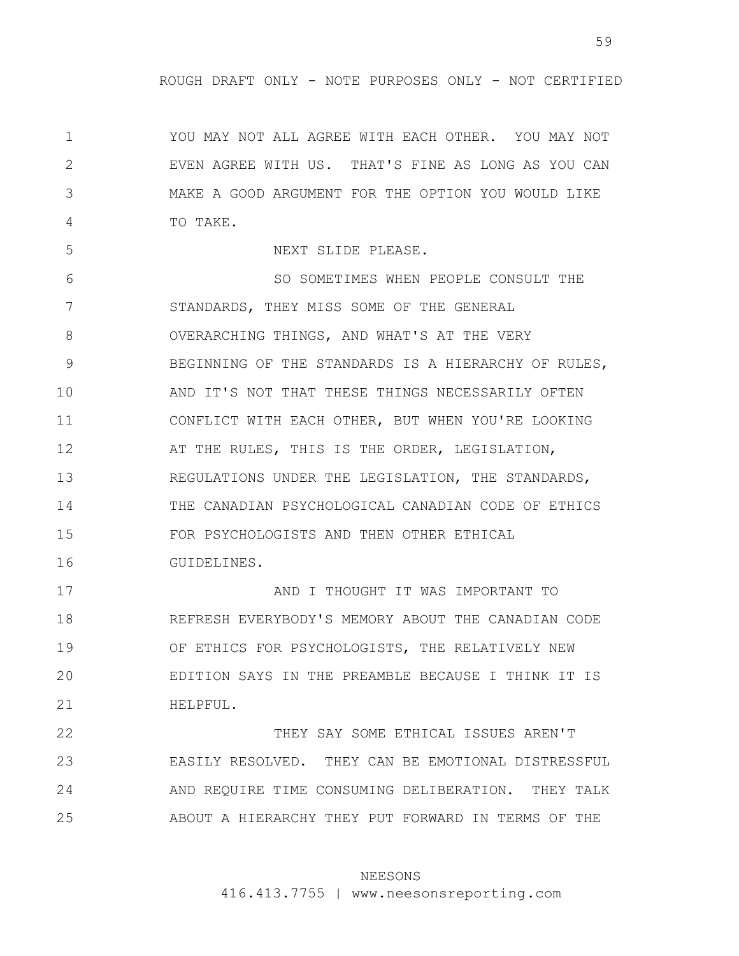1 2 3 4 YOU MAY NOT ALL AGREE WITH EACH OTHER. YOU MAY NOT EVEN AGREE WITH US. THAT'S FINE AS LONG AS YOU CAN MAKE A GOOD ARGUMENT FOR THE OPTION YOU WOULD LIKE TO TAKE.

5

NEXT SLIDE PLEASE.

6 7 8 9 10 11 12 13 14 15 16 SO SOMETIMES WHEN PEOPLE CONSULT THE STANDARDS, THEY MISS SOME OF THE GENERAL OVERARCHING THINGS, AND WHAT'S AT THE VERY BEGINNING OF THE STANDARDS IS A HIERARCHY OF RULES, AND IT'S NOT THAT THESE THINGS NECESSARILY OFTEN CONFLICT WITH EACH OTHER, BUT WHEN YOU'RE LOOKING AT THE RULES, THIS IS THE ORDER, LEGISLATION, REGULATIONS UNDER THE LEGISLATION, THE STANDARDS, THE CANADIAN PSYCHOLOGICAL CANADIAN CODE OF ETHICS FOR PSYCHOLOGISTS AND THEN OTHER ETHICAL GUIDELINES.

17 18 19 20 21 AND I THOUGHT IT WAS IMPORTANT TO REFRESH EVERYBODY'S MEMORY ABOUT THE CANADIAN CODE OF ETHICS FOR PSYCHOLOGISTS, THE RELATIVELY NEW EDITION SAYS IN THE PREAMBLE BECAUSE I THINK IT IS HELPFUL.

22 23 24 25 THEY SAY SOME ETHICAL ISSUES AREN'T EASILY RESOLVED. THEY CAN BE EMOTIONAL DISTRESSFUL AND REQUIRE TIME CONSUMING DELIBERATION. THEY TALK ABOUT A HIERARCHY THEY PUT FORWARD IN TERMS OF THE

### NEESONS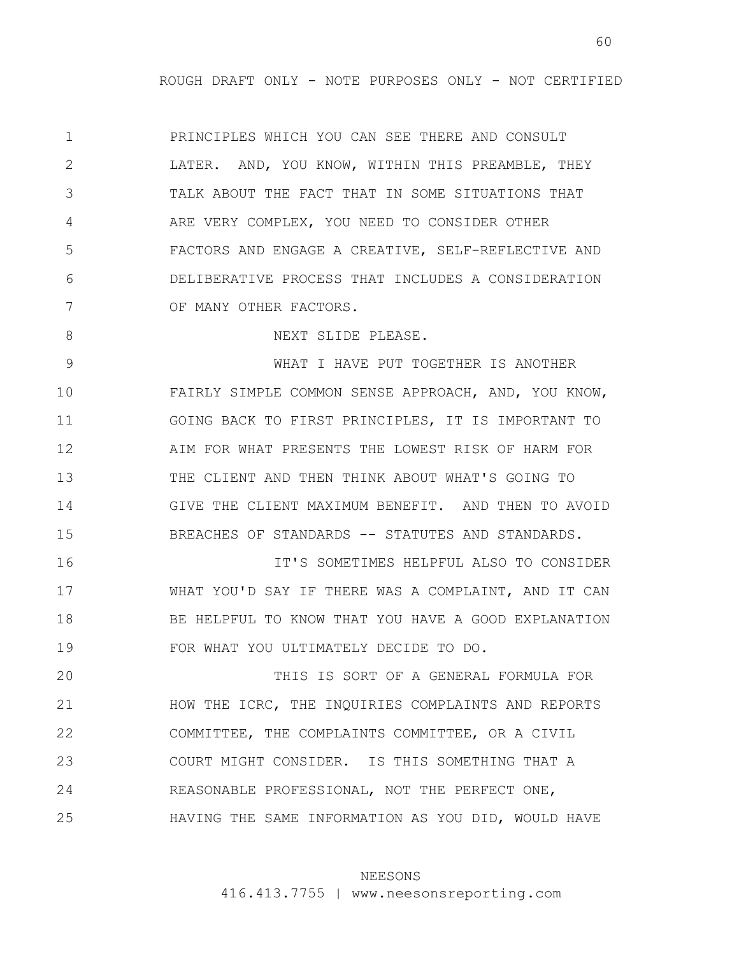1 2 3 4 5 6 7 PRINCIPLES WHICH YOU CAN SEE THERE AND CONSULT LATER. AND, YOU KNOW, WITHIN THIS PREAMBLE, THEY TALK ABOUT THE FACT THAT IN SOME SITUATIONS THAT ARE VERY COMPLEX, YOU NEED TO CONSIDER OTHER FACTORS AND ENGAGE A CREATIVE, SELF-REFLECTIVE AND DELIBERATIVE PROCESS THAT INCLUDES A CONSIDERATION OF MANY OTHER FACTORS.

NEXT SLIDE PLEASE.

8

9 10 11 12 13 14 15 WHAT I HAVE PUT TOGETHER IS ANOTHER FAIRLY SIMPLE COMMON SENSE APPROACH, AND, YOU KNOW, GOING BACK TO FIRST PRINCIPLES, IT IS IMPORTANT TO AIM FOR WHAT PRESENTS THE LOWEST RISK OF HARM FOR THE CLIENT AND THEN THINK ABOUT WHAT'S GOING TO GIVE THE CLIENT MAXIMUM BENEFIT. AND THEN TO AVOID BREACHES OF STANDARDS -- STATUTES AND STANDARDS.

16 17 18 19 IT'S SOMETIMES HELPFUL ALSO TO CONSIDER WHAT YOU'D SAY IF THERE WAS A COMPLAINT, AND IT CAN BE HELPFUL TO KNOW THAT YOU HAVE A GOOD EXPLANATION FOR WHAT YOU ULTIMATELY DECIDE TO DO.

20 21 22 23 24 25 THIS IS SORT OF A GENERAL FORMULA FOR HOW THE ICRC, THE INQUIRIES COMPLAINTS AND REPORTS COMMITTEE, THE COMPLAINTS COMMITTEE, OR A CIVIL COURT MIGHT CONSIDER. IS THIS SOMETHING THAT A REASONABLE PROFESSIONAL, NOT THE PERFECT ONE, HAVING THE SAME INFORMATION AS YOU DID, WOULD HAVE

## NEESONS

416.413.7755 | www.neesonsreporting.com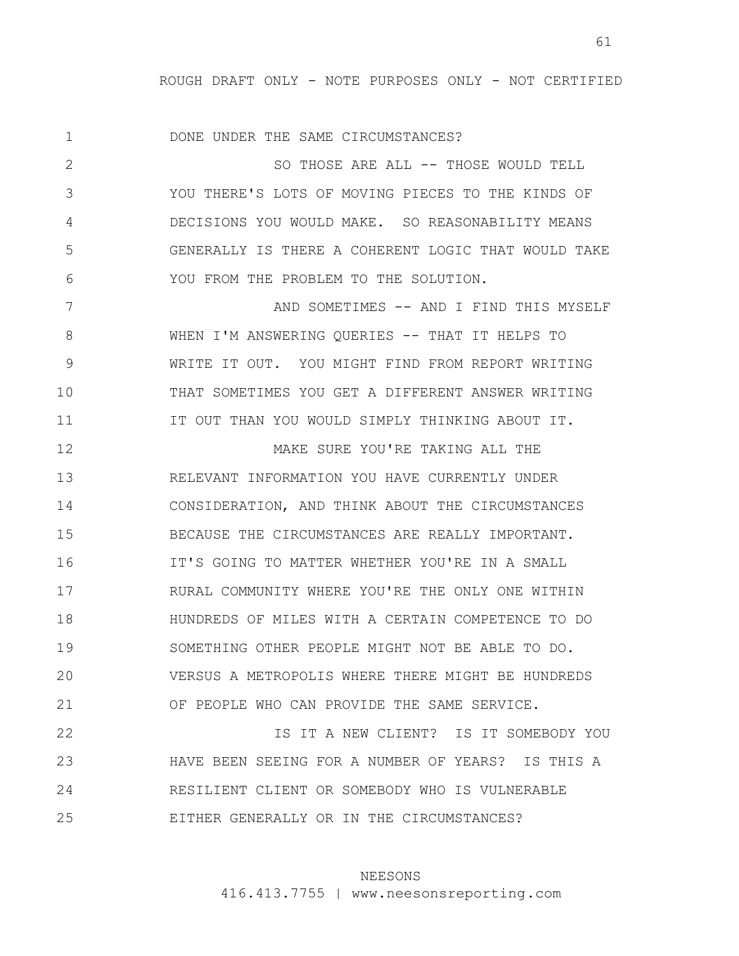1 DONE UNDER THE SAME CIRCUMSTANCES?

2 3 4 5 6 SO THOSE ARE ALL -- THOSE WOULD TELL YOU THERE'S LOTS OF MOVING PIECES TO THE KINDS OF DECISIONS YOU WOULD MAKE. SO REASONABILITY MEANS GENERALLY IS THERE A COHERENT LOGIC THAT WOULD TAKE YOU FROM THE PROBLEM TO THE SOLUTION.

7 8 9 10 11 AND SOMETIMES -- AND I FIND THIS MYSELF WHEN I'M ANSWERING OUERIES -- THAT IT HELPS TO WRITE IT OUT. YOU MIGHT FIND FROM REPORT WRITING THAT SOMETIMES YOU GET A DIFFERENT ANSWER WRITING IT OUT THAN YOU WOULD SIMPLY THINKING ABOUT IT.

12 13 14 15 16 17 18 19 20 21 MAKE SURE YOU'RE TAKING ALL THE RELEVANT INFORMATION YOU HAVE CURRENTLY UNDER CONSIDERATION, AND THINK ABOUT THE CIRCUMSTANCES BECAUSE THE CIRCUMSTANCES ARE REALLY IMPORTANT. IT'S GOING TO MATTER WHETHER YOU'RE IN A SMALL RURAL COMMUNITY WHERE YOU'RE THE ONLY ONE WITHIN HUNDREDS OF MILES WITH A CERTAIN COMPETENCE TO DO SOMETHING OTHER PEOPLE MIGHT NOT BE ABLE TO DO. VERSUS A METROPOLIS WHERE THERE MIGHT BE HUNDREDS OF PEOPLE WHO CAN PROVIDE THE SAME SERVICE.

22 23 24 25 IS IT A NEW CLIENT? IS IT SOMEBODY YOU HAVE BEEN SEEING FOR A NUMBER OF YEARS? IS THIS A RESILIENT CLIENT OR SOMEBODY WHO IS VULNERABLE EITHER GENERALLY OR IN THE CIRCUMSTANCES?

## NEESONS

416.413.7755 | www.neesonsreporting.com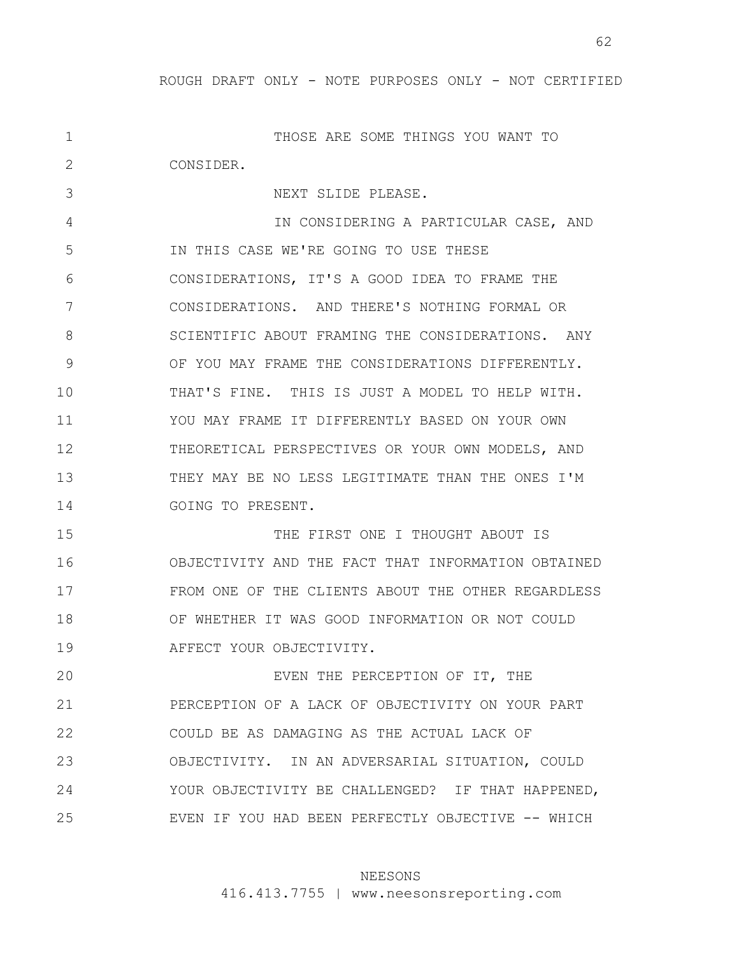62

1 2 3 4 5 6 7 8 9 10 11 12 13 14 15 16 17 18 19 20 21 22 23 24 25 THOSE ARE SOME THINGS YOU WANT TO CONSIDER. NEXT SLIDE PLEASE. IN CONSIDERING A PARTICULAR CASE, AND IN THIS CASE WE'RE GOING TO USE THESE CONSIDERATIONS, IT'S A GOOD IDEA TO FRAME THE CONSIDERATIONS. AND THERE'S NOTHING FORMAL OR SCIENTIFIC ABOUT FRAMING THE CONSIDERATIONS. ANY OF YOU MAY FRAME THE CONSIDERATIONS DIFFERENTLY. THAT'S FINE. THIS IS JUST A MODEL TO HELP WITH. YOU MAY FRAME IT DIFFERENTLY BASED ON YOUR OWN THEORETICAL PERSPECTIVES OR YOUR OWN MODELS, AND THEY MAY BE NO LESS LEGITIMATE THAN THE ONES I'M GOING TO PRESENT. THE FIRST ONE I THOUGHT ABOUT IS OBJECTIVITY AND THE FACT THAT INFORMATION OBTAINED FROM ONE OF THE CLIENTS ABOUT THE OTHER REGARDLESS OF WHETHER IT WAS GOOD INFORMATION OR NOT COULD AFFECT YOUR OBJECTIVITY. EVEN THE PERCEPTION OF IT, THE PERCEPTION OF A LACK OF OBJECTIVITY ON YOUR PART COULD BE AS DAMAGING AS THE ACTUAL LACK OF OBJECTIVITY. IN AN ADVERSARIAL SITUATION, COULD YOUR OBJECTIVITY BE CHALLENGED? IF THAT HAPPENED, EVEN IF YOU HAD BEEN PERFECTLY OBJECTIVE -- WHICH

### NEESONS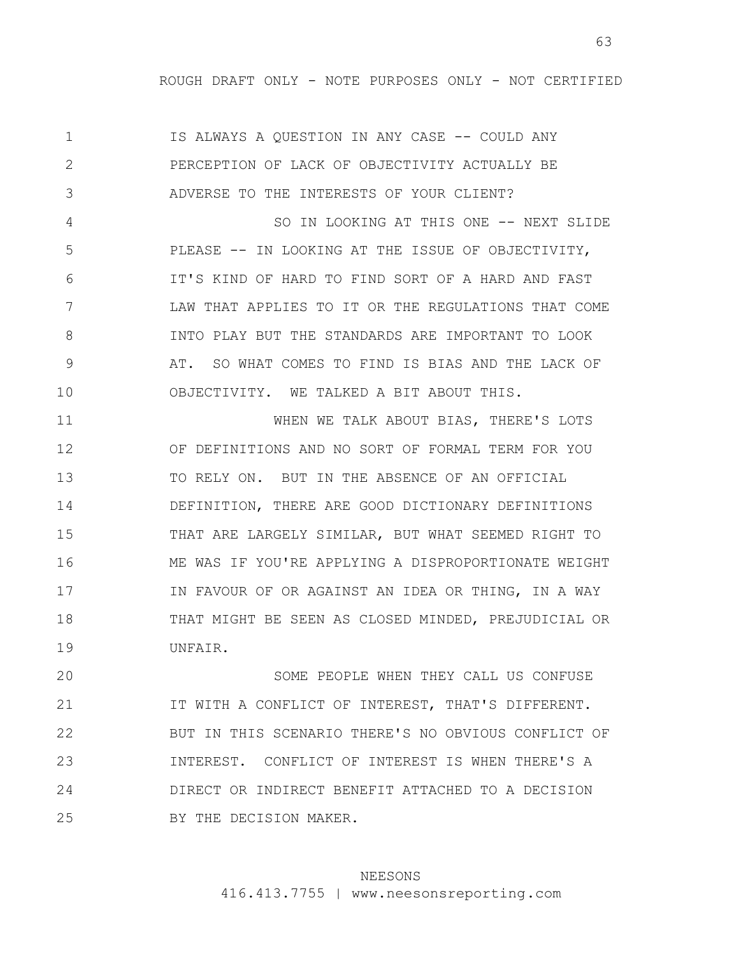63

1 2 3 4 5 6 7 8 9 10 11 12 13 14 15 16 17 18 19 IS ALWAYS A QUESTION IN ANY CASE -- COULD ANY PERCEPTION OF LACK OF OBJECTIVITY ACTUALLY BE ADVERSE TO THE INTERESTS OF YOUR CLIENT? SO IN LOOKING AT THIS ONE -- NEXT SLIDE PLEASE -- IN LOOKING AT THE ISSUE OF OBJECTIVITY, IT'S KIND OF HARD TO FIND SORT OF A HARD AND FAST LAW THAT APPLIES TO IT OR THE REGULATIONS THAT COME INTO PLAY BUT THE STANDARDS ARE IMPORTANT TO LOOK AT. SO WHAT COMES TO FIND IS BIAS AND THE LACK OF OBJECTIVITY. WE TALKED A BIT ABOUT THIS. WHEN WE TALK ABOUT BIAS, THERE'S LOTS OF DEFINITIONS AND NO SORT OF FORMAL TERM FOR YOU TO RELY ON. BUT IN THE ABSENCE OF AN OFFICIAL DEFINITION, THERE ARE GOOD DICTIONARY DEFINITIONS THAT ARE LARGELY SIMILAR, BUT WHAT SEEMED RIGHT TO ME WAS IF YOU'RE APPLYING A DISPROPORTIONATE WEIGHT IN FAVOUR OF OR AGAINST AN IDEA OR THING, IN A WAY THAT MIGHT BE SEEN AS CLOSED MINDED, PREJUDICIAL OR UNFAIR. SOME PEOPLE WHEN THEY CALL US CONFUSE

20 21 22 23 24 25 IT WITH A CONFLICT OF INTEREST, THAT'S DIFFERENT. BUT IN THIS SCENARIO THERE'S NO OBVIOUS CONFLICT OF INTEREST. CONFLICT OF INTEREST IS WHEN THERE'S A DIRECT OR INDIRECT BENEFIT ATTACHED TO A DECISION BY THE DECISION MAKER.

### NEESONS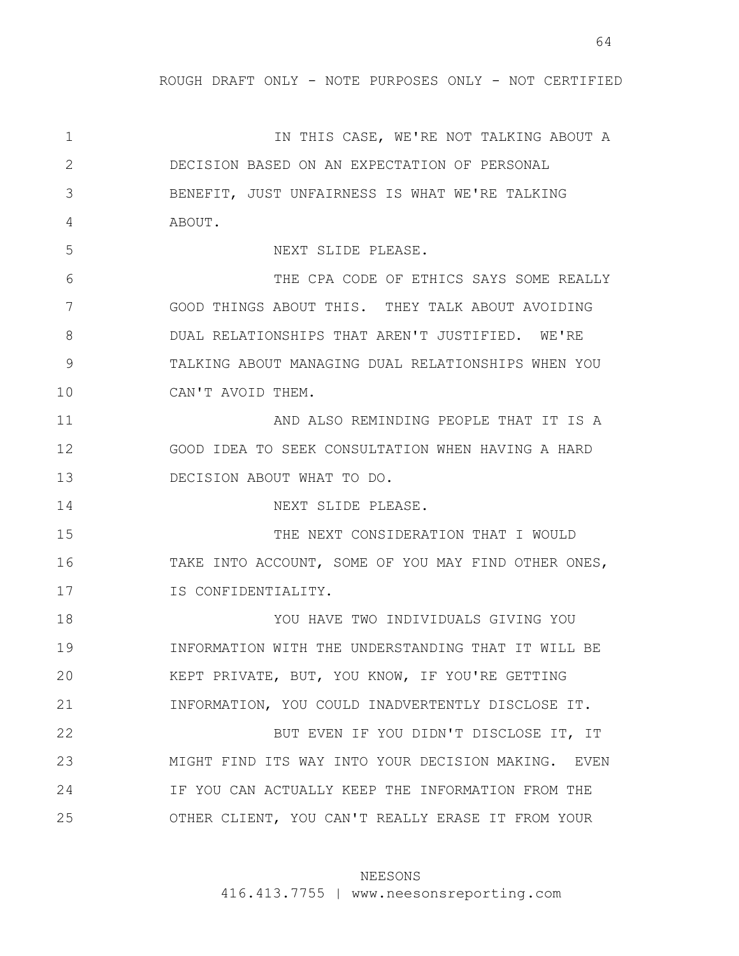64

1 2 3 4 5 6 7 8 9 10 11 12 13 14 15 16 17 18 19 20 21 22 23 24 25 IN THIS CASE, WE'RE NOT TALKING ABOUT A DECISION BASED ON AN EXPECTATION OF PERSONAL BENEFIT, JUST UNFAIRNESS IS WHAT WE'RE TALKING ABOUT. NEXT SLIDE PLEASE. THE CPA CODE OF ETHICS SAYS SOME REALLY GOOD THINGS ABOUT THIS. THEY TALK ABOUT AVOIDING DUAL RELATIONSHIPS THAT AREN'T JUSTIFIED. WE'RE TALKING ABOUT MANAGING DUAL RELATIONSHIPS WHEN YOU CAN'T AVOID THEM. AND ALSO REMINDING PEOPLE THAT IT IS A GOOD IDEA TO SEEK CONSULTATION WHEN HAVING A HARD DECISION ABOUT WHAT TO DO. NEXT SLIDE PLEASE. THE NEXT CONSIDERATION THAT I WOULD TAKE INTO ACCOUNT, SOME OF YOU MAY FIND OTHER ONES, IS CONFIDENTIALITY. YOU HAVE TWO INDIVIDUALS GIVING YOU INFORMATION WITH THE UNDERSTANDING THAT IT WILL BE KEPT PRIVATE, BUT, YOU KNOW, IF YOU'RE GETTING INFORMATION, YOU COULD INADVERTENTLY DISCLOSE IT. BUT EVEN IF YOU DIDN'T DISCLOSE IT, IT MIGHT FIND ITS WAY INTO YOUR DECISION MAKING. EVEN IF YOU CAN ACTUALLY KEEP THE INFORMATION FROM THE OTHER CLIENT, YOU CAN'T REALLY ERASE IT FROM YOUR

#### NEESONS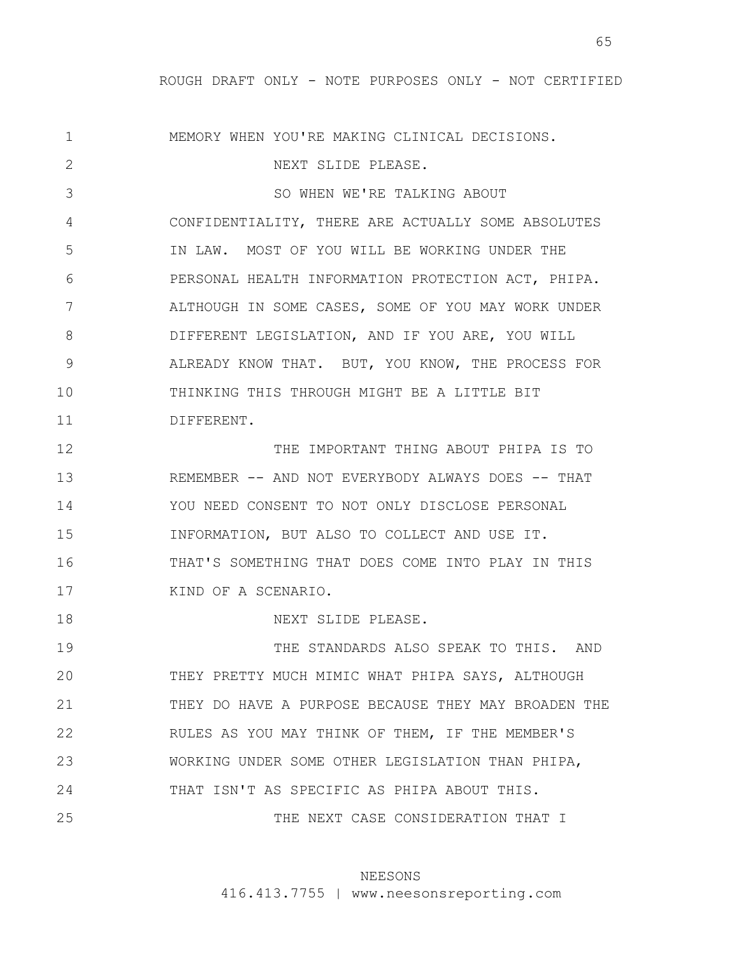1 2 3 4 5 6 7 8 9 10 11 12 13 14 15 16 17 18 19 20 21 22 23 24 25 MEMORY WHEN YOU'RE MAKING CLINICAL DECISIONS. NEXT SLIDE PLEASE. SO WHEN WE'RE TALKING ABOUT CONFIDENTIALITY, THERE ARE ACTUALLY SOME ABSOLUTES IN LAW. MOST OF YOU WILL BE WORKING UNDER THE PERSONAL HEALTH INFORMATION PROTECTION ACT, PHIPA. ALTHOUGH IN SOME CASES, SOME OF YOU MAY WORK UNDER DIFFERENT LEGISLATION, AND IF YOU ARE, YOU WILL ALREADY KNOW THAT. BUT, YOU KNOW, THE PROCESS FOR THINKING THIS THROUGH MIGHT BE A LITTLE BIT DIFFERENT. THE IMPORTANT THING ABOUT PHIPA IS TO REMEMBER -- AND NOT EVERYBODY ALWAYS DOES -- THAT YOU NEED CONSENT TO NOT ONLY DISCLOSE PERSONAL INFORMATION, BUT ALSO TO COLLECT AND USE IT. THAT'S SOMETHING THAT DOES COME INTO PLAY IN THIS KIND OF A SCENARIO. NEXT SLIDE PLEASE. THE STANDARDS ALSO SPEAK TO THIS. AND THEY PRETTY MUCH MIMIC WHAT PHIPA SAYS, ALTHOUGH THEY DO HAVE A PURPOSE BECAUSE THEY MAY BROADEN THE RULES AS YOU MAY THINK OF THEM, IF THE MEMBER'S WORKING UNDER SOME OTHER LEGISLATION THAN PHIPA, THAT ISN'T AS SPECIFIC AS PHIPA ABOUT THIS. THE NEXT CASE CONSIDERATION THAT I

# NEESONS

416.413.7755 | www.neesonsreporting.com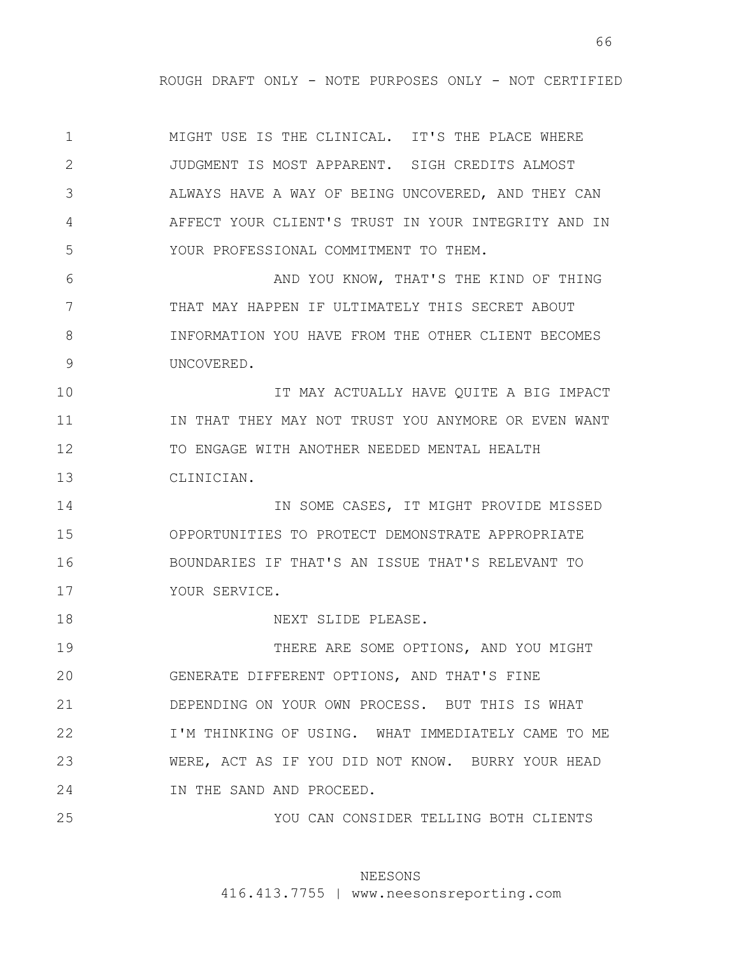1 2 3 4 5 6 7 8 9 10 11 12 13 14 15 16 17 18 19 20 21 22 23 24 25 MIGHT USE IS THE CLINICAL. IT'S THE PLACE WHERE JUDGMENT IS MOST APPARENT. SIGH CREDITS ALMOST ALWAYS HAVE A WAY OF BEING UNCOVERED, AND THEY CAN AFFECT YOUR CLIENT'S TRUST IN YOUR INTEGRITY AND IN YOUR PROFESSIONAL COMMITMENT TO THEM. AND YOU KNOW, THAT'S THE KIND OF THING THAT MAY HAPPEN IF ULTIMATELY THIS SECRET ABOUT INFORMATION YOU HAVE FROM THE OTHER CLIENT BECOMES UNCOVERED. IT MAY ACTUALLY HAVE QUITE A BIG IMPACT IN THAT THEY MAY NOT TRUST YOU ANYMORE OR EVEN WANT TO ENGAGE WITH ANOTHER NEEDED MENTAL HEALTH CLINICIAN. IN SOME CASES, IT MIGHT PROVIDE MISSED OPPORTUNITIES TO PROTECT DEMONSTRATE APPROPRIATE BOUNDARIES IF THAT'S AN ISSUE THAT'S RELEVANT TO YOUR SERVICE. NEXT SLIDE PLEASE. THERE ARE SOME OPTIONS, AND YOU MIGHT GENERATE DIFFERENT OPTIONS, AND THAT'S FINE DEPENDING ON YOUR OWN PROCESS. BUT THIS IS WHAT I'M THINKING OF USING. WHAT IMMEDIATELY CAME TO ME WERE, ACT AS IF YOU DID NOT KNOW. BURRY YOUR HEAD IN THE SAND AND PROCEED. YOU CAN CONSIDER TELLING BOTH CLIENTS

## NEESONS

416.413.7755 | www.neesonsreporting.com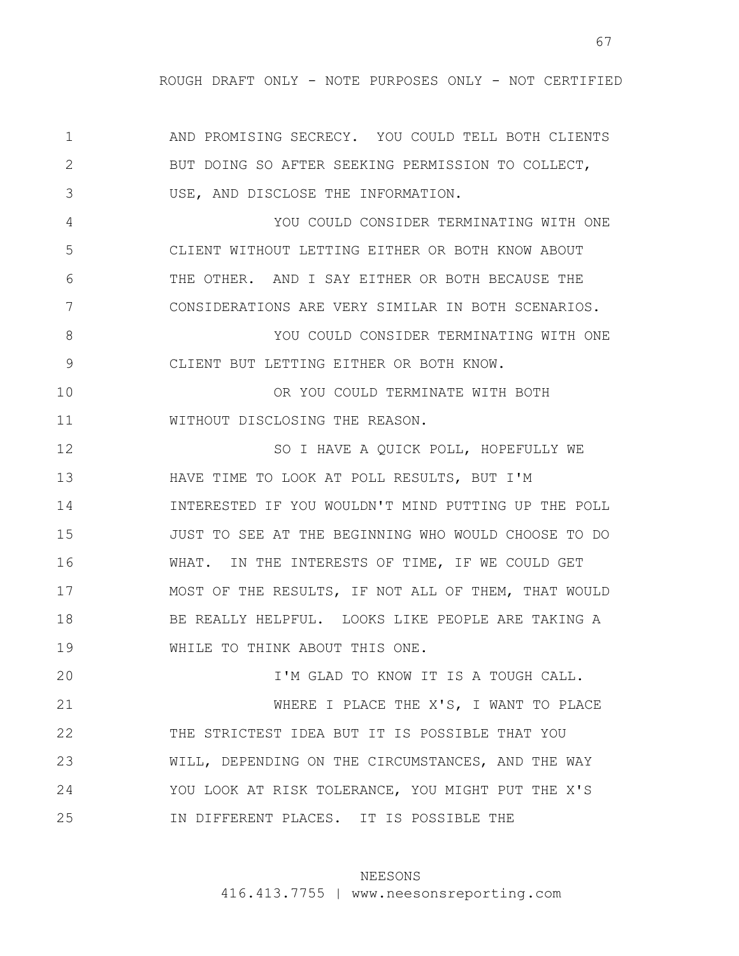67

1 2 3 4 5 6 7 8 9 10 11 12 13 14 15 16 17 18 19 20 21 22 23 24 25 AND PROMISING SECRECY. YOU COULD TELL BOTH CLIENTS BUT DOING SO AFTER SEEKING PERMISSION TO COLLECT, USE, AND DISCLOSE THE INFORMATION. YOU COULD CONSIDER TERMINATING WITH ONE CLIENT WITHOUT LETTING EITHER OR BOTH KNOW ABOUT THE OTHER. AND I SAY EITHER OR BOTH BECAUSE THE CONSIDERATIONS ARE VERY SIMILAR IN BOTH SCENARIOS. YOU COULD CONSIDER TERMINATING WITH ONE CLIENT BUT LETTING EITHER OR BOTH KNOW. OR YOU COULD TERMINATE WITH BOTH WITHOUT DISCLOSING THE REASON. SO I HAVE A QUICK POLL, HOPEFULLY WE HAVE TIME TO LOOK AT POLL RESULTS, BUT I'M INTERESTED IF YOU WOULDN'T MIND PUTTING UP THE POLL JUST TO SEE AT THE BEGINNING WHO WOULD CHOOSE TO DO WHAT. IN THE INTERESTS OF TIME, IF WE COULD GET MOST OF THE RESULTS, IF NOT ALL OF THEM, THAT WOULD BE REALLY HELPFUL. LOOKS LIKE PEOPLE ARE TAKING A WHILE TO THINK ABOUT THIS ONE. I'M GLAD TO KNOW IT IS A TOUGH CALL. WHERE I PLACE THE X'S, I WANT TO PLACE THE STRICTEST IDEA BUT IT IS POSSIBLE THAT YOU WILL, DEPENDING ON THE CIRCUMSTANCES, AND THE WAY YOU LOOK AT RISK TOLERANCE, YOU MIGHT PUT THE X'S IN DIFFERENT PLACES. IT IS POSSIBLE THE

#### NEESONS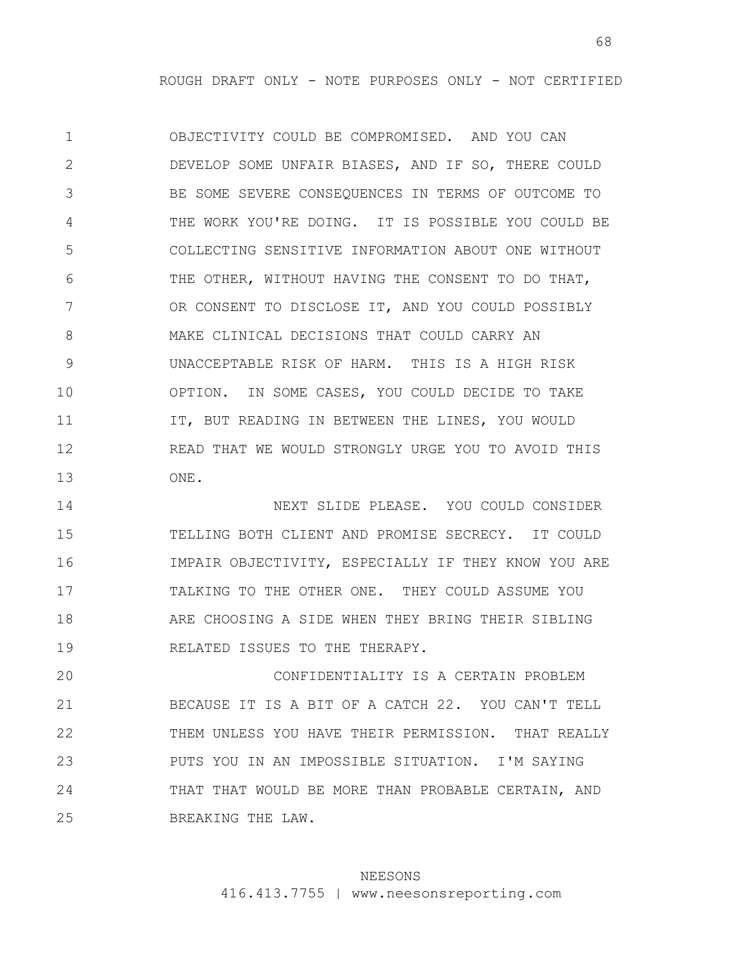1 2 3 4 5 6 7 8 9 10 11 12 13 OBJECTIVITY COULD BE COMPROMISED. AND YOU CAN DEVELOP SOME UNFAIR BIASES, AND IF SO, THERE COULD BE SOME SEVERE CONSEQUENCES IN TERMS OF OUTCOME TO THE WORK YOU'RE DOING. IT IS POSSIBLE YOU COULD BE COLLECTING SENSITIVE INFORMATION ABOUT ONE WITHOUT THE OTHER, WITHOUT HAVING THE CONSENT TO DO THAT, OR CONSENT TO DISCLOSE IT, AND YOU COULD POSSIBLY MAKE CLINICAL DECISIONS THAT COULD CARRY AN UNACCEPTABLE RISK OF HARM. THIS IS A HIGH RISK OPTION. IN SOME CASES, YOU COULD DECIDE TO TAKE IT, BUT READING IN BETWEEN THE LINES, YOU WOULD READ THAT WE WOULD STRONGLY URGE YOU TO AVOID THIS ONE.

14 15 16 17 18 19 NEXT SLIDE PLEASE. YOU COULD CONSIDER TELLING BOTH CLIENT AND PROMISE SECRECY. IT COULD IMPAIR OBJECTIVITY, ESPECIALLY IF THEY KNOW YOU ARE TALKING TO THE OTHER ONE. THEY COULD ASSUME YOU ARE CHOOSING A SIDE WHEN THEY BRING THEIR SIBLING RELATED ISSUES TO THE THERAPY.

20 21 22 23 24 25 CONFIDENTIALITY IS A CERTAIN PROBLEM BECAUSE IT IS A BIT OF A CATCH 22. YOU CAN'T TELL THEM UNLESS YOU HAVE THEIR PERMISSION. THAT REALLY PUTS YOU IN AN IMPOSSIBLE SITUATION. I'M SAYING THAT THAT WOULD BE MORE THAN PROBABLE CERTAIN, AND BREAKING THE LAW.

### NEESONS

416.413.7755 | www.neesonsreporting.com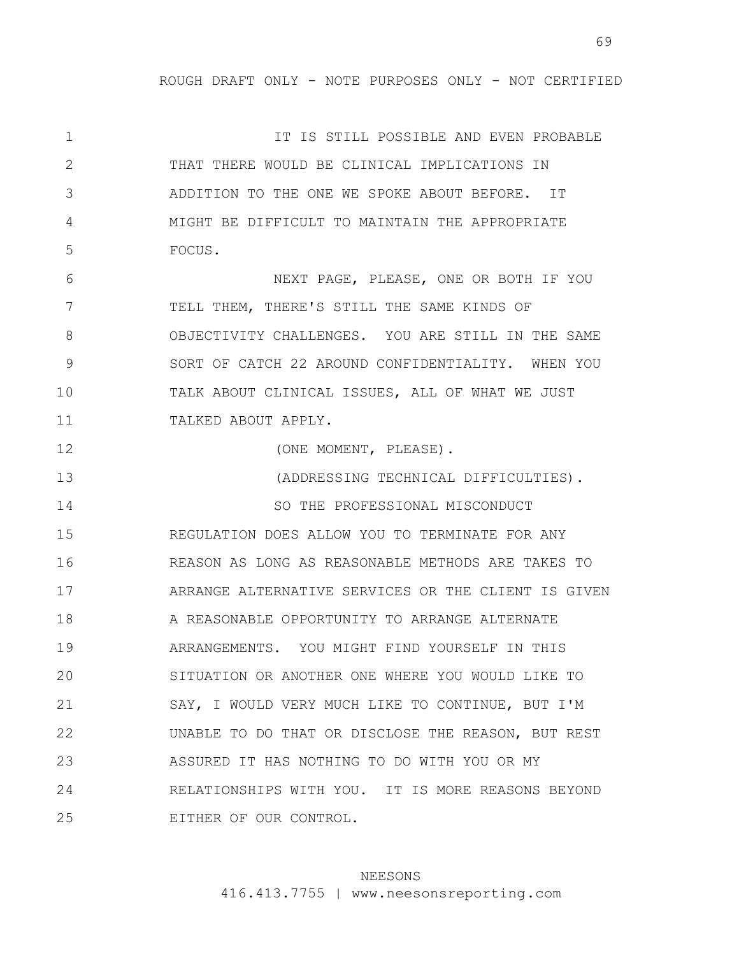1 2 3 4 5 6 7 8 9 10 11 12 13 14 15 16 17 18 19 20 21 22 23 24 25 IT IS STILL POSSIBLE AND EVEN PROBABLE THAT THERE WOULD BE CLINICAL IMPLICATIONS IN ADDITION TO THE ONE WE SPOKE ABOUT BEFORE. IT MIGHT BE DIFFICULT TO MAINTAIN THE APPROPRIATE FOCUS. NEXT PAGE, PLEASE, ONE OR BOTH IF YOU TELL THEM, THERE'S STILL THE SAME KINDS OF OBJECTIVITY CHALLENGES. YOU ARE STILL IN THE SAME SORT OF CATCH 22 AROUND CONFIDENTIALITY. WHEN YOU TALK ABOUT CLINICAL ISSUES, ALL OF WHAT WE JUST TALKED ABOUT APPLY. (ONE MOMENT, PLEASE). (ADDRESSING TECHNICAL DIFFICULTIES). SO THE PROFESSIONAL MISCONDUCT REGULATION DOES ALLOW YOU TO TERMINATE FOR ANY REASON AS LONG AS REASONABLE METHODS ARE TAKES TO ARRANGE ALTERNATIVE SERVICES OR THE CLIENT IS GIVEN A REASONABLE OPPORTUNITY TO ARRANGE ALTERNATE ARRANGEMENTS. YOU MIGHT FIND YOURSELF IN THIS SITUATION OR ANOTHER ONE WHERE YOU WOULD LIKE TO SAY, I WOULD VERY MUCH LIKE TO CONTINUE, BUT I'M UNABLE TO DO THAT OR DISCLOSE THE REASON, BUT REST ASSURED IT HAS NOTHING TO DO WITH YOU OR MY RELATIONSHIPS WITH YOU. IT IS MORE REASONS BEYOND EITHER OF OUR CONTROL.

### NEESONS

416.413.7755 | www.neesonsreporting.com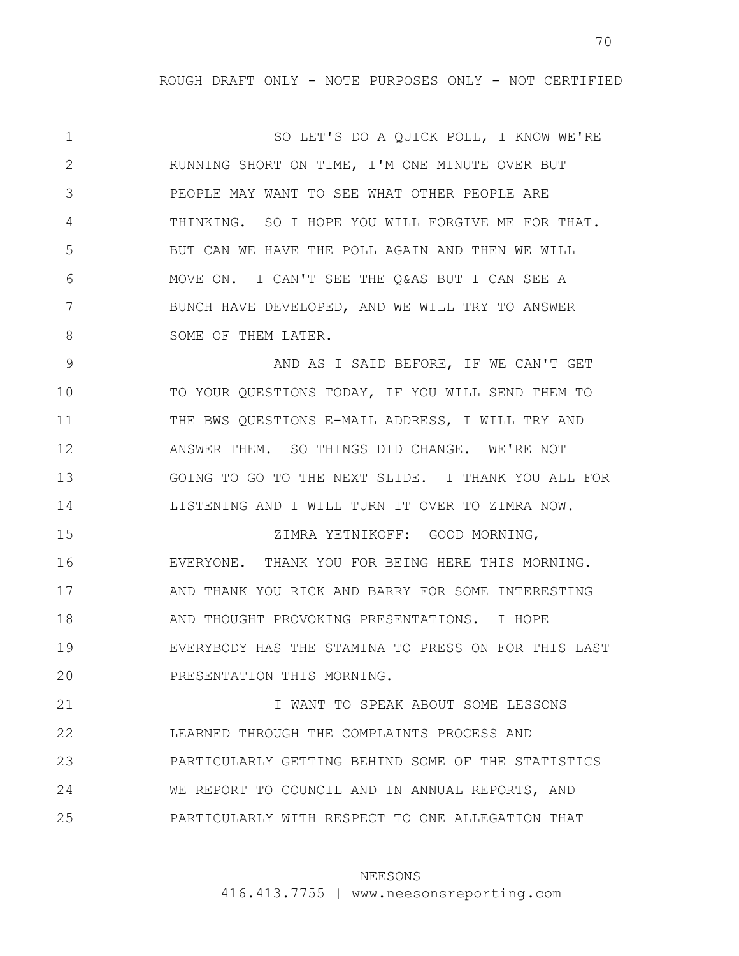1 2 3 4 5 6 7 8 SO LET'S DO A QUICK POLL, I KNOW WE'RE RUNNING SHORT ON TIME, I'M ONE MINUTE OVER BUT PEOPLE MAY WANT TO SEE WHAT OTHER PEOPLE ARE THINKING. SO I HOPE YOU WILL FORGIVE ME FOR THAT. BUT CAN WE HAVE THE POLL AGAIN AND THEN WE WILL MOVE ON. I CAN'T SEE THE Q&AS BUT I CAN SEE A BUNCH HAVE DEVELOPED, AND WE WILL TRY TO ANSWER SOME OF THEM LATER.

9 10 11 12 13 14 AND AS I SAID BEFORE, IF WE CAN'T GET TO YOUR QUESTIONS TODAY, IF YOU WILL SEND THEM TO THE BWS QUESTIONS E-MAIL ADDRESS, I WILL TRY AND ANSWER THEM. SO THINGS DID CHANGE. WE'RE NOT GOING TO GO TO THE NEXT SLIDE. I THANK YOU ALL FOR LISTENING AND I WILL TURN IT OVER TO ZIMRA NOW.

15 16 17 18 19 20 ZIMRA YETNIKOFF: GOOD MORNING, EVERYONE. THANK YOU FOR BEING HERE THIS MORNING. AND THANK YOU RICK AND BARRY FOR SOME INTERESTING AND THOUGHT PROVOKING PRESENTATIONS. I HOPE EVERYBODY HAS THE STAMINA TO PRESS ON FOR THIS LAST PRESENTATION THIS MORNING.

21 22 23 24 25 I WANT TO SPEAK ABOUT SOME LESSONS LEARNED THROUGH THE COMPLAINTS PROCESS AND PARTICULARLY GETTING BEHIND SOME OF THE STATISTICS WE REPORT TO COUNCIL AND IN ANNUAL REPORTS, AND PARTICULARLY WITH RESPECT TO ONE ALLEGATION THAT

### NEESONS

416.413.7755 | www.neesonsreporting.com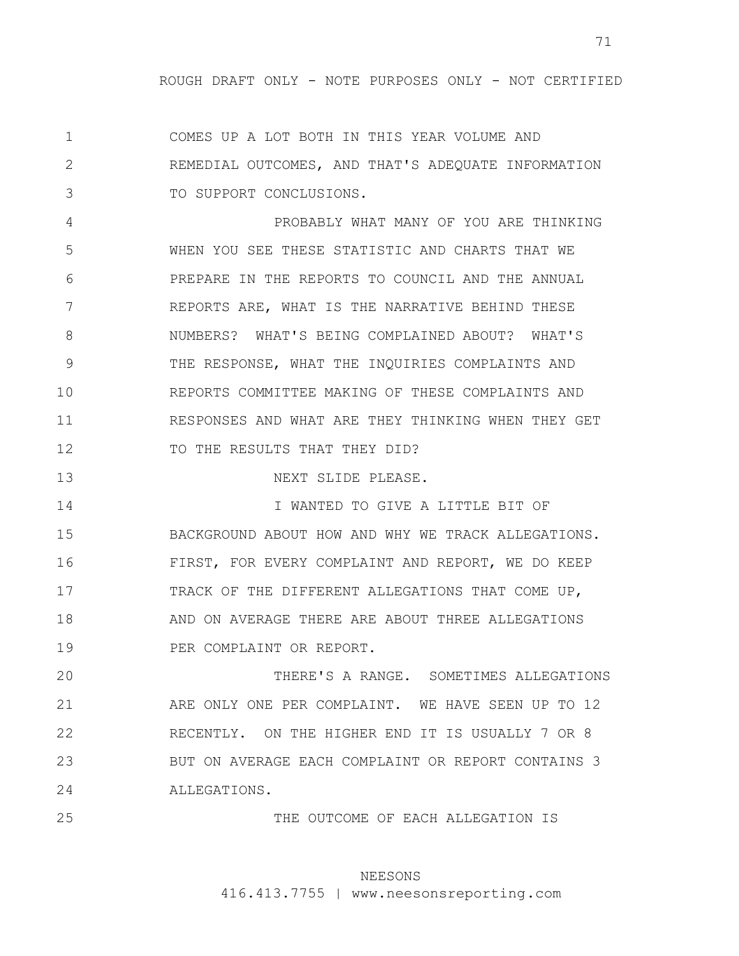1 2 3 COMES UP A LOT BOTH IN THIS YEAR VOLUME AND REMEDIAL OUTCOMES, AND THAT'S ADEQUATE INFORMATION TO SUPPORT CONCLUSIONS.

4 5 6 7 8 9 10 11 12 PROBABLY WHAT MANY OF YOU ARE THINKING WHEN YOU SEE THESE STATISTIC AND CHARTS THAT WE PREPARE IN THE REPORTS TO COUNCIL AND THE ANNUAL REPORTS ARE, WHAT IS THE NARRATIVE BEHIND THESE NUMBERS? WHAT'S BEING COMPLAINED ABOUT? WHAT'S THE RESPONSE, WHAT THE INQUIRIES COMPLAINTS AND REPORTS COMMITTEE MAKING OF THESE COMPLAINTS AND RESPONSES AND WHAT ARE THEY THINKING WHEN THEY GET TO THE RESULTS THAT THEY DID?

13 NEXT SLIDE PLEASE.

14 15 16 17 18 19 I WANTED TO GIVE A LITTLE BIT OF BACKGROUND ABOUT HOW AND WHY WE TRACK ALLEGATIONS. FIRST, FOR EVERY COMPLAINT AND REPORT, WE DO KEEP TRACK OF THE DIFFERENT ALLEGATIONS THAT COME UP, AND ON AVERAGE THERE ARE ABOUT THREE ALLEGATIONS PER COMPLAINT OR REPORT.

20 21 22 23 24 THERE'S A RANGE. SOMETIMES ALLEGATIONS ARE ONLY ONE PER COMPLAINT. WE HAVE SEEN UP TO 12 RECENTLY. ON THE HIGHER END IT IS USUALLY 7 OR 8 BUT ON AVERAGE EACH COMPLAINT OR REPORT CONTAINS 3 ALLEGATIONS.

25

THE OUTCOME OF EACH ALLEGATION IS

## NEESONS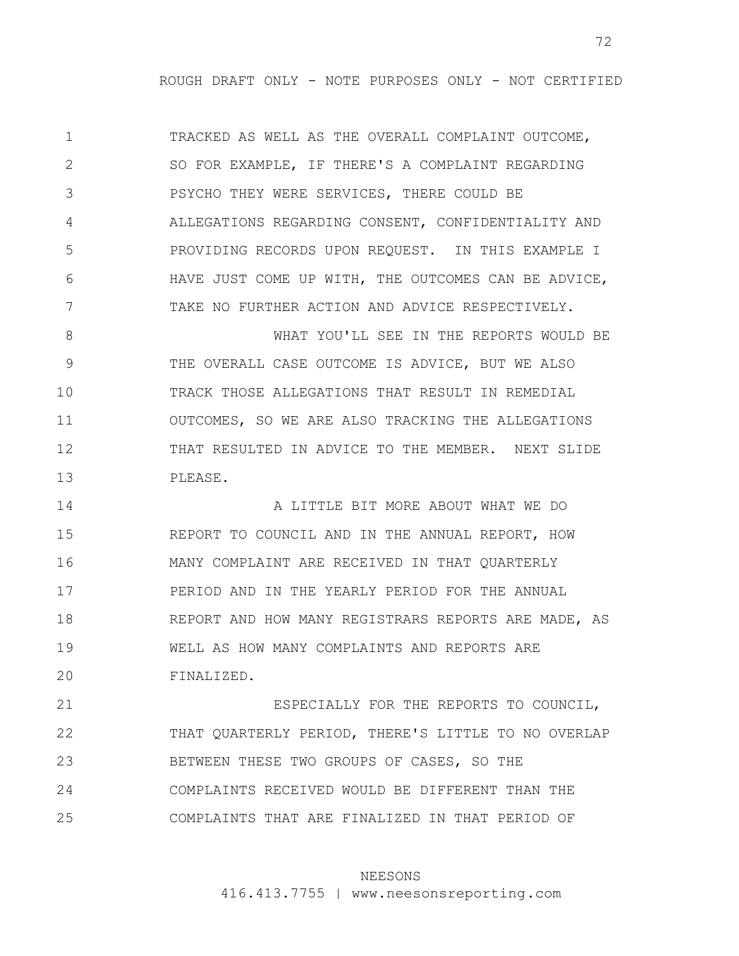1 2 3 4 5 6 7 TRACKED AS WELL AS THE OVERALL COMPLAINT OUTCOME, SO FOR EXAMPLE, IF THERE'S A COMPLAINT REGARDING PSYCHO THEY WERE SERVICES, THERE COULD BE ALLEGATIONS REGARDING CONSENT, CONFIDENTIALITY AND PROVIDING RECORDS UPON REQUEST. IN THIS EXAMPLE I HAVE JUST COME UP WITH, THE OUTCOMES CAN BE ADVICE, TAKE NO FURTHER ACTION AND ADVICE RESPECTIVELY.

8 9 10 11 12 13 WHAT YOU'LL SEE IN THE REPORTS WOULD BE THE OVERALL CASE OUTCOME IS ADVICE, BUT WE ALSO TRACK THOSE ALLEGATIONS THAT RESULT IN REMEDIAL OUTCOMES, SO WE ARE ALSO TRACKING THE ALLEGATIONS THAT RESULTED IN ADVICE TO THE MEMBER. NEXT SLIDE PLEASE.

14 15 16 17 18 19 20 A LITTLE BIT MORE ABOUT WHAT WE DO REPORT TO COUNCIL AND IN THE ANNUAL REPORT, HOW MANY COMPLAINT ARE RECEIVED IN THAT QUARTERLY PERIOD AND IN THE YEARLY PERIOD FOR THE ANNUAL REPORT AND HOW MANY REGISTRARS REPORTS ARE MADE, AS WELL AS HOW MANY COMPLAINTS AND REPORTS ARE FINALIZED.

21 22 23 24 25 ESPECIALLY FOR THE REPORTS TO COUNCIL, THAT QUARTERLY PERIOD, THERE'S LITTLE TO NO OVERLAP BETWEEN THESE TWO GROUPS OF CASES, SO THE COMPLAINTS RECEIVED WOULD BE DIFFERENT THAN THE COMPLAINTS THAT ARE FINALIZED IN THAT PERIOD OF

### NEESONS

416.413.7755 | www.neesonsreporting.com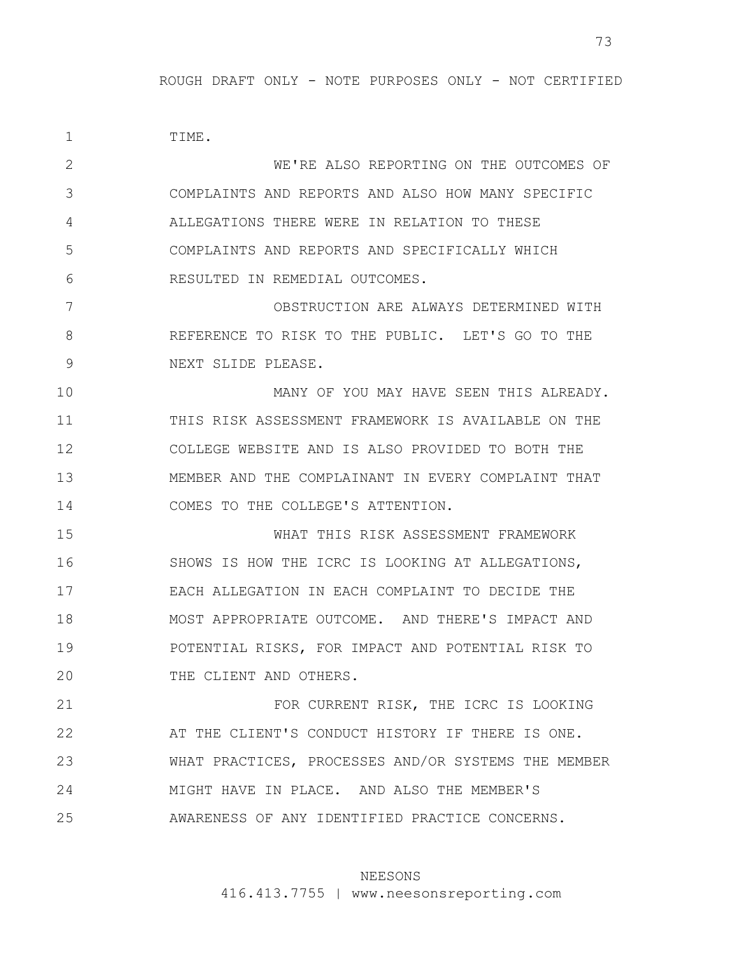1 2 3 4 5 6 7 8 9 10 11 12 13 14 15 16 17 18 19 20 21 22 23 24 25 TIME. WE'RE ALSO REPORTING ON THE OUTCOMES OF COMPLAINTS AND REPORTS AND ALSO HOW MANY SPECIFIC ALLEGATIONS THERE WERE IN RELATION TO THESE COMPLAINTS AND REPORTS AND SPECIFICALLY WHICH RESULTED IN REMEDIAL OUTCOMES. OBSTRUCTION ARE ALWAYS DETERMINED WITH REFERENCE TO RISK TO THE PUBLIC. LET'S GO TO THE NEXT SLIDE PLEASE. MANY OF YOU MAY HAVE SEEN THIS ALREADY. THIS RISK ASSESSMENT FRAMEWORK IS AVAILABLE ON THE COLLEGE WEBSITE AND IS ALSO PROVIDED TO BOTH THE MEMBER AND THE COMPLAINANT IN EVERY COMPLAINT THAT COMES TO THE COLLEGE'S ATTENTION. WHAT THIS RISK ASSESSMENT FRAMEWORK SHOWS IS HOW THE ICRC IS LOOKING AT ALLEGATIONS, EACH ALLEGATION IN EACH COMPLAINT TO DECIDE THE MOST APPROPRIATE OUTCOME. AND THERE'S IMPACT AND POTENTIAL RISKS, FOR IMPACT AND POTENTIAL RISK TO THE CLIENT AND OTHERS. FOR CURRENT RISK, THE ICRC IS LOOKING AT THE CLIENT'S CONDUCT HISTORY IF THERE IS ONE. WHAT PRACTICES, PROCESSES AND/OR SYSTEMS THE MEMBER MIGHT HAVE IN PLACE. AND ALSO THE MEMBER'S AWARENESS OF ANY IDENTIFIED PRACTICE CONCERNS.

## NEESONS

416.413.7755 | www.neesonsreporting.com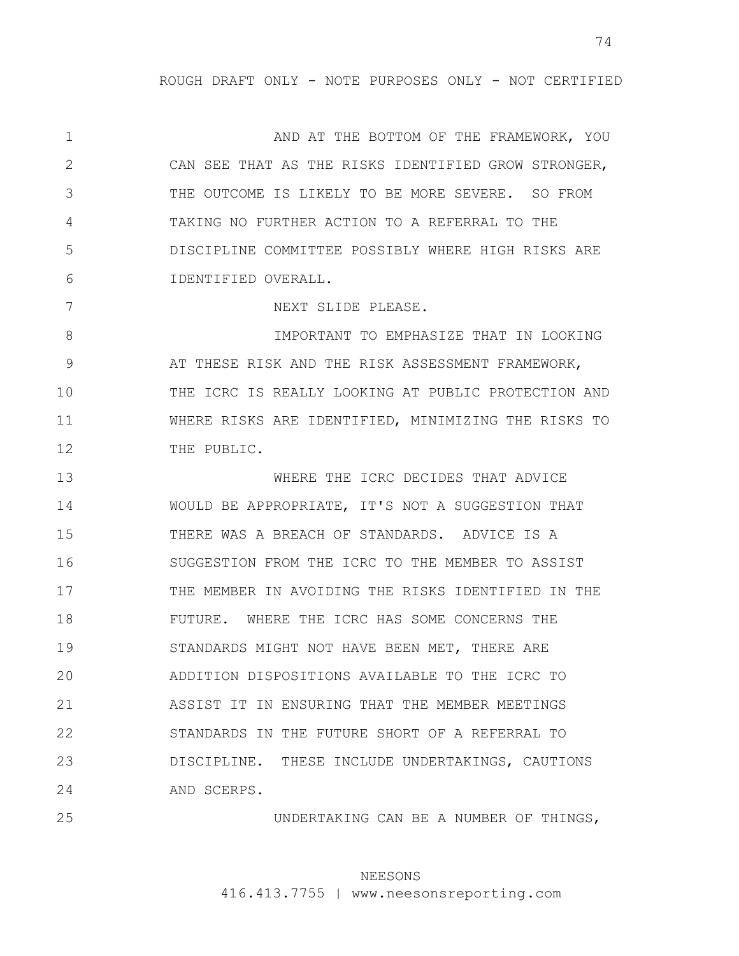1 2 3 4 5 6 7 8 9 10 11 12 13 14 15 16 17 18 19 20 21 22 23 24 AND AT THE BOTTOM OF THE FRAMEWORK, YOU CAN SEE THAT AS THE RISKS IDENTIFIED GROW STRONGER, THE OUTCOME IS LIKELY TO BE MORE SEVERE. SO FROM TAKING NO FURTHER ACTION TO A REFERRAL TO THE DISCIPLINE COMMITTEE POSSIBLY WHERE HIGH RISKS ARE IDENTIFIED OVERALL. NEXT SLIDE PLEASE. IMPORTANT TO EMPHASIZE THAT IN LOOKING AT THESE RISK AND THE RISK ASSESSMENT FRAMEWORK, THE ICRC IS REALLY LOOKING AT PUBLIC PROTECTION AND WHERE RISKS ARE IDENTIFIED, MINIMIZING THE RISKS TO THE PUBLIC. WHERE THE ICRC DECIDES THAT ADVICE WOULD BE APPROPRIATE, IT'S NOT A SUGGESTION THAT THERE WAS A BREACH OF STANDARDS. ADVICE IS A SUGGESTION FROM THE ICRC TO THE MEMBER TO ASSIST THE MEMBER IN AVOIDING THE RISKS IDENTIFIED IN THE FUTURE. WHERE THE ICRC HAS SOME CONCERNS THE STANDARDS MIGHT NOT HAVE BEEN MET, THERE ARE ADDITION DISPOSITIONS AVAILABLE TO THE ICRC TO ASSIST IT IN ENSURING THAT THE MEMBER MEETINGS STANDARDS IN THE FUTURE SHORT OF A REFERRAL TO DISCIPLINE. THESE INCLUDE UNDERTAKINGS, CAUTIONS AND SCERPS.

25

UNDERTAKING CAN BE A NUMBER OF THINGS,

# NEESONS

416.413.7755 | www.neesonsreporting.com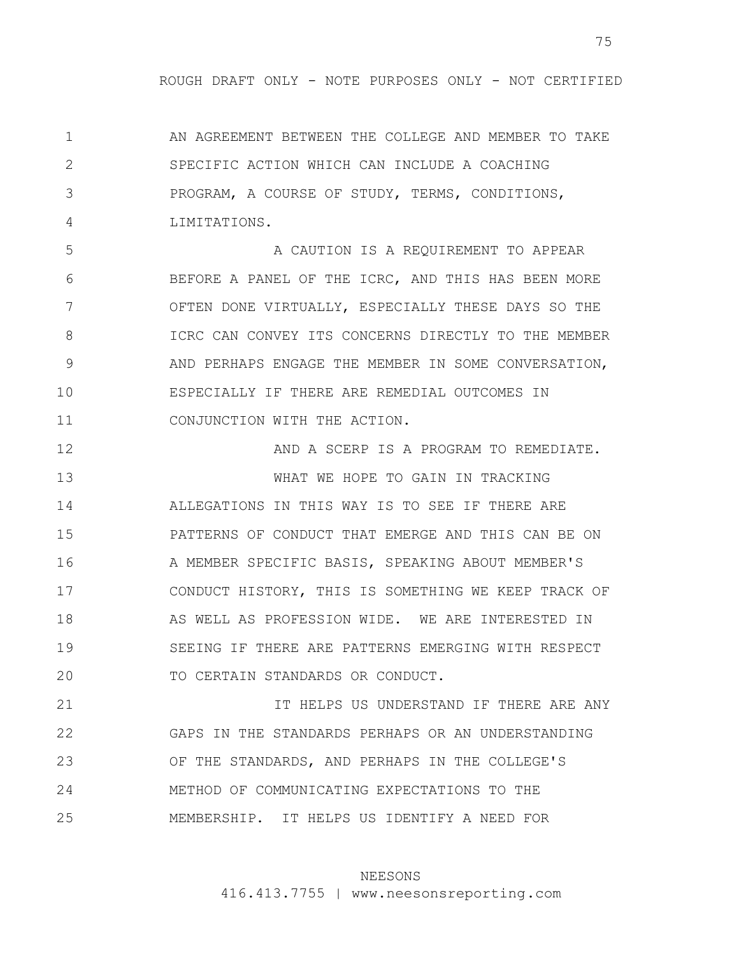1 2 3 4 AN AGREEMENT BETWEEN THE COLLEGE AND MEMBER TO TAKE SPECIFIC ACTION WHICH CAN INCLUDE A COACHING PROGRAM, A COURSE OF STUDY, TERMS, CONDITIONS, LIMITATIONS.

5 6 7 8 9 10 11 A CAUTION IS A REQUIREMENT TO APPEAR BEFORE A PANEL OF THE ICRC, AND THIS HAS BEEN MORE OFTEN DONE VIRTUALLY, ESPECIALLY THESE DAYS SO THE ICRC CAN CONVEY ITS CONCERNS DIRECTLY TO THE MEMBER AND PERHAPS ENGAGE THE MEMBER IN SOME CONVERSATION, ESPECIALLY IF THERE ARE REMEDIAL OUTCOMES IN CONJUNCTION WITH THE ACTION.

12 13 14 15 16 17 18 19 20 21 AND A SCERP IS A PROGRAM TO REMEDIATE. WHAT WE HOPE TO GAIN IN TRACKING ALLEGATIONS IN THIS WAY IS TO SEE IF THERE ARE PATTERNS OF CONDUCT THAT EMERGE AND THIS CAN BE ON A MEMBER SPECIFIC BASIS, SPEAKING ABOUT MEMBER'S CONDUCT HISTORY, THIS IS SOMETHING WE KEEP TRACK OF AS WELL AS PROFESSION WIDE. WE ARE INTERESTED IN SEEING IF THERE ARE PATTERNS EMERGING WITH RESPECT TO CERTAIN STANDARDS OR CONDUCT. IT HELPS US UNDERSTAND IF THERE ARE ANY

22 23 24 25 GAPS IN THE STANDARDS PERHAPS OR AN UNDERSTANDING OF THE STANDARDS, AND PERHAPS IN THE COLLEGE'S METHOD OF COMMUNICATING EXPECTATIONS TO THE MEMBERSHIP. IT HELPS US IDENTIFY A NEED FOR

# NEESONS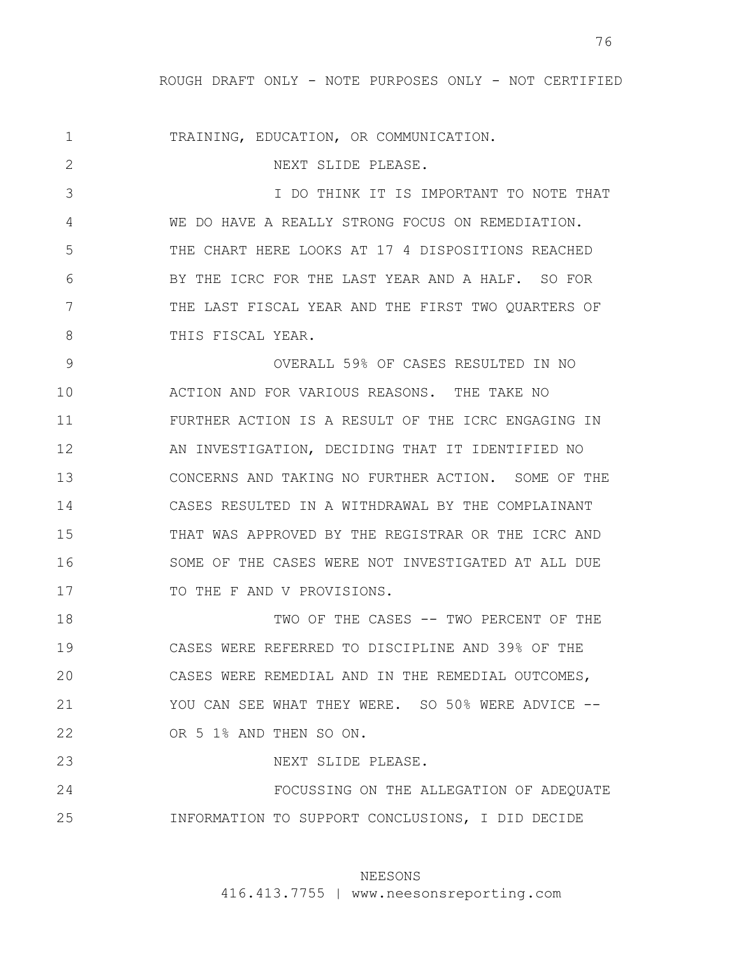1 2 3 4 5 6 7 8 9 10 11 12 13 14 15 16 17 18 19 20 21 22 23 24 25 TRAINING, EDUCATION, OR COMMUNICATION. NEXT SLIDE PLEASE. I DO THINK IT IS IMPORTANT TO NOTE THAT WE DO HAVE A REALLY STRONG FOCUS ON REMEDIATION. THE CHART HERE LOOKS AT 17 4 DISPOSITIONS REACHED BY THE ICRC FOR THE LAST YEAR AND A HALF. SO FOR THE LAST FISCAL YEAR AND THE FIRST TWO QUARTERS OF THIS FISCAL YEAR. OVERALL 59% OF CASES RESULTED IN NO ACTION AND FOR VARIOUS REASONS. THE TAKE NO FURTHER ACTION IS A RESULT OF THE ICRC ENGAGING IN AN INVESTIGATION, DECIDING THAT IT IDENTIFIED NO CONCERNS AND TAKING NO FURTHER ACTION. SOME OF THE CASES RESULTED IN A WITHDRAWAL BY THE COMPLAINANT THAT WAS APPROVED BY THE REGISTRAR OR THE ICRC AND SOME OF THE CASES WERE NOT INVESTIGATED AT ALL DUE TO THE F AND V PROVISIONS. TWO OF THE CASES -- TWO PERCENT OF THE CASES WERE REFERRED TO DISCIPLINE AND 39% OF THE CASES WERE REMEDIAL AND IN THE REMEDIAL OUTCOMES, YOU CAN SEE WHAT THEY WERE. SO 50% WERE ADVICE --OR 5 1% AND THEN SO ON. NEXT SLIDE PLEASE. FOCUSSING ON THE ALLEGATION OF ADEQUATE INFORMATION TO SUPPORT CONCLUSIONS, I DID DECIDE

# NEESONS

416.413.7755 | www.neesonsreporting.com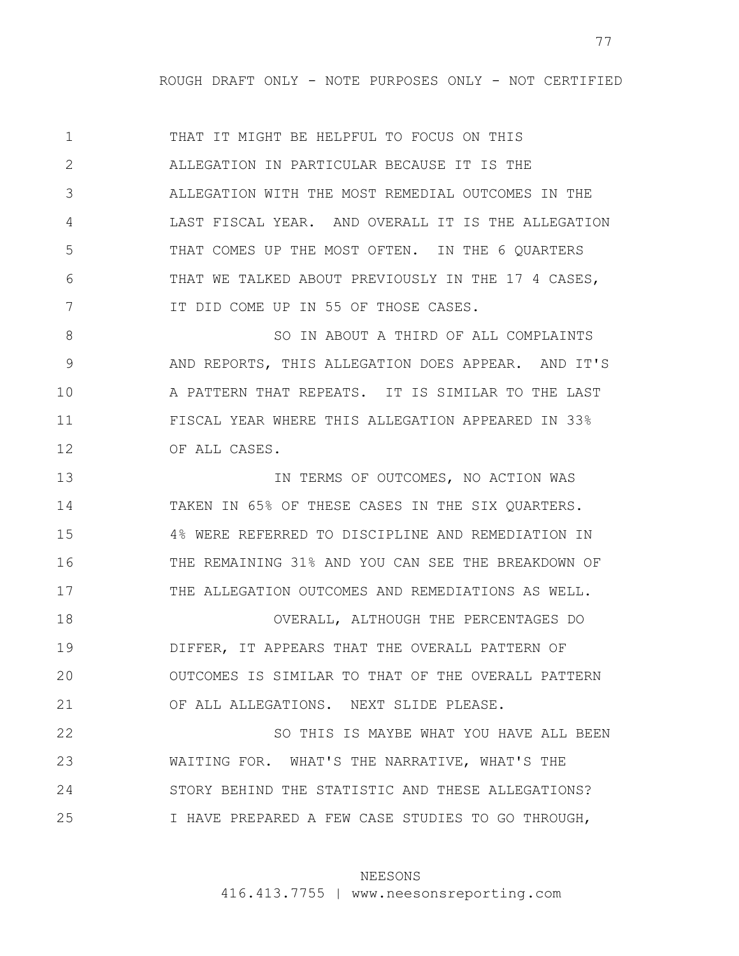1 2 3 4 5 6 7 THAT IT MIGHT BE HELPFUL TO FOCUS ON THIS ALLEGATION IN PARTICULAR BECAUSE IT IS THE ALLEGATION WITH THE MOST REMEDIAL OUTCOMES IN THE LAST FISCAL YEAR. AND OVERALL IT IS THE ALLEGATION THAT COMES UP THE MOST OFTEN. IN THE 6 QUARTERS THAT WE TALKED ABOUT PREVIOUSLY IN THE 17 4 CASES, IT DID COME UP IN 55 OF THOSE CASES.

8 9 10 11 12 SO IN ABOUT A THIRD OF ALL COMPLAINTS AND REPORTS, THIS ALLEGATION DOES APPEAR. AND IT'S A PATTERN THAT REPEATS. IT IS SIMILAR TO THE LAST FISCAL YEAR WHERE THIS ALLEGATION APPEARED IN 33% OF ALL CASES.

13 14 15 16 17 18 IN TERMS OF OUTCOMES, NO ACTION WAS TAKEN IN 65% OF THESE CASES IN THE SIX QUARTERS. 4% WERE REFERRED TO DISCIPLINE AND REMEDIATION IN THE REMAINING 31% AND YOU CAN SEE THE BREAKDOWN OF THE ALLEGATION OUTCOMES AND REMEDIATIONS AS WELL. OVERALL, ALTHOUGH THE PERCENTAGES DO

19 20 21 DIFFER, IT APPEARS THAT THE OVERALL PATTERN OF OUTCOMES IS SIMILAR TO THAT OF THE OVERALL PATTERN OF ALL ALLEGATIONS. NEXT SLIDE PLEASE.

22 23 24 25 SO THIS IS MAYBE WHAT YOU HAVE ALL BEEN WAITING FOR. WHAT'S THE NARRATIVE, WHAT'S THE STORY BEHIND THE STATISTIC AND THESE ALLEGATIONS? I HAVE PREPARED A FEW CASE STUDIES TO GO THROUGH,

#### NEESONS

416.413.7755 | www.neesonsreporting.com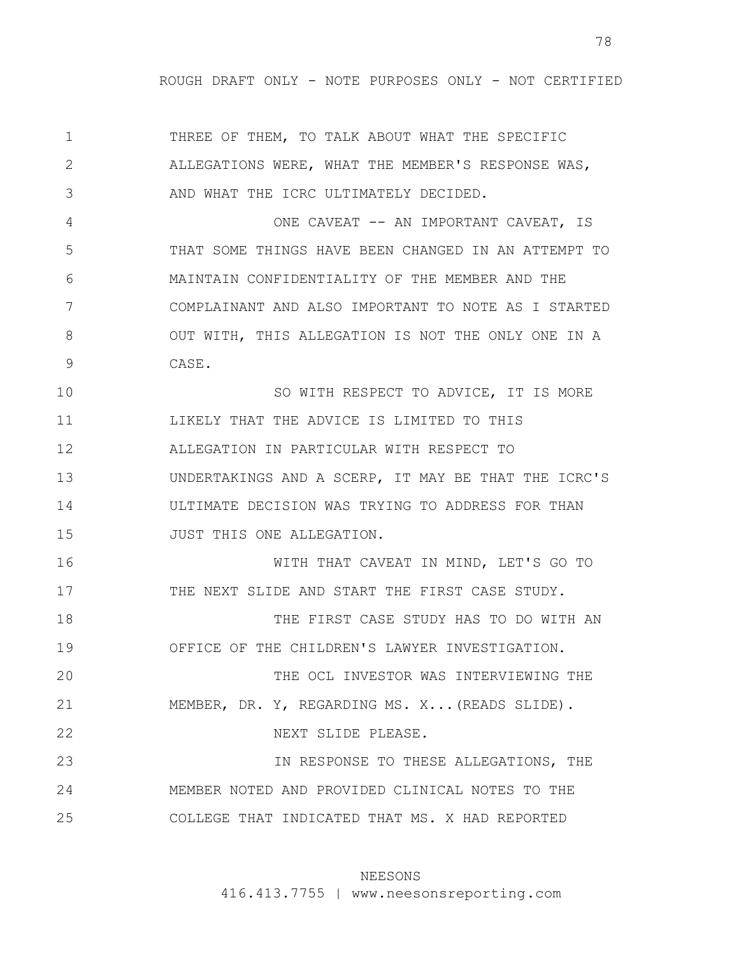1 2 3 4 5 6 7 8 9 10 11 12 13 14 15 16 17 18 19 20 21 22 23 24 25 THREE OF THEM, TO TALK ABOUT WHAT THE SPECIFIC ALLEGATIONS WERE, WHAT THE MEMBER'S RESPONSE WAS, AND WHAT THE ICRC ULTIMATELY DECIDED. ONE CAVEAT -- AN IMPORTANT CAVEAT, IS THAT SOME THINGS HAVE BEEN CHANGED IN AN ATTEMPT TO MAINTAIN CONFIDENTIALITY OF THE MEMBER AND THE COMPLAINANT AND ALSO IMPORTANT TO NOTE AS I STARTED OUT WITH, THIS ALLEGATION IS NOT THE ONLY ONE IN A CASE. SO WITH RESPECT TO ADVICE, IT IS MORE LIKELY THAT THE ADVICE IS LIMITED TO THIS ALLEGATION IN PARTICULAR WITH RESPECT TO UNDERTAKINGS AND A SCERP, IT MAY BE THAT THE ICRC'S ULTIMATE DECISION WAS TRYING TO ADDRESS FOR THAN JUST THIS ONE ALLEGATION. WITH THAT CAVEAT IN MIND, LET'S GO TO THE NEXT SLIDE AND START THE FIRST CASE STUDY. THE FIRST CASE STUDY HAS TO DO WITH AN OFFICE OF THE CHILDREN'S LAWYER INVESTIGATION. THE OCL INVESTOR WAS INTERVIEWING THE MEMBER, DR. Y, REGARDING MS. X...(READS SLIDE). NEXT SLIDE PLEASE. IN RESPONSE TO THESE ALLEGATIONS, THE MEMBER NOTED AND PROVIDED CLINICAL NOTES TO THE COLLEGE THAT INDICATED THAT MS. X HAD REPORTED

# NEESONS

416.413.7755 | www.neesonsreporting.com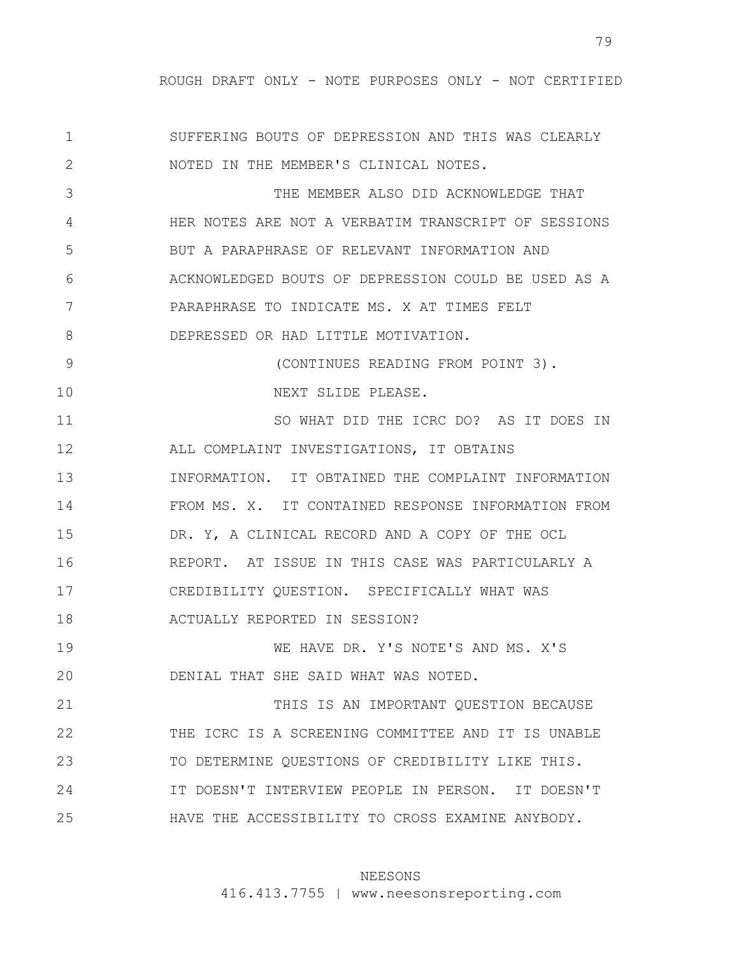1 2 3 4 5 6 7 8 9 10 11 12 13 14 15 16 17 18 19 20 21 22 23 24 25 SUFFERING BOUTS OF DEPRESSION AND THIS WAS CLEARLY NOTED IN THE MEMBER'S CLINICAL NOTES. THE MEMBER ALSO DID ACKNOWLEDGE THAT HER NOTES ARE NOT A VERBATIM TRANSCRIPT OF SESSIONS BUT A PARAPHRASE OF RELEVANT INFORMATION AND ACKNOWLEDGED BOUTS OF DEPRESSION COULD BE USED AS A PARAPHRASE TO INDICATE MS. X AT TIMES FELT DEPRESSED OR HAD LITTLE MOTIVATION. (CONTINUES READING FROM POINT 3). NEXT SLIDE PLEASE. SO WHAT DID THE ICRC DO? AS IT DOES IN ALL COMPLAINT INVESTIGATIONS, IT OBTAINS INFORMATION. IT OBTAINED THE COMPLAINT INFORMATION FROM MS. X. IT CONTAINED RESPONSE INFORMATION FROM DR. Y, A CLINICAL RECORD AND A COPY OF THE OCL REPORT. AT ISSUE IN THIS CASE WAS PARTICULARLY A CREDIBILITY QUESTION. SPECIFICALLY WHAT WAS ACTUALLY REPORTED IN SESSION? WE HAVE DR. Y'S NOTE'S AND MS. X'S DENIAL THAT SHE SAID WHAT WAS NOTED. THIS IS AN IMPORTANT QUESTION BECAUSE THE ICRC IS A SCREENING COMMITTEE AND IT IS UNABLE TO DETERMINE QUESTIONS OF CREDIBILITY LIKE THIS. IT DOESN'T INTERVIEW PEOPLE IN PERSON. IT DOESN'T HAVE THE ACCESSIBILITY TO CROSS EXAMINE ANYBODY.

## NEESONS

416.413.7755 | www.neesonsreporting.com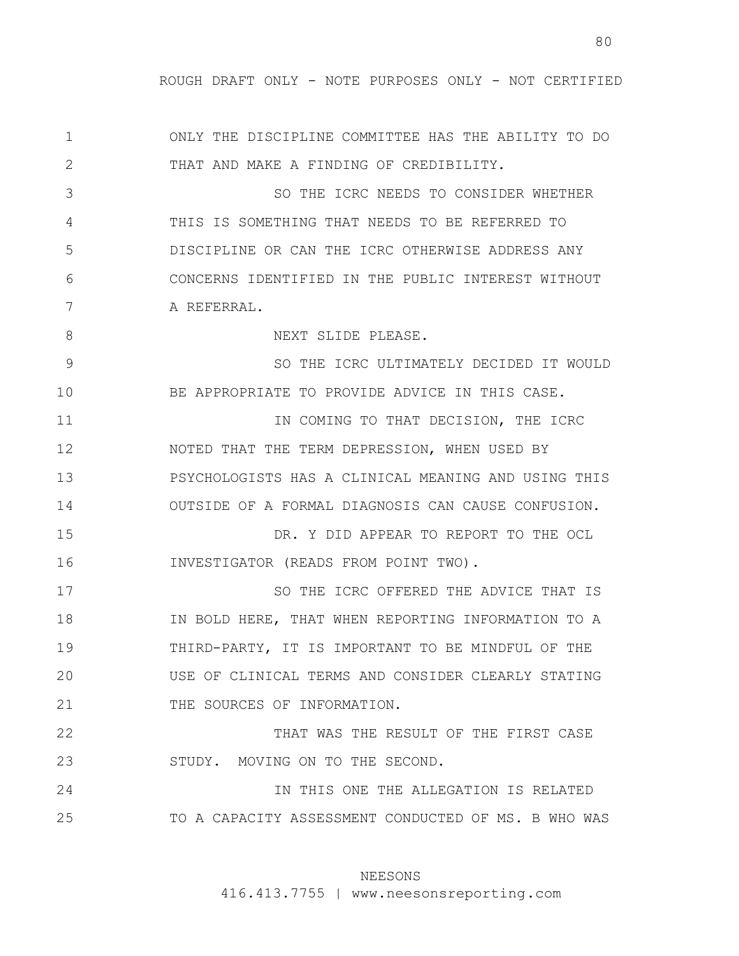1 2 3 4 5 6 7 8 9 10 11 12 13 14 15 16 17 18 19 20 21 22 23 24 25 ONLY THE DISCIPLINE COMMITTEE HAS THE ABILITY TO DO THAT AND MAKE A FINDING OF CREDIBILITY. SO THE ICRC NEEDS TO CONSIDER WHETHER THIS IS SOMETHING THAT NEEDS TO BE REFERRED TO DISCIPLINE OR CAN THE ICRC OTHERWISE ADDRESS ANY CONCERNS IDENTIFIED IN THE PUBLIC INTEREST WITHOUT A REFERRAL. NEXT SLIDE PLEASE. SO THE ICRC ULTIMATELY DECIDED IT WOULD BE APPROPRIATE TO PROVIDE ADVICE IN THIS CASE. IN COMING TO THAT DECISION, THE ICRC NOTED THAT THE TERM DEPRESSION, WHEN USED BY PSYCHOLOGISTS HAS A CLINICAL MEANING AND USING THIS OUTSIDE OF A FORMAL DIAGNOSIS CAN CAUSE CONFUSION. DR. Y DID APPEAR TO REPORT TO THE OCL INVESTIGATOR (READS FROM POINT TWO). SO THE ICRC OFFERED THE ADVICE THAT IS IN BOLD HERE, THAT WHEN REPORTING INFORMATION TO A THIRD-PARTY, IT IS IMPORTANT TO BE MINDFUL OF THE USE OF CLINICAL TERMS AND CONSIDER CLEARLY STATING THE SOURCES OF INFORMATION. THAT WAS THE RESULT OF THE FIRST CASE STUDY. MOVING ON TO THE SECOND. IN THIS ONE THE ALLEGATION IS RELATED TO A CAPACITY ASSESSMENT CONDUCTED OF MS. B WHO WAS

## NEESONS

416.413.7755 | www.neesonsreporting.com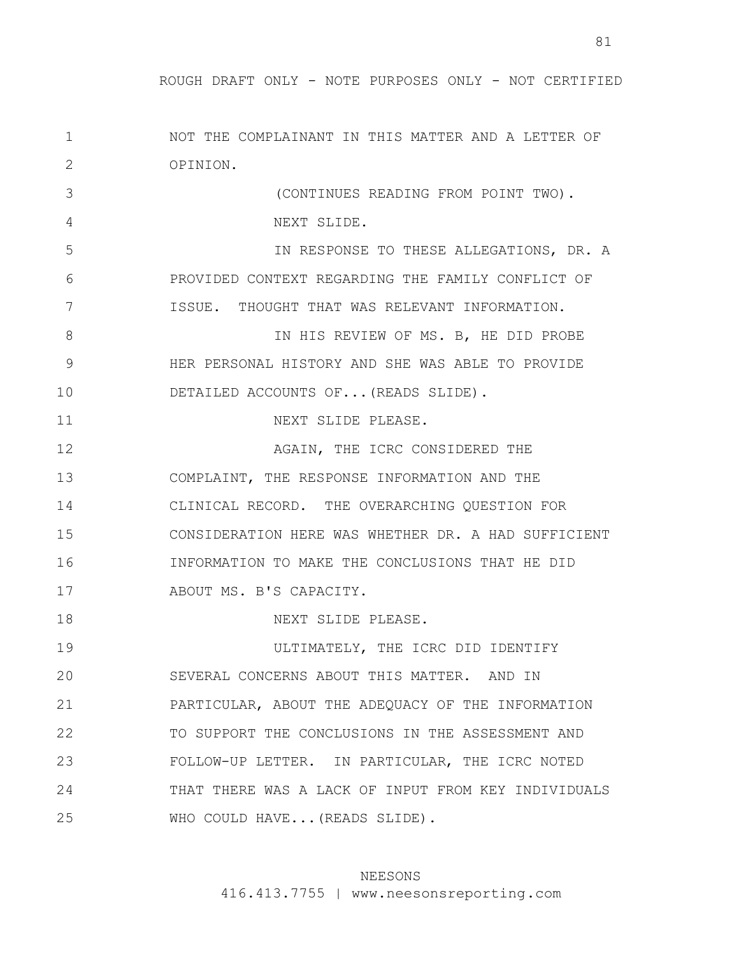| 1  | NOT THE COMPLAINANT IN THIS MATTER AND A LETTER OF  |
|----|-----------------------------------------------------|
| 2  | OPINION.                                            |
| 3  | (CONTINUES READING FROM POINT TWO).                 |
| 4  | NEXT SLIDE.                                         |
| 5  | IN RESPONSE TO THESE ALLEGATIONS, DR. A             |
| 6  | PROVIDED CONTEXT REGARDING THE FAMILY CONFLICT OF   |
| 7  | ISSUE. THOUGHT THAT WAS RELEVANT INFORMATION.       |
| 8  | IN HIS REVIEW OF MS. B, HE DID PROBE                |
| 9  | HER PERSONAL HISTORY AND SHE WAS ABLE TO PROVIDE    |
| 10 | DETAILED ACCOUNTS OF (READS SLIDE).                 |
| 11 | NEXT SLIDE PLEASE.                                  |
| 12 | AGAIN, THE ICRC CONSIDERED THE                      |
| 13 | COMPLAINT, THE RESPONSE INFORMATION AND THE         |
| 14 | CLINICAL RECORD. THE OVERARCHING QUESTION FOR       |
| 15 | CONSIDERATION HERE WAS WHETHER DR. A HAD SUFFICIENT |
| 16 | INFORMATION TO MAKE THE CONCLUSIONS THAT HE DID     |
| 17 | ABOUT MS. B'S CAPACITY.                             |
| 18 | NEXT SLIDE PLEASE.                                  |
| 19 | ULTIMATELY, THE ICRC DID IDENTIFY                   |
| 20 | SEVERAL CONCERNS ABOUT THIS MATTER. AND IN          |
| 21 | PARTICULAR, ABOUT THE ADEQUACY OF THE INFORMATION   |
| 22 | TO SUPPORT THE CONCLUSIONS IN THE ASSESSMENT AND    |
| 23 | FOLLOW-UP LETTER. IN PARTICULAR, THE ICRC NOTED     |
| 24 | THAT THERE WAS A LACK OF INPUT FROM KEY INDIVIDUALS |
| 25 | WHO COULD HAVE (READS SLIDE).                       |

# NEESONS

416.413.7755 | www.neesonsreporting.com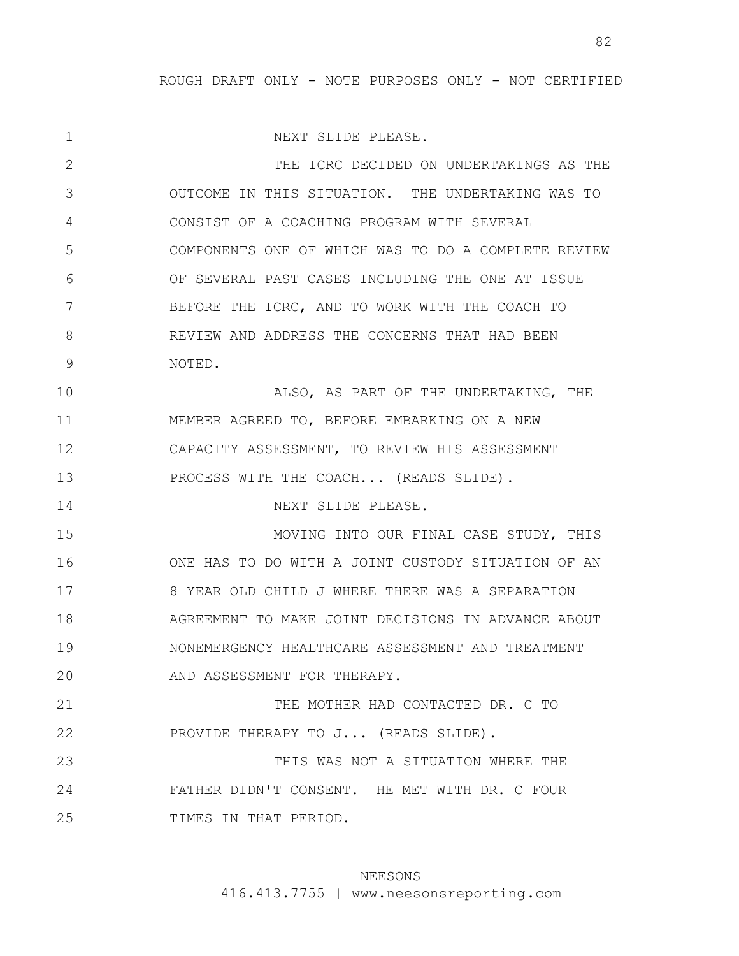1 2 3 4 5 6 7 8 9 10 11 12 13 14 15 16 17 18 19 20 21 22 23 24 25 NEXT SLIDE PLEASE. THE ICRC DECIDED ON UNDERTAKINGS AS THE OUTCOME IN THIS SITUATION. THE UNDERTAKING WAS TO CONSIST OF A COACHING PROGRAM WITH SEVERAL COMPONENTS ONE OF WHICH WAS TO DO A COMPLETE REVIEW OF SEVERAL PAST CASES INCLUDING THE ONE AT ISSUE BEFORE THE ICRC, AND TO WORK WITH THE COACH TO REVIEW AND ADDRESS THE CONCERNS THAT HAD BEEN NOTED. ALSO, AS PART OF THE UNDERTAKING, THE MEMBER AGREED TO, BEFORE EMBARKING ON A NEW CAPACITY ASSESSMENT, TO REVIEW HIS ASSESSMENT PROCESS WITH THE COACH... (READS SLIDE). NEXT SLIDE PLEASE. MOVING INTO OUR FINAL CASE STUDY, THIS ONE HAS TO DO WITH A JOINT CUSTODY SITUATION OF AN 8 YEAR OLD CHILD J WHERE THERE WAS A SEPARATION AGREEMENT TO MAKE JOINT DECISIONS IN ADVANCE ABOUT NONEMERGENCY HEALTHCARE ASSESSMENT AND TREATMENT AND ASSESSMENT FOR THERAPY. THE MOTHER HAD CONTACTED DR. C TO PROVIDE THERAPY TO J... (READS SLIDE). THIS WAS NOT A SITUATION WHERE THE FATHER DIDN'T CONSENT. HE MET WITH DR. C FOUR TIMES IN THAT PERIOD.

## NEESONS

416.413.7755 | www.neesonsreporting.com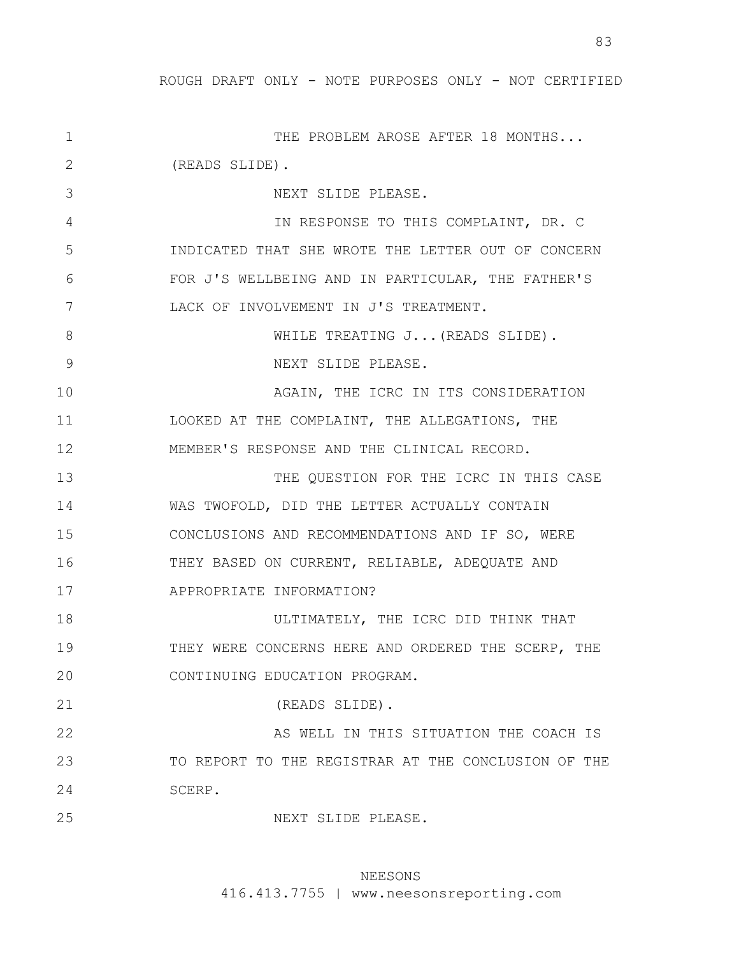1 2 3 4 5 6 7 8 9 10 11 12 13 14 15 16 17 18 19 20 21 22 23 24 25 THE PROBLEM AROSE AFTER 18 MONTHS... (READS SLIDE). NEXT SLIDE PLEASE. IN RESPONSE TO THIS COMPLAINT, DR. C INDICATED THAT SHE WROTE THE LETTER OUT OF CONCERN FOR J'S WELLBEING AND IN PARTICULAR, THE FATHER'S LACK OF INVOLVEMENT IN J'S TREATMENT. WHILE TREATING J...(READS SLIDE). NEXT SLIDE PLEASE. AGAIN, THE ICRC IN ITS CONSIDERATION LOOKED AT THE COMPLAINT, THE ALLEGATIONS, THE MEMBER'S RESPONSE AND THE CLINICAL RECORD. THE QUESTION FOR THE ICRC IN THIS CASE WAS TWOFOLD, DID THE LETTER ACTUALLY CONTAIN CONCLUSIONS AND RECOMMENDATIONS AND IF SO, WERE THEY BASED ON CURRENT, RELIABLE, ADEQUATE AND APPROPRIATE INFORMATION? ULTIMATELY, THE ICRC DID THINK THAT THEY WERE CONCERNS HERE AND ORDERED THE SCERP, THE CONTINUING EDUCATION PROGRAM. (READS SLIDE). AS WELL IN THIS SITUATION THE COACH IS TO REPORT TO THE REGISTRAR AT THE CONCLUSION OF THE SCERP. NEXT SLIDE PLEASE.

# NEESONS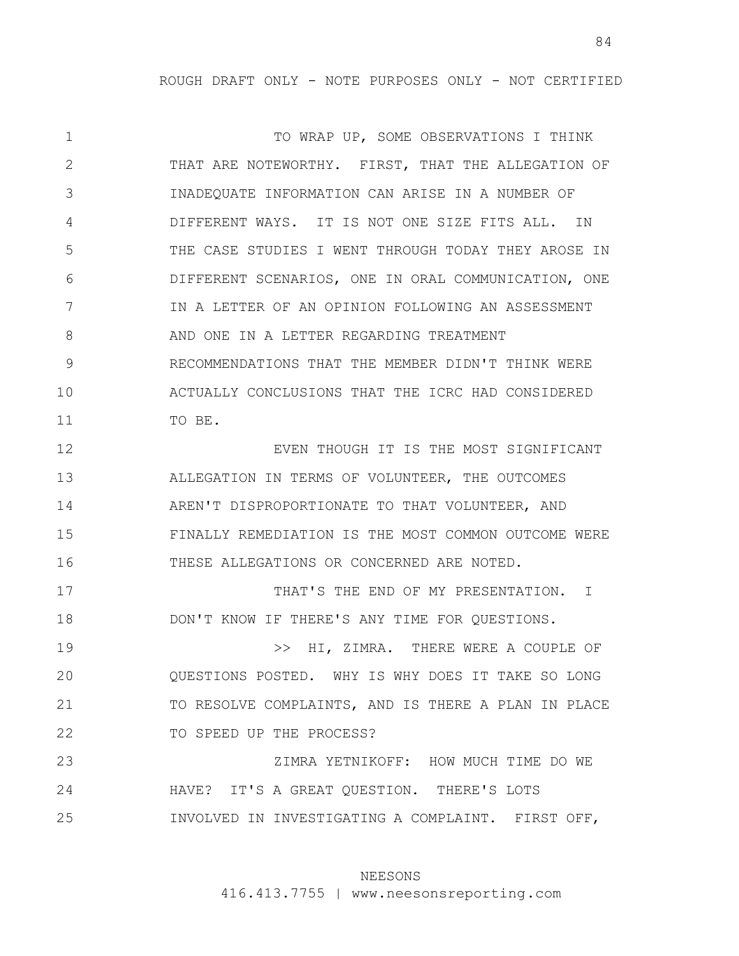1 2 3 4 5 6 7 8 9 10 11 12 13 14 15 16 17 18 19 20 21 22 23 24 25 TO WRAP UP, SOME OBSERVATIONS I THINK THAT ARE NOTEWORTHY. FIRST, THAT THE ALLEGATION OF INADEQUATE INFORMATION CAN ARISE IN A NUMBER OF DIFFERENT WAYS. IT IS NOT ONE SIZE FITS ALL. IN THE CASE STUDIES I WENT THROUGH TODAY THEY AROSE IN DIFFERENT SCENARIOS, ONE IN ORAL COMMUNICATION, ONE IN A LETTER OF AN OPINION FOLLOWING AN ASSESSMENT AND ONE IN A LETTER REGARDING TREATMENT RECOMMENDATIONS THAT THE MEMBER DIDN'T THINK WERE ACTUALLY CONCLUSIONS THAT THE ICRC HAD CONSIDERED TO BE. EVEN THOUGH IT IS THE MOST SIGNIFICANT ALLEGATION IN TERMS OF VOLUNTEER, THE OUTCOMES AREN'T DISPROPORTIONATE TO THAT VOLUNTEER, AND FINALLY REMEDIATION IS THE MOST COMMON OUTCOME WERE THESE ALLEGATIONS OR CONCERNED ARE NOTED. THAT'S THE END OF MY PRESENTATION. I DON'T KNOW IF THERE'S ANY TIME FOR QUESTIONS. >> HI, ZIMRA. THERE WERE A COUPLE OF QUESTIONS POSTED. WHY IS WHY DOES IT TAKE SO LONG TO RESOLVE COMPLAINTS, AND IS THERE A PLAN IN PLACE TO SPEED UP THE PROCESS? ZIMRA YETNIKOFF: HOW MUCH TIME DO WE HAVE? IT'S A GREAT QUESTION. THERE'S LOTS INVOLVED IN INVESTIGATING A COMPLAINT. FIRST OFF,

# NEESONS

416.413.7755 | www.neesonsreporting.com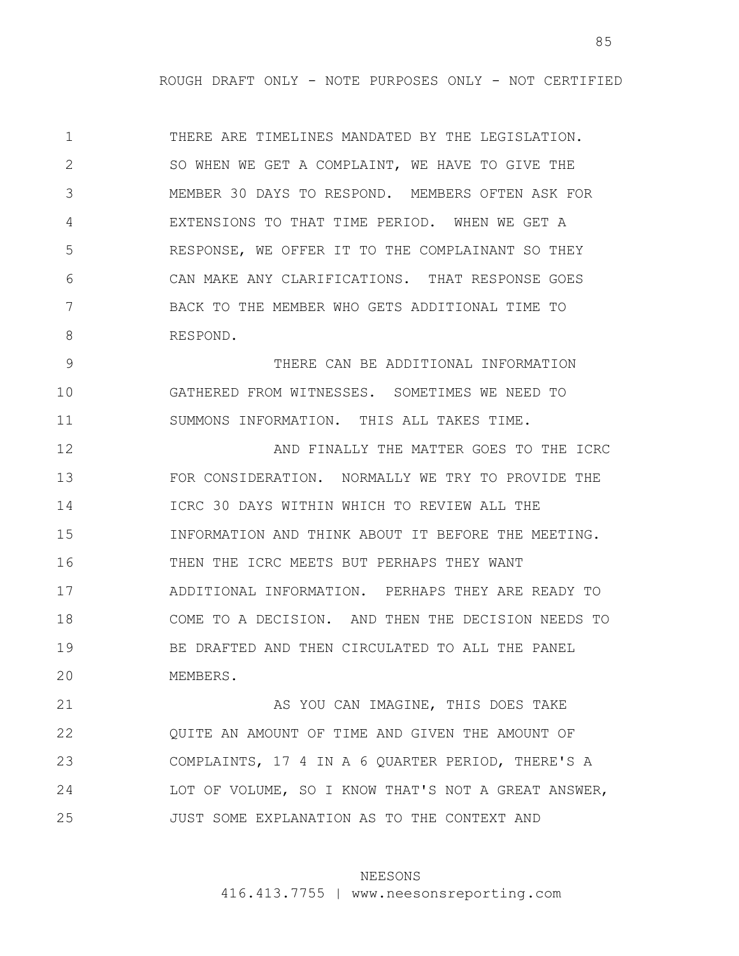1 2 3 4 5 6 7 8 THERE ARE TIMELINES MANDATED BY THE LEGISLATION. SO WHEN WE GET A COMPLAINT, WE HAVE TO GIVE THE MEMBER 30 DAYS TO RESPOND. MEMBERS OFTEN ASK FOR EXTENSIONS TO THAT TIME PERIOD. WHEN WE GET A RESPONSE, WE OFFER IT TO THE COMPLAINANT SO THEY CAN MAKE ANY CLARIFICATIONS. THAT RESPONSE GOES BACK TO THE MEMBER WHO GETS ADDITIONAL TIME TO RESPOND.

9 10 11 THERE CAN BE ADDITIONAL INFORMATION GATHERED FROM WITNESSES. SOMETIMES WE NEED TO SUMMONS INFORMATION. THIS ALL TAKES TIME.

12 13 14 15 16 17 18 19 20 AND FINALLY THE MATTER GOES TO THE ICRC FOR CONSIDERATION. NORMALLY WE TRY TO PROVIDE THE ICRC 30 DAYS WITHIN WHICH TO REVIEW ALL THE INFORMATION AND THINK ABOUT IT BEFORE THE MEETING. THEN THE ICRC MEETS BUT PERHAPS THEY WANT ADDITIONAL INFORMATION. PERHAPS THEY ARE READY TO COME TO A DECISION. AND THEN THE DECISION NEEDS TO BE DRAFTED AND THEN CIRCULATED TO ALL THE PANEL MEMBERS.

21 22 23 24 25 AS YOU CAN IMAGINE, THIS DOES TAKE QUITE AN AMOUNT OF TIME AND GIVEN THE AMOUNT OF COMPLAINTS, 17 4 IN A 6 QUARTER PERIOD, THERE'S A LOT OF VOLUME, SO I KNOW THAT'S NOT A GREAT ANSWER, JUST SOME EXPLANATION AS TO THE CONTEXT AND

# NEESONS

416.413.7755 | www.neesonsreporting.com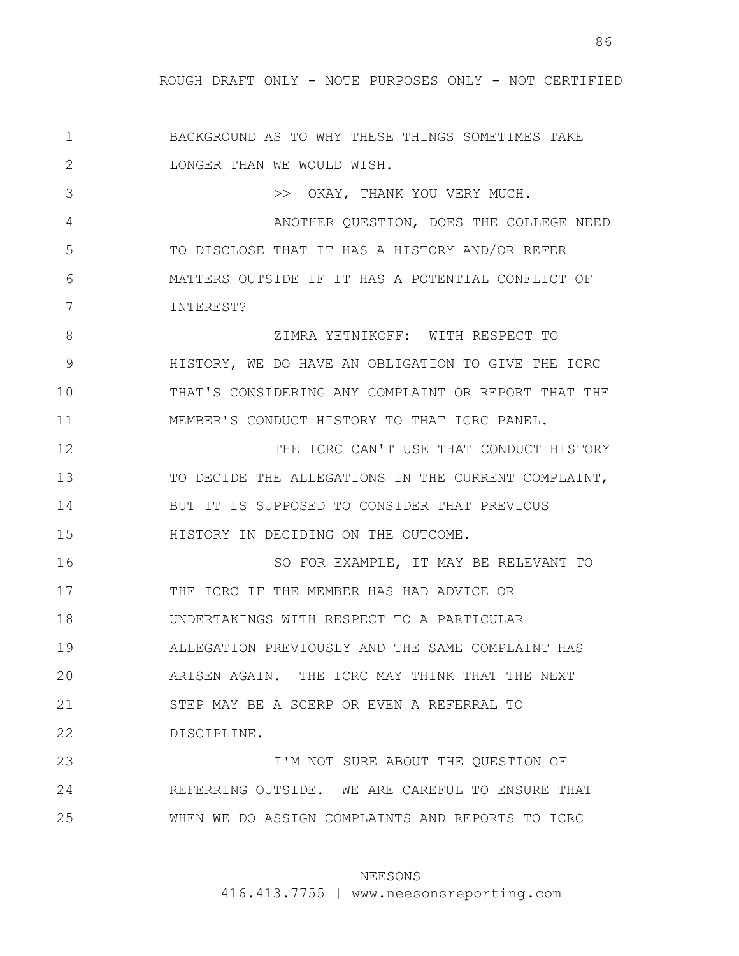1 2 3 4 5 6 7 8 9 10 11 12 BACKGROUND AS TO WHY THESE THINGS SOMETIMES TAKE LONGER THAN WE WOULD WISH. >> OKAY, THANK YOU VERY MUCH. ANOTHER QUESTION, DOES THE COLLEGE NEED TO DISCLOSE THAT IT HAS A HISTORY AND/OR REFER MATTERS OUTSIDE IF IT HAS A POTENTIAL CONFLICT OF INTEREST? ZIMRA YETNIKOFF: WITH RESPECT TO HISTORY, WE DO HAVE AN OBLIGATION TO GIVE THE ICRC THAT'S CONSIDERING ANY COMPLAINT OR REPORT THAT THE MEMBER'S CONDUCT HISTORY TO THAT ICRC PANEL. THE ICRC CAN'T USE THAT CONDUCT HISTORY

13 14 15 TO DECIDE THE ALLEGATIONS IN THE CURRENT COMPLAINT, BUT IT IS SUPPOSED TO CONSIDER THAT PREVIOUS HISTORY IN DECIDING ON THE OUTCOME.

16 17 18 19 20 21 22 SO FOR EXAMPLE, IT MAY BE RELEVANT TO THE ICRC IF THE MEMBER HAS HAD ADVICE OR UNDERTAKINGS WITH RESPECT TO A PARTICULAR ALLEGATION PREVIOUSLY AND THE SAME COMPLAINT HAS ARISEN AGAIN. THE ICRC MAY THINK THAT THE NEXT STEP MAY BE A SCERP OR EVEN A REFERRAL TO DISCIPLINE.

23 24 25 I'M NOT SURE ABOUT THE QUESTION OF REFERRING OUTSIDE. WE ARE CAREFUL TO ENSURE THAT WHEN WE DO ASSIGN COMPLAINTS AND REPORTS TO ICRC

## NEESONS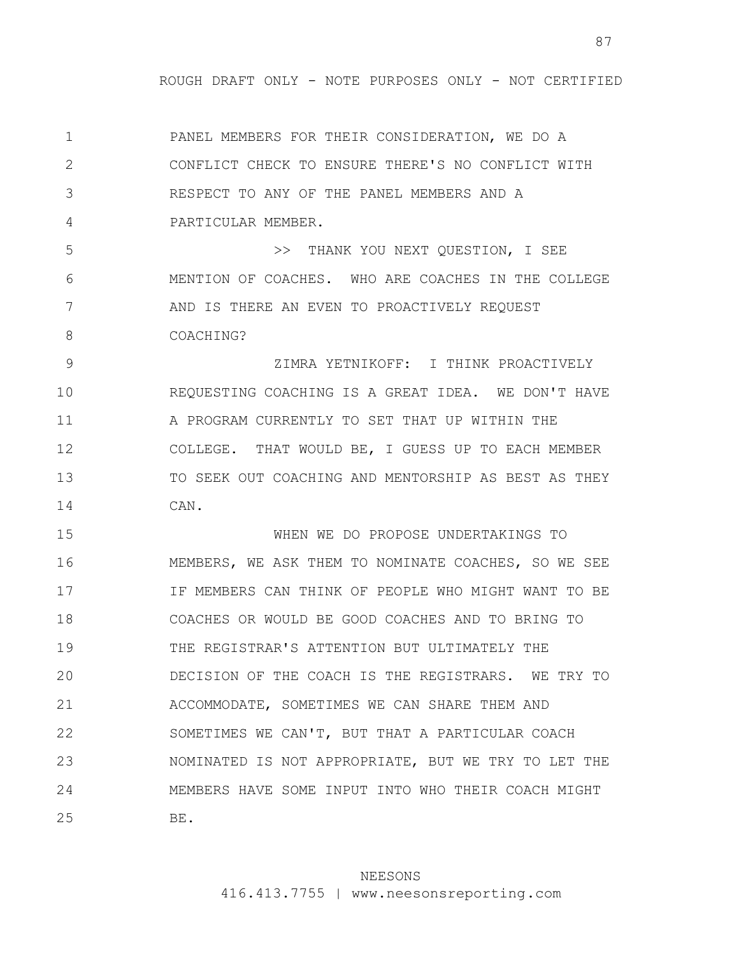1 2 3 4 5 6 7 8 PANEL MEMBERS FOR THEIR CONSIDERATION, WE DO A CONFLICT CHECK TO ENSURE THERE'S NO CONFLICT WITH RESPECT TO ANY OF THE PANEL MEMBERS AND A PARTICULAR MEMBER. >> THANK YOU NEXT QUESTION, I SEE MENTION OF COACHES. WHO ARE COACHES IN THE COLLEGE AND IS THERE AN EVEN TO PROACTIVELY REQUEST COACHING?

9 10 11 12 13 14 ZIMRA YETNIKOFF: I THINK PROACTIVELY REQUESTING COACHING IS A GREAT IDEA. WE DON'T HAVE A PROGRAM CURRENTLY TO SET THAT UP WITHIN THE COLLEGE. THAT WOULD BE, I GUESS UP TO EACH MEMBER TO SEEK OUT COACHING AND MENTORSHIP AS BEST AS THEY CAN.

15 16 17 18 19 20 21 22 23 24 25 WHEN WE DO PROPOSE UNDERTAKINGS TO MEMBERS, WE ASK THEM TO NOMINATE COACHES, SO WE SEE IF MEMBERS CAN THINK OF PEOPLE WHO MIGHT WANT TO BE COACHES OR WOULD BE GOOD COACHES AND TO BRING TO THE REGISTRAR'S ATTENTION BUT ULTIMATELY THE DECISION OF THE COACH IS THE REGISTRARS. WE TRY TO ACCOMMODATE, SOMETIMES WE CAN SHARE THEM AND SOMETIMES WE CAN'T, BUT THAT A PARTICULAR COACH NOMINATED IS NOT APPROPRIATE, BUT WE TRY TO LET THE MEMBERS HAVE SOME INPUT INTO WHO THEIR COACH MIGHT BE.

## NEESONS

416.413.7755 | www.neesonsreporting.com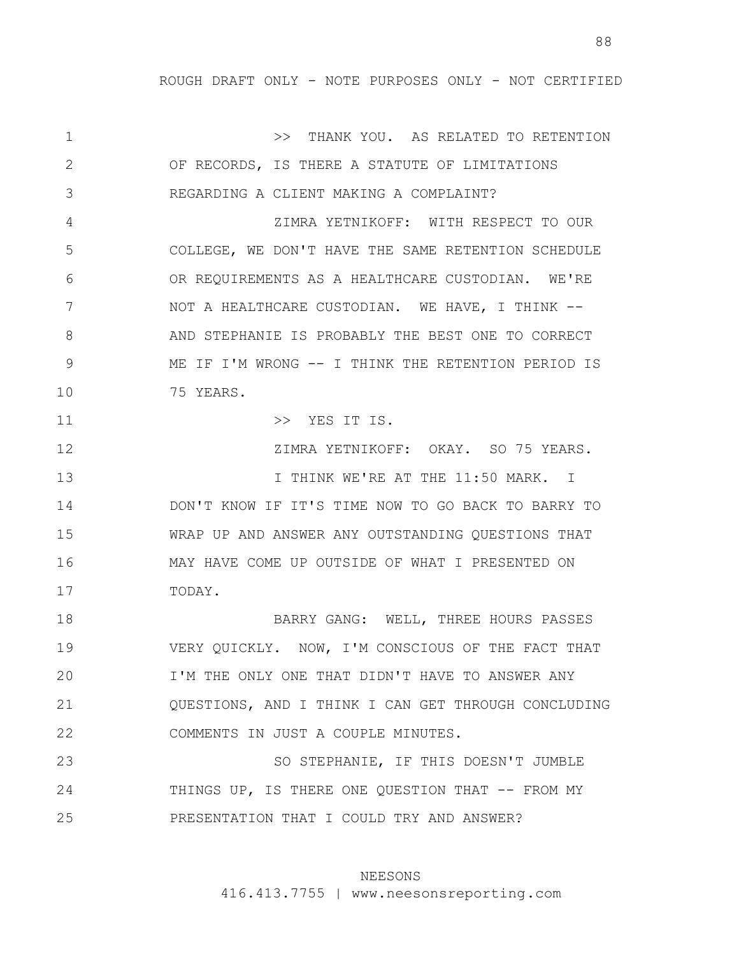88

1 2 3 4 5 6 7 8 9 10 11 12 13 14 15 16 17 18 19 20 21 22 23 24 25 >> THANK YOU. AS RELATED TO RETENTION OF RECORDS, IS THERE A STATUTE OF LIMITATIONS REGARDING A CLIENT MAKING A COMPLAINT? ZIMRA YETNIKOFF: WITH RESPECT TO OUR COLLEGE, WE DON'T HAVE THE SAME RETENTION SCHEDULE OR REQUIREMENTS AS A HEALTHCARE CUSTODIAN. WE'RE NOT A HEALTHCARE CUSTODIAN. WE HAVE, I THINK -- AND STEPHANIE IS PROBABLY THE BEST ONE TO CORRECT ME IF I'M WRONG -- I THINK THE RETENTION PERIOD IS 75 YEARS. >> YES IT IS. ZIMRA YETNIKOFF: OKAY. SO 75 YEARS. I THINK WE'RE AT THE 11:50 MARK. I DON'T KNOW IF IT'S TIME NOW TO GO BACK TO BARRY TO WRAP UP AND ANSWER ANY OUTSTANDING QUESTIONS THAT MAY HAVE COME UP OUTSIDE OF WHAT I PRESENTED ON TODAY. BARRY GANG: WELL, THREE HOURS PASSES VERY QUICKLY. NOW, I'M CONSCIOUS OF THE FACT THAT I'M THE ONLY ONE THAT DIDN'T HAVE TO ANSWER ANY QUESTIONS, AND I THINK I CAN GET THROUGH CONCLUDING COMMENTS IN JUST A COUPLE MINUTES. SO STEPHANIE, IF THIS DOESN'T JUMBLE THINGS UP, IS THERE ONE QUESTION THAT -- FROM MY PRESENTATION THAT I COULD TRY AND ANSWER?

#### NEESONS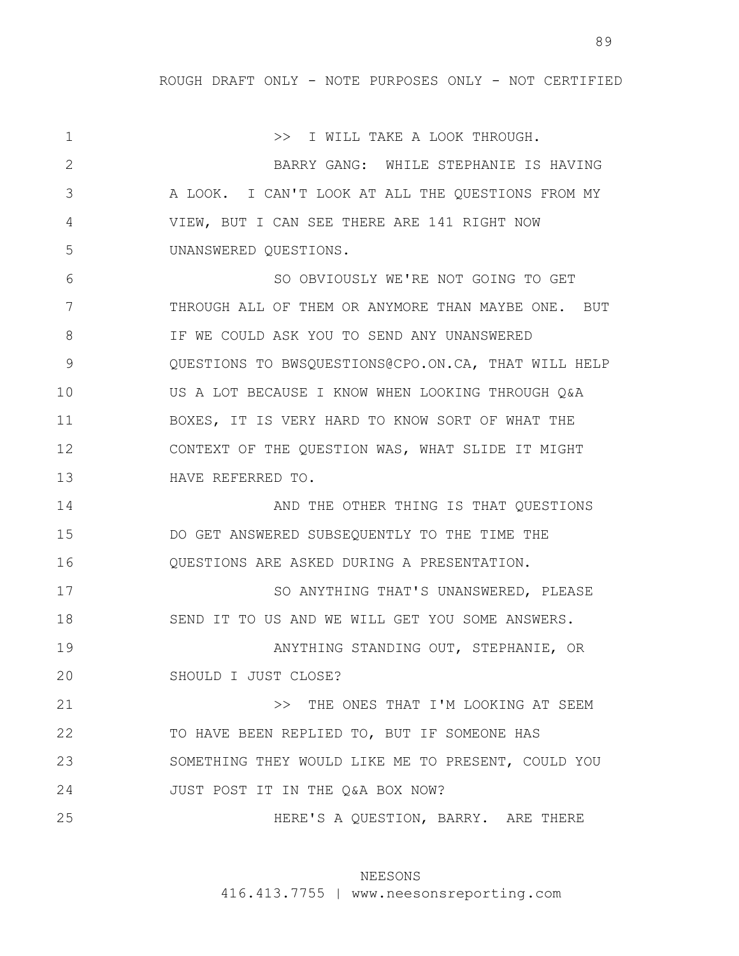1 2 3 4 5 6 7 8 9 10 11 12 13 14 15 16 17 18 19 20 21 22 23 24 25 >> I WILL TAKE A LOOK THROUGH. BARRY GANG: WHILE STEPHANIE IS HAVING A LOOK. I CAN'T LOOK AT ALL THE QUESTIONS FROM MY VIEW, BUT I CAN SEE THERE ARE 141 RIGHT NOW UNANSWERED QUESTIONS. SO OBVIOUSLY WE'RE NOT GOING TO GET THROUGH ALL OF THEM OR ANYMORE THAN MAYBE ONE. BUT IF WE COULD ASK YOU TO SEND ANY UNANSWERED QUESTIONS TO BWSQUESTIONS@CPO.ON.CA, THAT WILL HELP US A LOT BECAUSE I KNOW WHEN LOOKING THROUGH Q&A BOXES, IT IS VERY HARD TO KNOW SORT OF WHAT THE CONTEXT OF THE QUESTION WAS, WHAT SLIDE IT MIGHT HAVE REFERRED TO. AND THE OTHER THING IS THAT QUESTIONS DO GET ANSWERED SUBSEQUENTLY TO THE TIME THE QUESTIONS ARE ASKED DURING A PRESENTATION. SO ANYTHING THAT'S UNANSWERED, PLEASE SEND IT TO US AND WE WILL GET YOU SOME ANSWERS. ANYTHING STANDING OUT, STEPHANIE, OR SHOULD I JUST CLOSE? >> THE ONES THAT I'M LOOKING AT SEEM TO HAVE BEEN REPLIED TO, BUT IF SOMEONE HAS SOMETHING THEY WOULD LIKE ME TO PRESENT, COULD YOU JUST POST IT IN THE Q&A BOX NOW? HERE'S A QUESTION, BARRY. ARE THERE

## NEESONS

416.413.7755 | www.neesonsreporting.com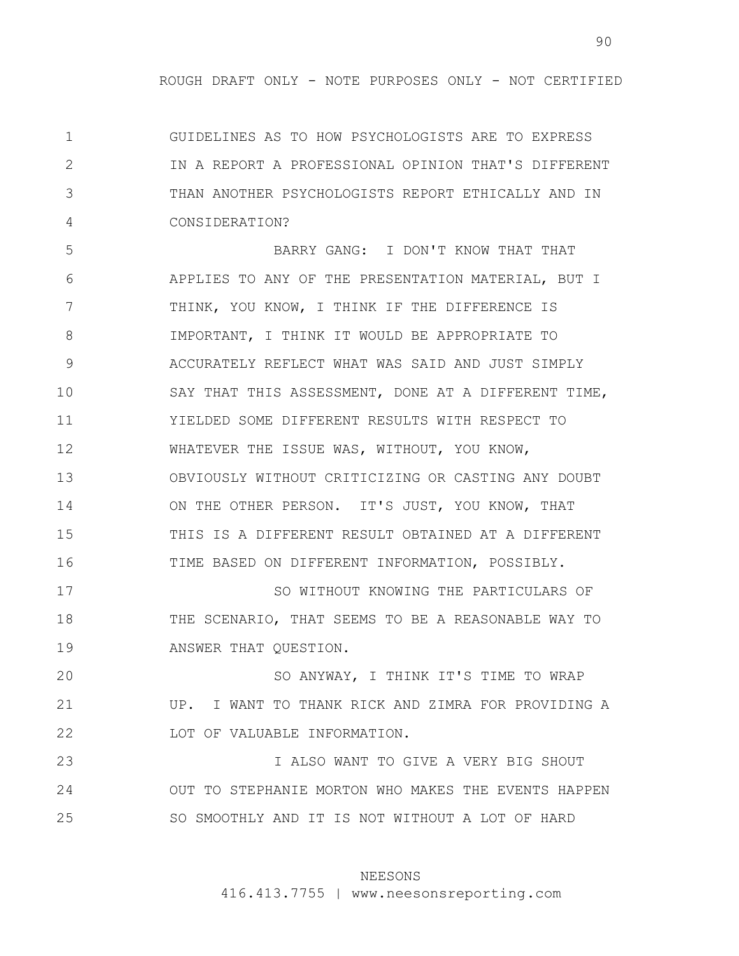1 2 3 4 GUIDELINES AS TO HOW PSYCHOLOGISTS ARE TO EXPRESS IN A REPORT A PROFESSIONAL OPINION THAT'S DIFFERENT THAN ANOTHER PSYCHOLOGISTS REPORT ETHICALLY AND IN CONSIDERATION?

5 6 7 8 9 10 11 12 13 14 15 16 BARRY GANG: I DON'T KNOW THAT THAT APPLIES TO ANY OF THE PRESENTATION MATERIAL, BUT I THINK, YOU KNOW, I THINK IF THE DIFFERENCE IS IMPORTANT, I THINK IT WOULD BE APPROPRIATE TO ACCURATELY REFLECT WHAT WAS SAID AND JUST SIMPLY SAY THAT THIS ASSESSMENT, DONE AT A DIFFERENT TIME, YIELDED SOME DIFFERENT RESULTS WITH RESPECT TO WHATEVER THE ISSUE WAS, WITHOUT, YOU KNOW, OBVIOUSLY WITHOUT CRITICIZING OR CASTING ANY DOUBT ON THE OTHER PERSON. IT'S JUST, YOU KNOW, THAT THIS IS A DIFFERENT RESULT OBTAINED AT A DIFFERENT TIME BASED ON DIFFERENT INFORMATION, POSSIBLY.

17 18 19 SO WITHOUT KNOWING THE PARTICULARS OF THE SCENARIO, THAT SEEMS TO BE A REASONABLE WAY TO ANSWER THAT QUESTION.

20 21 22 SO ANYWAY, I THINK IT'S TIME TO WRAP UP. I WANT TO THANK RICK AND ZIMRA FOR PROVIDING A LOT OF VALUABLE INFORMATION.

23 24 25 I ALSO WANT TO GIVE A VERY BIG SHOUT OUT TO STEPHANIE MORTON WHO MAKES THE EVENTS HAPPEN SO SMOOTHLY AND IT IS NOT WITHOUT A LOT OF HARD

# NEESONS